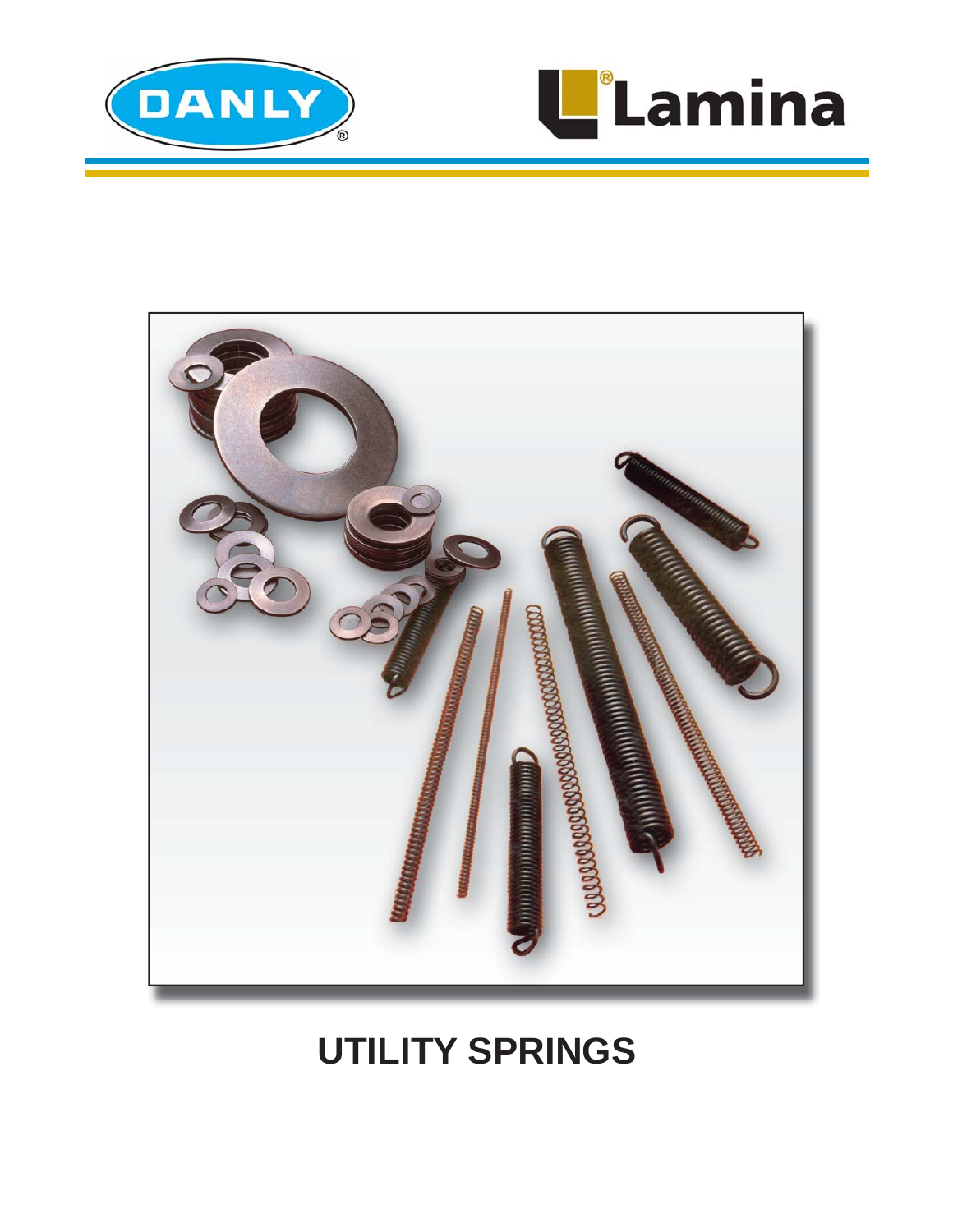



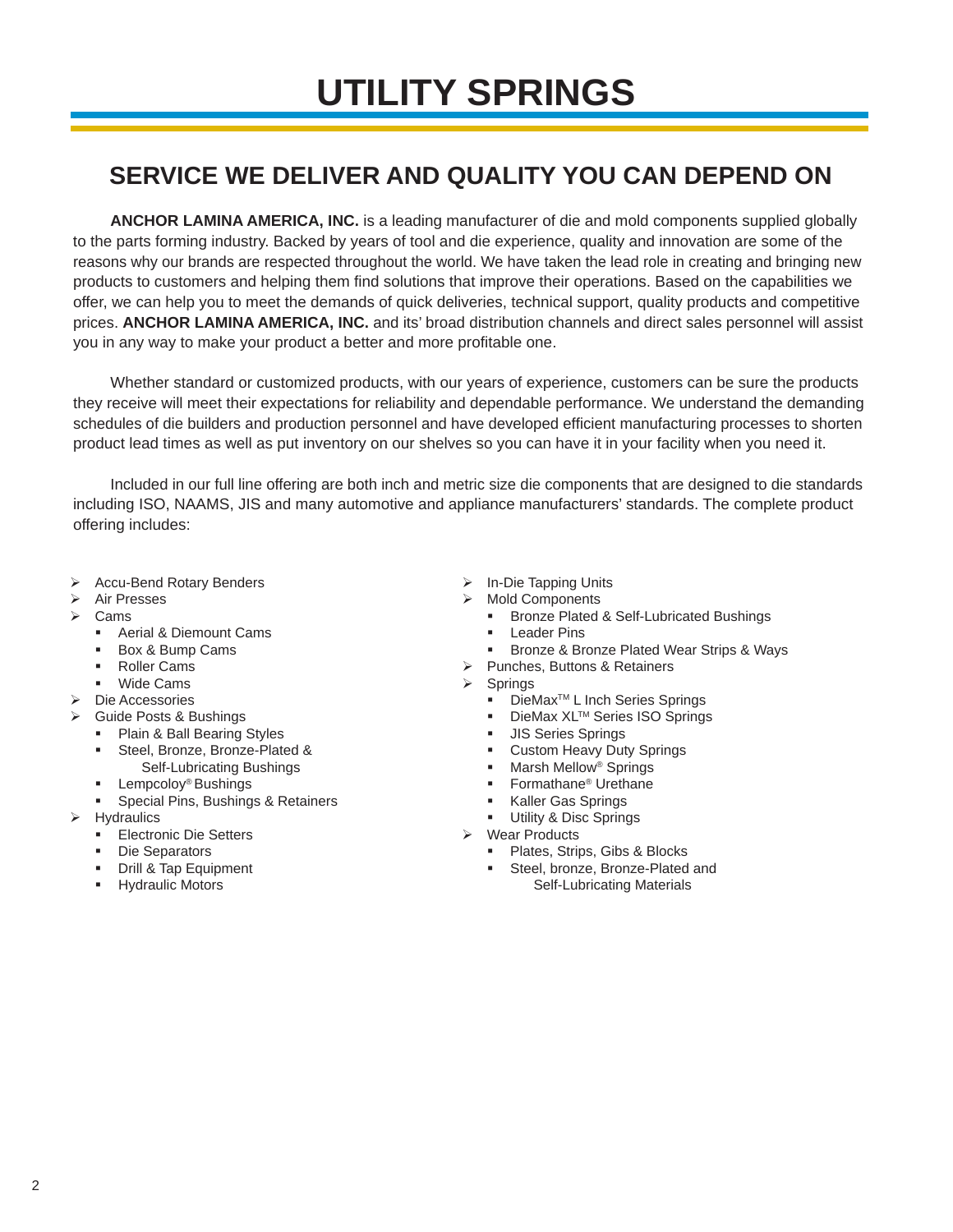# **SERVICE WE DELIVER AND QUALITY YOU CAN DEPEND ON**

**ANCHOR LAMINA AMERICA, INC.** is a leading manufacturer of die and mold components supplied globally to the parts forming industry. Backed by years of tool and die experience, quality and innovation are some of the reasons why our brands are respected throughout the world. We have taken the lead role in creating and bringing new products to customers and helping them find solutions that improve their operations. Based on the capabilities we offer, we can help you to meet the demands of quick deliveries, technical support, quality products and competitive prices. **ANCHOR LAMINA AMERICA, INC.** and its' broad distribution channels and direct sales personnel will assist you in any way to make your product a better and more profitable one.

Whether standard or customized products, with our years of experience, customers can be sure the products they receive will meet their expectations for reliability and dependable performance. We understand the demanding schedules of die builders and production personnel and have developed efficient manufacturing processes to shorten product lead times as well as put inventory on our shelves so you can have it in your facility when you need it.

Included in our full line offering are both inch and metric size die components that are designed to die standards including ISO, NAAMS, JIS and many automotive and appliance manufacturers' standards. The complete product offering includes:

- ▶ Accu-Bend Rotary Benders
- > Air Presses
- $\triangleright$  Cams
	- **Aerial & Diemount Cams**
	- Box & Bump Cams
	- Roller Cams
	- Wide Cams
- Die Accessories
- Guide Posts & Bushings
	- **Plain & Ball Bearing Styles**
	- **Steel, Bronze, Bronze-Plated &**
	- Self-Lubricating Bushings
	- Lempcoloy<sup>®</sup> Bushings
	- **Special Pins, Bushings & Retainers**
- $\triangleright$  Hydraulics
	- **Electronic Die Setters**
	- Die Separators
	- **Drill & Tap Equipment**
	- **Hydraulic Motors**
- In-Die Tapping Units
- Mold Components
	- Bronze Plated & Self-Lubricated Bushings
	- Leader Pins
	- Bronze & Bronze Plated Wear Strips & Ways
	- Punches, Buttons & Retainers
- Springs
	- DieMax<sup>™</sup> L Inch Series Springs
	- DieMax XL™ Series ISO Springs
	- **JIS Series Springs**
	- Custom Heavy Duty Springs
	- Marsh Mellow® Springs
	- Formathane® Urethane
	- Kaller Gas Springs
- Utility & Disc Springs
- Wear Products
	- **Plates, Strips, Gibs & Blocks**
	- Steel, bronze, Bronze-Plated and Self-Lubricating Materials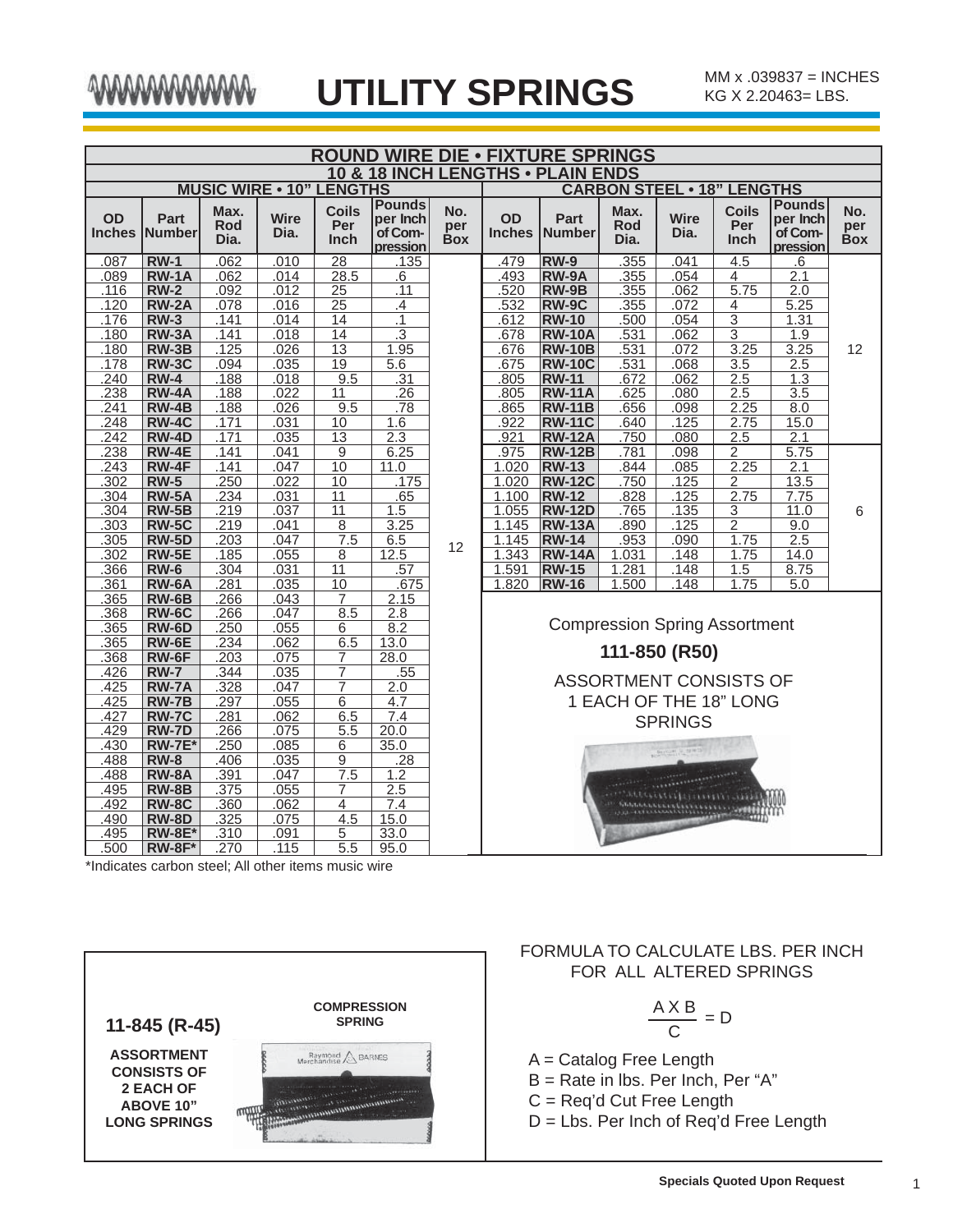|              | <b>ROUND WIRE DIE . FIXTURE SPRINGS</b> |                            |                                 |                                    |                                                  |                          |                     |                                   |                     |                                      |                             |                                                  |                          |
|--------------|-----------------------------------------|----------------------------|---------------------------------|------------------------------------|--------------------------------------------------|--------------------------|---------------------|-----------------------------------|---------------------|--------------------------------------|-----------------------------|--------------------------------------------------|--------------------------|
|              |                                         |                            |                                 |                                    |                                                  |                          |                     | 10 & 18 INCH LENGTHS . PLAIN ENDS |                     |                                      |                             |                                                  |                          |
|              |                                         |                            | <b>MUSIC WIRE . 10" LENGTHS</b> |                                    |                                                  |                          |                     |                                   |                     | <b>CARBON STEEL . 18" LENGTHS</b>    |                             |                                                  |                          |
| <b>OD</b>    | <b>Part</b><br><b>Inches Number</b>     | Max.<br><b>Rod</b><br>Dia. | <b>Wire</b><br>Dia.             | <b>Coils</b><br>Per<br><b>Inch</b> | <b>Pounds</b><br>per Inch<br>of Com-<br>pression | No.<br>per<br><b>Box</b> | OD<br><b>Inches</b> | Part<br><b>INumber</b>            | Max.<br>Rod<br>Dia. | <b>Wire</b><br>Dia.                  | <b>Coils</b><br>Per<br>Inch | <b>Pounds</b><br>per Inch<br>of Com-<br>pression | No.<br>per<br><b>Box</b> |
| .087         | $RW-1$                                  | .062                       | .010                            | $\overline{28}$                    | .135                                             |                          | .479                | $RW-9$                            | .355                | .041                                 | 4.5                         | .6                                               |                          |
| .089         | <b>RW-1A</b>                            | .062                       | .014                            | 28.5                               | .6                                               |                          | .493                | RW-9A                             | .355                | .054                                 | 4                           | 2.1                                              |                          |
| .116         | $RW-2$                                  | .092                       | .012                            | $\overline{25}$                    | .11                                              |                          | .520                | RW-9B                             | .355                | .062                                 | 5.75                        | 2.0                                              |                          |
| .120         | <b>RW-2A</b>                            | .078                       | .016                            | $\overline{25}$                    | .4                                               |                          | .532                | <b>RW-9C</b>                      | .355                | .072                                 | 4                           | 5.25                                             |                          |
| .176         | <b>RW-3</b>                             | .141                       | .014                            | 14                                 | .1                                               |                          | .612                | <b>RW-10</b>                      | .500                | .054                                 | $\overline{3}$              | 1.31                                             |                          |
| .180         | <b>RW-3A</b>                            | .141                       | .018                            | $\overline{14}$                    | $\overline{.3}$                                  |                          | .678                | <b>RW-10A</b>                     | .531                | .062                                 | $\overline{3}$              | 1.9                                              |                          |
| .180         | $RW-3B$                                 | .125                       | .026                            | $\overline{13}$                    | 1.95                                             |                          | .676                | <b>RW-10B</b>                     | .531                | .072                                 | 3.25                        | 3.25                                             | 12                       |
| .178         | <b>RW-3C</b>                            | .094                       | .035                            | 19                                 | 5.6                                              |                          | .675                | <b>RW-10C</b>                     | .531                | .068                                 | 3.5                         | 2.5                                              |                          |
| .240         | <b>RW-4</b>                             | .188                       | .018                            | 9.5                                | .31                                              |                          | .805                | <b>RW-11</b>                      | 672                 | .062                                 | 2.5                         | 1.3                                              |                          |
| .238         | <b>RW-4A</b>                            | .188                       | .022                            | 11                                 | $\overline{.26}$                                 |                          | .805                | <b>RW-11A</b>                     | .625                | .080                                 | 2.5                         | $\overline{3.5}$                                 |                          |
| .241         | $RW-4B$                                 | .188                       | .026                            | 9.5                                | .78                                              |                          | .865                | <b>RW-11B</b>                     | .656                | .098                                 | 2.25                        | 8.0                                              |                          |
| .248         | <b>RW-4C</b>                            | .171                       | .031                            | 10                                 | 1.6                                              |                          | .922                | <b>RW-11C</b>                     | 640                 | .125                                 | 2.75                        | 15.0                                             |                          |
| .242         | <b>RW-4D</b>                            | .171                       | .035                            | $\overline{13}$                    | $\overline{2.3}$                                 |                          | .921                | <b>RW-12A</b>                     | .750                | .080                                 | 2.5                         | 2.1                                              |                          |
| .238         | <b>RW-4E</b>                            | .141                       | .041                            | 9                                  | 6.25                                             |                          | .975                | <b>RW-12B</b>                     | .781                | .098                                 | $\overline{2}$              | 5.75                                             |                          |
| .243         | RW-4F                                   | .141                       | .047                            | 10                                 | 11.0                                             |                          | 1.020               | <b>RW-13</b>                      | .844                | .085                                 | 2.25                        | 2.1                                              |                          |
| .302         | <b>RW-5</b><br><b>RW-5A</b>             | 250<br>.234                | .022<br>.031                    | 10<br>11                           | .175<br>.65                                      |                          | 1.020<br>1.100      | <b>RW-12C</b><br><b>RW-12</b>     | .750<br>.828        | 125<br>.125                          | 2<br>2.75                   | 13.5                                             |                          |
| .304<br>.304 | $RW-5B$                                 | .219                       | .037                            | $\overline{11}$                    | 1.5                                              |                          | 1.055               | <b>RW-12D</b>                     | .765                | .135                                 | 3                           | 7.75<br>11.0                                     | 6                        |
| .303         | <b>RW-5C</b>                            | .219                       | .041                            | $\overline{8}$                     | 3.25                                             |                          | 1.145               | <b>RW-13A</b>                     | .890                | .125                                 | $\overline{2}$              | 9.0                                              |                          |
| .305         | <b>RW-5D</b>                            | .203                       | .047                            | 7.5                                | 6.5                                              |                          | 1.145               | <b>RW-14</b>                      | .953                | .090                                 | 1.75                        | 2.5                                              |                          |
| .302         | $RW-5E$                                 | .185                       | .055                            | 8                                  | 12.5                                             | 12                       | 1.343               | <b>RW-14A</b>                     | 1.031               | .148                                 | 1.75                        | 14.0                                             |                          |
| .366         | <b>RW-6</b>                             | .304                       | .031                            | $\overline{11}$                    | .57                                              |                          | 1.591               | <b>RW-15</b>                      | 1.281               | 148                                  | 1.5                         | 8.75                                             |                          |
| .361         | <b>RW-6A</b>                            | .281                       | .035                            | 10                                 | .675                                             |                          | 1.820               | <b>RW-16</b>                      | 1.500               | 148                                  | 1.75                        | 5.0                                              |                          |
| .365         | $RW-6B$                                 | .266                       | .043                            | 7                                  | 2.15                                             |                          |                     |                                   |                     |                                      |                             |                                                  |                          |
| .368         | <b>RW-6C</b>                            | .266                       | .047                            | 8.5                                | 2.8                                              |                          |                     |                                   |                     |                                      |                             |                                                  |                          |
| .365         | RW-6D                                   | .250                       | .055                            | 6                                  | 8.2                                              |                          |                     |                                   |                     | <b>Compression Spring Assortment</b> |                             |                                                  |                          |
| .365         | $RW-6E$                                 | .234                       | .062                            | 6.5                                | 13.0                                             |                          |                     |                                   |                     |                                      |                             |                                                  |                          |
| .368         | RW-6F                                   | .203                       | .075                            | 7                                  | 28.0                                             |                          |                     |                                   |                     | 111-850 (R50)                        |                             |                                                  |                          |
| .426         | <b>RW-7</b>                             | .344                       | .035                            | $\overline{7}$                     | .55                                              |                          |                     |                                   |                     |                                      |                             |                                                  |                          |
| .425         | <b>RW-7A</b>                            | .328                       | .047                            | 7                                  | 2.0                                              |                          |                     |                                   |                     | ASSORTMENT CONSISTS OF               |                             |                                                  |                          |
| .425         | <b>RW-7B</b>                            | .297                       | .055                            | 6                                  | 4.7                                              |                          |                     |                                   |                     | 1 EACH OF THE 18" LONG               |                             |                                                  |                          |
| .427         | <b>RW-7C</b>                            | .281                       | .062                            | 6.5                                | 7.4                                              |                          |                     |                                   |                     | <b>SPRINGS</b>                       |                             |                                                  |                          |
| .429         | <b>RW-7D</b>                            | .266                       | .075                            | 5.5                                | 20.0                                             |                          |                     |                                   |                     |                                      |                             |                                                  |                          |
| .430         | <b>RW-7E*</b>                           | .250                       | .085                            | 6                                  | 35.0                                             |                          |                     |                                   |                     |                                      |                             |                                                  |                          |
| .488         | $RW-8$                                  | .406                       | .035                            | 9                                  | .28                                              |                          |                     |                                   |                     | <b>BALGAL R. MIND</b>                |                             |                                                  |                          |
| .488         | <b>RW-8A</b>                            | .391                       | .047                            | 7.5                                | 1.2                                              |                          |                     |                                   |                     |                                      |                             |                                                  |                          |
| .495         | <b>RW-8B</b>                            | .375                       | .055                            | 7                                  | 2.5                                              |                          |                     |                                   |                     |                                      |                             |                                                  |                          |
| .492         | <b>RW-8C</b>                            | .360                       | .062                            | $\overline{4}$                     | 7.4                                              |                          |                     |                                   |                     |                                      |                             |                                                  |                          |
| .490         | <b>RW-8D</b>                            | .325                       | .075                            | 4.5                                | 15.0                                             |                          |                     |                                   |                     |                                      |                             |                                                  |                          |
| .495         | <b>RW-8E*</b>                           | .310                       | .091                            | 5                                  | 33.0                                             |                          |                     |                                   |                     |                                      |                             |                                                  |                          |
| .500         | $RW-8F*$                                | .270                       | .115                            | 5.5                                | 95.0                                             |                          |                     |                                   |                     |                                      |                             |                                                  |                          |

\*Indicates carbon steel; All other items music wire



## FORMULA TO CALCULATE LBS. PER INCH FOR ALL ALTERED SPRINGS

$$
\frac{A \times B}{C} = D
$$

A = Catalog Free Length

B = Rate in lbs. Per Inch, Per "A"

C = Req'd Cut Free Length

D = Lbs. Per Inch of Req'd Free Length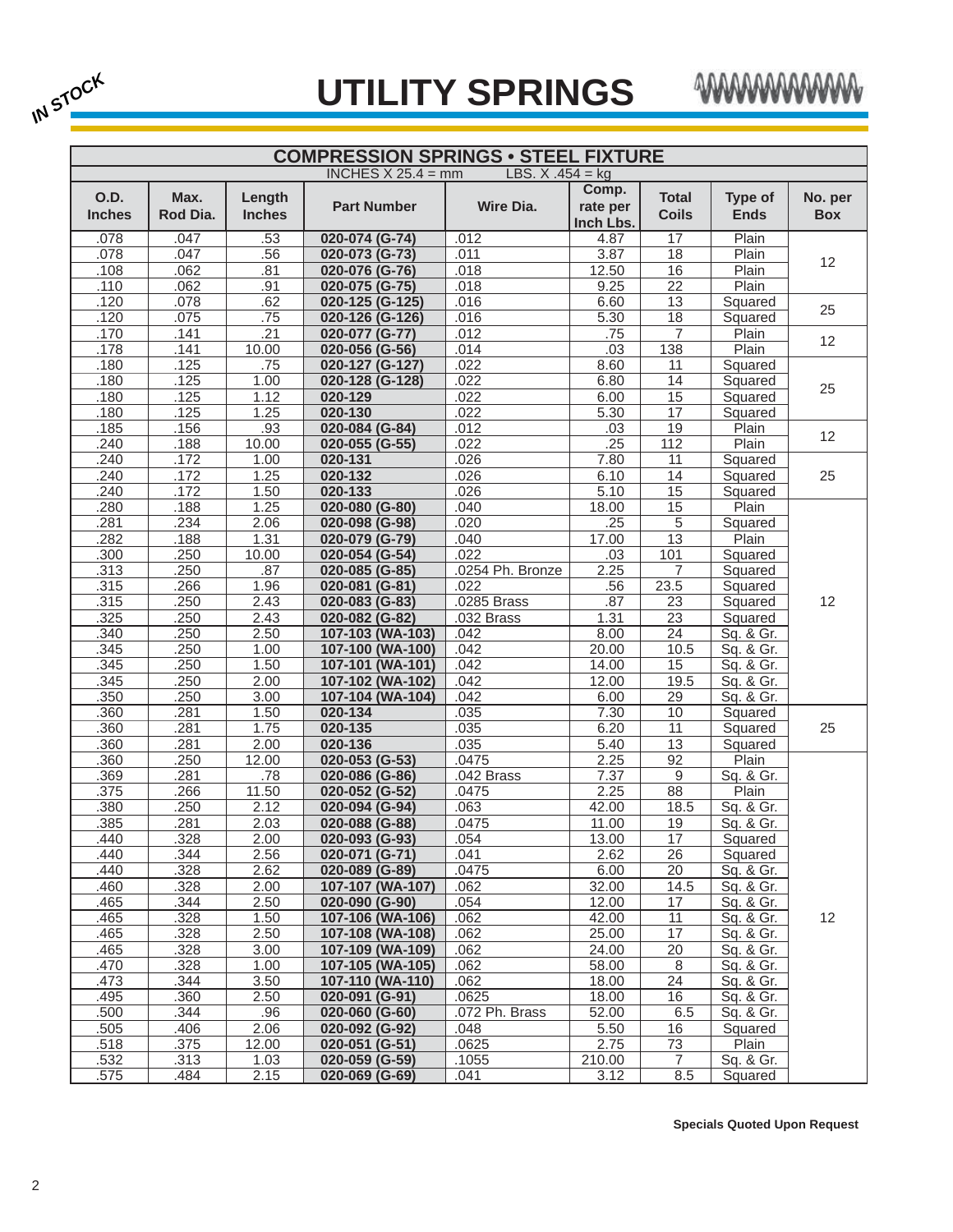



|                              | <b>COMPRESSION SPRINGS • STEEL FIXTURE</b> |                         |                      |                    |                                |                              |                        |                       |  |  |  |
|------------------------------|--------------------------------------------|-------------------------|----------------------|--------------------|--------------------------------|------------------------------|------------------------|-----------------------|--|--|--|
|                              |                                            |                         | INCHES $X$ 25.4 = mm | LBS. $X .454 = kq$ |                                |                              |                        |                       |  |  |  |
| <b>O.D.</b><br><b>Inches</b> | Max.<br>Rod Dia.                           | Length<br><b>Inches</b> | <b>Part Number</b>   | <b>Wire Dia.</b>   | Comp.<br>rate per<br>Inch Lbs. | <b>Total</b><br><b>Coils</b> | Type of<br><b>Ends</b> | No. per<br><b>Box</b> |  |  |  |
| .078                         | .047                                       | .53                     | 020-074 (G-74)       | .012               | 4.87                           | 17                           | Plain                  |                       |  |  |  |
| .078                         | .047                                       | .56                     | 020-073 (G-73)       | .011               | 3.87                           | 18                           | Plain                  | 12                    |  |  |  |
| .108                         | .062                                       | .81                     | 020-076 (G-76)       | .018               | 12.50                          | 16                           | Plain                  |                       |  |  |  |
| .110                         | .062                                       | .91                     | 020-075 (G-75)       | .018               | 9.25                           | $\overline{22}$              | Plain                  |                       |  |  |  |
| .120                         | .078                                       | .62                     | 020-125 (G-125)      | .016               | 6.60                           | 13                           | Squared                | 25                    |  |  |  |
| .120                         | .075                                       | .75                     | 020-126 (G-126)      | .016               | 5.30                           | 18                           | Squared                |                       |  |  |  |
| .170                         | .141                                       | .21                     | 020-077 (G-77)       | .012               | .75                            | $\overline{7}$               | Plain                  | 12 <sup>2</sup>       |  |  |  |
| .178                         | .141                                       | 10.00                   | 020-056 (G-56)       | .014               | .03                            | 138                          | Plain                  |                       |  |  |  |
| .180                         | .125                                       | .75                     | 020-127 (G-127)      | .022               | 8.60                           | 11                           | Squared                |                       |  |  |  |
| .180                         | .125                                       | 1.00                    | 020-128 (G-128)      | .022               | 6.80                           | $\overline{14}$              | Squared                | 25                    |  |  |  |
| .180                         | .125                                       | 1.12                    | $020 - 129$          | .022               | 6.00                           | 15                           | Squared                |                       |  |  |  |
| .180                         | .125                                       | 1.25                    | 020-130              | .022               | 5.30                           | 17                           | Squared                |                       |  |  |  |
| .185                         | .156                                       | .93                     | 020-084 (G-84)       | .012               | .03                            | 19                           | Plain                  | 12                    |  |  |  |
| .240                         | .188                                       | 10.00                   | 020-055 (G-55)       | .022               | .25                            | 112                          | Plain                  |                       |  |  |  |
| .240                         | .172                                       | 1.00                    | 020-131              | .026               | 7.80                           | 11                           | Squared                |                       |  |  |  |
| .240                         | .172                                       | 1.25                    | 020-132              | .026               | 6.10                           | 14                           | Squared                | 25                    |  |  |  |
| .240                         | .172                                       | 1.50                    | 020-133              | .026               | 5.10                           | 15                           | Squared                |                       |  |  |  |
| .280                         | .188                                       | 1.25                    | 020-080 (G-80)       | .040               | 18.00                          | 15                           | Plain                  |                       |  |  |  |
| .281                         | .234                                       | 2.06                    | 020-098 (G-98)       | .020               | .25                            | $\overline{5}$               | Squared                |                       |  |  |  |
| .282                         | .188                                       | 1.31                    | 020-079 (G-79)       | .040               | 17.00                          | $\overline{13}$              | Plain                  |                       |  |  |  |
| .300                         | .250                                       | 10.00                   | 020-054 (G-54)       | .022               | .03                            | 101                          | Squared                |                       |  |  |  |
| .313                         | .250                                       | .87                     | 020-085 (G-85)       | .0254 Ph. Bronze   | 2.25                           | $\overline{7}$               | Squared                |                       |  |  |  |
| .315                         | .266                                       | 1.96                    | 020-081 (G-81)       | .022               | .56                            | 23.5                         | Squared                |                       |  |  |  |
| .315                         | .250                                       | 2.43                    | 020-083 (G-83)       | .0285 Brass        | .87                            | 23                           | Squared                | 12                    |  |  |  |
| .325                         | .250                                       | 2.43                    | 020-082 (G-82)       | .032 Brass         | 1.31                           | 23                           | Squared                |                       |  |  |  |
| .340                         | 250                                        | 2.50                    | 107-103 (WA-103)     | .042               | 8.00                           | $\overline{24}$              | Sq. & Gr.              |                       |  |  |  |
| .345                         | .250                                       | 1.00                    | 107-100 (WA-100)     | .042               | 20.00                          | 10.5                         | Sq. & Gr.              |                       |  |  |  |
| .345                         | .250                                       | 1.50                    | 107-101 (WA-101)     | .042               | 14.00                          | 15                           | Sq. & Gr.              |                       |  |  |  |
| .345                         | .250                                       | 2.00                    | 107-102 (WA-102)     | .042               | 12.00                          | 19.5                         | Sq. & Gr.              |                       |  |  |  |
| .350                         | .250                                       | 3.00                    | 107-104 (WA-104)     | .042               | 6.00                           | 29                           | Sq. & Gr.              |                       |  |  |  |
| .360                         | .281                                       | 1.50                    | 020-134              | .035               | 7.30                           | 10                           | Squared                |                       |  |  |  |
| .360                         | .281                                       | 1.75                    | 020-135              | .035               | 6.20                           | 11                           | Squared                | 25                    |  |  |  |
| .360                         | .281                                       | 2.00                    | 020-136              | .035               | 5.40                           | $\overline{13}$              | Squared                |                       |  |  |  |
| .360                         | .250                                       | 12.00                   | 020-053 (G-53)       | .0475              | 2.25                           | 92                           | Plain                  |                       |  |  |  |
| .369                         | .281                                       | .78                     | 020-086 (G-86)       | .042 Brass         | 7.37                           | $\overline{9}$               | Sq. & Gr.              |                       |  |  |  |
| .375                         | .266                                       | 11.50                   | 020-052 (G-52)       | .0475              | 2.25                           | 88                           | Plain                  |                       |  |  |  |
| .380                         | .250                                       | 2.12                    | 020-094 (G-94)       | .063               | 42.00                          | 18.5                         | Sq. & Gr.              |                       |  |  |  |
| .385                         | .281                                       | 2.03                    | 020-088 (G-88)       | .0475              | 11.00                          | 19                           | Sq. & Gr.              |                       |  |  |  |
| .440                         | .328                                       | 2.00                    | 020-093 (G-93)       | .054               | 13.00                          | 17                           | Squared                |                       |  |  |  |
| .440                         | .344                                       | 2.56                    | 020-071 (G-71)       | .041               | 2.62                           | 26                           | Squared                |                       |  |  |  |
| .440                         | .328                                       | 2.62                    | 020-089 (G-89)       | .0475              | 6.00                           | 20                           | Sq. & Gr.              |                       |  |  |  |
| .460                         | .328                                       | 2.00                    | 107-107 (WA-107)     | .062               | 32.00                          | 14.5                         | Sq. & Gr.              |                       |  |  |  |
| .465                         | .344                                       | 2.50                    | 020-090 (G-90)       | .054               | 12.00                          | 17                           | Sq. & Gr.              |                       |  |  |  |
| .465                         | .328                                       | 1.50                    | 107-106 (WA-106)     | .062               | 42.00                          | 11                           | Sq. & Gr.              | 12                    |  |  |  |
| .465                         | .328                                       | 2.50                    | 107-108 (WA-108)     | .062               | 25.00                          | 17                           | Sq. & Gr.              |                       |  |  |  |
| .465                         | .328                                       | 3.00                    | 107-109 (WA-109)     | .062               | 24.00                          | 20                           | Sq. & Gr.              |                       |  |  |  |
| .470                         | .328                                       | 1.00                    | 107-105 (WA-105)     | .062               | 58.00                          | 8                            | Sq. & Gr.              |                       |  |  |  |
| .473                         | .344                                       | 3.50                    | 107-110 (WA-110)     | .062               | 18.00                          | $\overline{24}$              | Sq. & Gr.              |                       |  |  |  |
| .495                         | .360                                       | 2.50                    | 020-091 (G-91)       | .0625              | 18.00                          | $\overline{16}$              | Sq. & Gr.              |                       |  |  |  |
| .500                         | .344                                       | .96                     | 020-060 (G-60)       | .072 Ph. Brass     | 52.00                          | 6.5                          | Sq. & Gr.              |                       |  |  |  |
| .505                         | .406                                       | 2.06                    | 020-092 (G-92)       | .048               | 5.50                           | 16                           | Squared                |                       |  |  |  |
| .518                         | .375                                       | 12.00                   | 020-051 (G-51)       | .0625              | 2.75                           | 73                           | Plain                  |                       |  |  |  |
| .532                         | .313                                       | 1.03                    | 020-059 (G-59)       | .1055              | 210.00                         | $\overline{7}$               | Sq. & Gr.              |                       |  |  |  |
| .575                         | .484                                       | 2.15                    | 020-069 (G-69)       | .041               | 3.12                           | 8.5                          | Squared                |                       |  |  |  |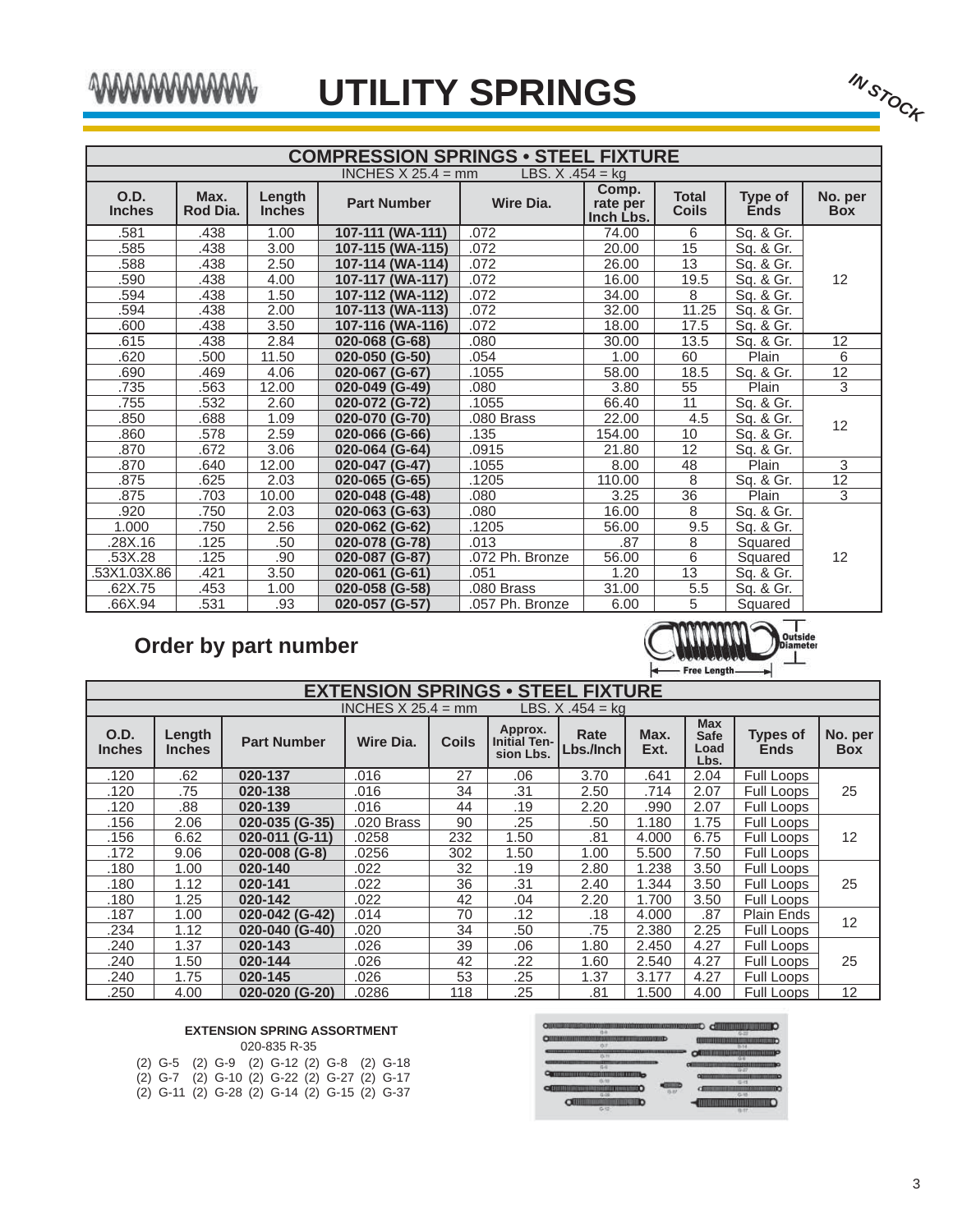# mmmmmm

| AMMAMM                |                  |                         | <b>UTILITY SPRINGS</b>                                             |                   |                                |                              |                        | IN STOCK              |
|-----------------------|------------------|-------------------------|--------------------------------------------------------------------|-------------------|--------------------------------|------------------------------|------------------------|-----------------------|
|                       |                  |                         | <b>COMPRESSION SPRINGS • STEEL FIXTURE</b><br>INCHES $X$ 25.4 = mm | LBS. $X.454 = kg$ |                                |                              |                        |                       |
| O.D.<br><b>Inches</b> | Max.<br>Rod Dia. | Length<br><b>Inches</b> | <b>Part Number</b>                                                 | <b>Wire Dia.</b>  | Comp.<br>rate per<br>Inch Lbs. | <b>Total</b><br><b>Coils</b> | Type of<br><b>Ends</b> | No. per<br><b>Box</b> |
| .581                  | .438             | 1.00                    | 107-111 (WA-111)                                                   | .072              | 74.00                          | 6                            | Sq. & Gr.              |                       |
| .585                  | .438             | 3.00                    | 107-115 (WA-115)                                                   | .072              | 20.00                          | 15                           | Sq. & Gr.              |                       |
| .588                  | .438             | 2.50                    | 107-114 (WA-114)                                                   | .072              | 26.00                          | $\overline{13}$              | Sq. & Gr.              |                       |
| .590                  | .438             | 4.00                    | 107-117 (WA-117)                                                   | .072              | 16.00                          | 19.5                         | Sq. & Gr.              | 12                    |
| .594                  | .438             | 1.50                    | 107-112 (WA-112)                                                   | .072              | 34.00                          | 8                            | Sq. & Gr.              |                       |
| .594                  | .438             | 2.00                    | 107-113 (WA-113)                                                   | .072              | 32.00                          | 11.25                        | Sq. & Gr.              |                       |
| .600                  | .438             | 3.50                    | 107-116 (WA-116)                                                   | .072              | 18.00                          | 17.5                         | Sq. & Gr.              |                       |
| .615                  | .438             | 2.84                    | 020-068 (G-68)                                                     | .080              | 30.00                          | 13.5                         | Sq. & Gr.              | 12                    |
| .620                  | .500             | 11.50                   | 020-050 (G-50)                                                     | .054              | 1.00                           | 60                           | Plain                  | 6                     |
| .690                  | .469             | 4.06                    | 020-067 (G-67)                                                     | .1055             | 58.00                          | 18.5                         | Sq. & Gr.              | $\overline{12}$       |
| .735                  | .563             | 12.00                   | 020-049 (G-49)                                                     | .080              | 3.80                           | $\overline{55}$              | Plain                  | 3                     |
| .755                  | .532             | 2.60                    | 020-072 (G-72)                                                     | .1055             | 66.40                          | $\overline{11}$              | Sq. & Gr.              |                       |
| .850                  | .688             | 1.09                    | 020-070 (G-70)                                                     | .080 Brass        | 22.00                          | 4.5                          | Sq. & Gr.              | 12                    |
| .860                  | .578             | 2.59                    | 020-066 (G-66)                                                     | .135              | 154.00                         | 10                           | Sq. & Gr.              |                       |
| .870                  | .672             | 3.06                    | 020-064 (G-64)                                                     | .0915             | 21.80                          | $\overline{12}$              | Sq. & Gr.              |                       |
| .870                  | .640             | 12.00                   | 020-047 (G-47)                                                     | .1055             | 8.00                           | $\overline{48}$              | Plain                  | 3                     |
| .875                  | .625             | 2.03                    | 020-065 (G-65)                                                     | .1205             | 110.00                         | 8                            | Sq. & Gr.              | $\overline{12}$       |
| .875                  | .703             | 10.00                   | 020-048 (G-48)                                                     | .080              | 3.25                           | $\overline{36}$              | Plain                  | 3                     |
| .920                  | .750             | 2.03                    | 020-063 (G-63)                                                     | .080              | 16.00                          | 8                            | Sq. & Gr.              |                       |
| 1.000                 | .750             | 2.56                    | 020-062 (G-62)                                                     | .1205             | 56.00                          | 9.5                          | Sq. & Gr.              |                       |
| .28X.16               | .125             | .50                     | 020-078 (G-78)                                                     | .013              | .87                            | 8                            | Squared                |                       |
| .53X.28               | .125             | .90                     | 020-087 (G-87)                                                     | .072 Ph. Bronze   | 56.00                          | $\overline{6}$               | Squared                | 12                    |
| .53X1.03X.86          | .421             | 3.50                    | 020-061 (G-61)                                                     | .051              | 1.20                           | 13                           | Sq. & Gr.              |                       |
| .62X.75               | .453             | 1.00                    | 020-058 (G-58)                                                     | .080 Brass        | 31.00                          | $\overline{5.5}$             | Sq. & Gr.              |                       |
| .66X.94               | 531              | .93                     | 020-057 (G-57)                                                     | .057 Ph. Bronze   | 6.00                           | 5                            | Squared                |                       |

## **Order by part number**



|                              | <b>EXTENSION SPRINGS • STEEL FIXTURE</b>      |                    |            |              |                                             |                     |              |                                           |                                |                       |  |  |
|------------------------------|-----------------------------------------------|--------------------|------------|--------------|---------------------------------------------|---------------------|--------------|-------------------------------------------|--------------------------------|-----------------------|--|--|
|                              | INCHES $X$ 25.4 = mm<br>LBS, $X$ , $454 = ka$ |                    |            |              |                                             |                     |              |                                           |                                |                       |  |  |
| <b>O.D.</b><br><b>Inches</b> | Length<br><b>Inches</b>                       | <b>Part Number</b> | Wire Dia.  | <b>Coils</b> | Approx.<br><b>Initial Ten-</b><br>sion Lbs. | Rate<br>Lbs./Inch l | Max.<br>Ext. | <b>Max</b><br><b>Safe</b><br>Load<br>Lbs. | <b>Types of</b><br><b>Ends</b> | No. per<br><b>Box</b> |  |  |
| .120                         | .62                                           | 020-137            | .016       | 27           | .06                                         | 3.70                | .641         | 2.04                                      | Full Loops                     |                       |  |  |
| .120                         | .75                                           | 020-138            | .016       | 34           | .31                                         | 2.50                | .714         | 2.07                                      | Full Loops                     | 25                    |  |  |
| .120                         | .88                                           | 020-139            | .016       | 44           | .19                                         | 2.20                | .990         | 2.07                                      | Full Loops                     |                       |  |  |
| .156                         | 2.06                                          | 020-035 (G-35)     | .020 Brass | 90           | .25                                         | .50                 | 1.180        | 1.75                                      | Full Loops                     |                       |  |  |
| .156                         | 6.62                                          | 020-011 (G-11)     | .0258      | 232          | 1.50                                        | .81                 | 4.000        | 6.75                                      | Full Loops                     | 12                    |  |  |
| .172                         | 9.06                                          | 020-008 (G-8)      | .0256      | 302          | 1.50                                        | 1.00                | 5.500        | 7.50                                      | Full Loops                     |                       |  |  |
| .180                         | 1.00                                          | 020-140            | .022       | 32           | .19                                         | 2.80                | 1.238        | 3.50                                      | Full Loops                     |                       |  |  |
| .180                         | 1.12                                          | 020-141            | .022       | 36           | .31                                         | 2.40                | 1.344        | 3.50                                      | Full Loops                     | 25                    |  |  |
| .180                         | 1.25                                          | 020-142            | .022       | 42           | .04                                         | 2.20                | 1.700        | 3.50                                      | Full Loops                     |                       |  |  |
| .187                         | 1.00                                          | 020-042 (G-42)     | .014       | 70           | .12                                         | .18                 | 4.000        | .87                                       | Plain Ends                     | 12                    |  |  |
| .234                         | 1.12                                          | 020-040 (G-40)     | .020       | 34           | .50                                         | .75                 | 2.380        | 2.25                                      | Full Loops                     |                       |  |  |
| .240                         | 1.37                                          | 020-143            | .026       | 39           | .06                                         | 1.80                | 2.450        | 4.27                                      | Full Loops                     |                       |  |  |
| .240                         | 1.50                                          | 020-144            | .026       | 42           | .22                                         | 1.60                | 2.540        | 4.27                                      | Full Loops                     | 25                    |  |  |
| .240                         | 1.75                                          | 020-145            | .026       | 53           | .25                                         | 1.37                | 3.177        | 4.27                                      | Full Loops                     |                       |  |  |
| .250                         | 4.00                                          | 020-020 (G-20)     | .0286      | 118          | .25                                         | .81                 | 1.500        | 4.00                                      | Full Loops                     | 12                    |  |  |

## **EXTENSION SPRING ASSORTMENT**

|  |  | 020-835 R-35                                 |  |  |
|--|--|----------------------------------------------|--|--|
|  |  | (2) G-5 (2) G-9 (2) G-12 (2) G-8 (2) G-18    |  |  |
|  |  | (2) G-7 (2) G-10 (2) G-22 (2) G-27 (2) G-17  |  |  |
|  |  | (2) G-11 (2) G-28 (2) G-14 (2) G-15 (2) G-37 |  |  |

| ORIGINAL COMPUTER INTERNATIONAL CONTINUES.  |                                                                                          |
|---------------------------------------------|------------------------------------------------------------------------------------------|
| <b>NUMBER OF STREET STATE</b>               | <b><i><u>CONTINUES IN THE SEA</u></i></b><br>11/14                                       |
| 15.71                                       | <b>CONTINUES IN A SET OF A SET OF A SET OF A SET OF A SET OF A SET OF A</b><br>$\bullet$ |
| ,,,,,,,,,,,,,<br>,,,,,,,,,,,,,,,,,,,,,,,,,, | <b>ALESS</b><br>                                                                         |
| 5.97                                        | (2.4%)                                                                                   |
| $0 - 12$                                    | $C - 95$<br>81.37                                                                        |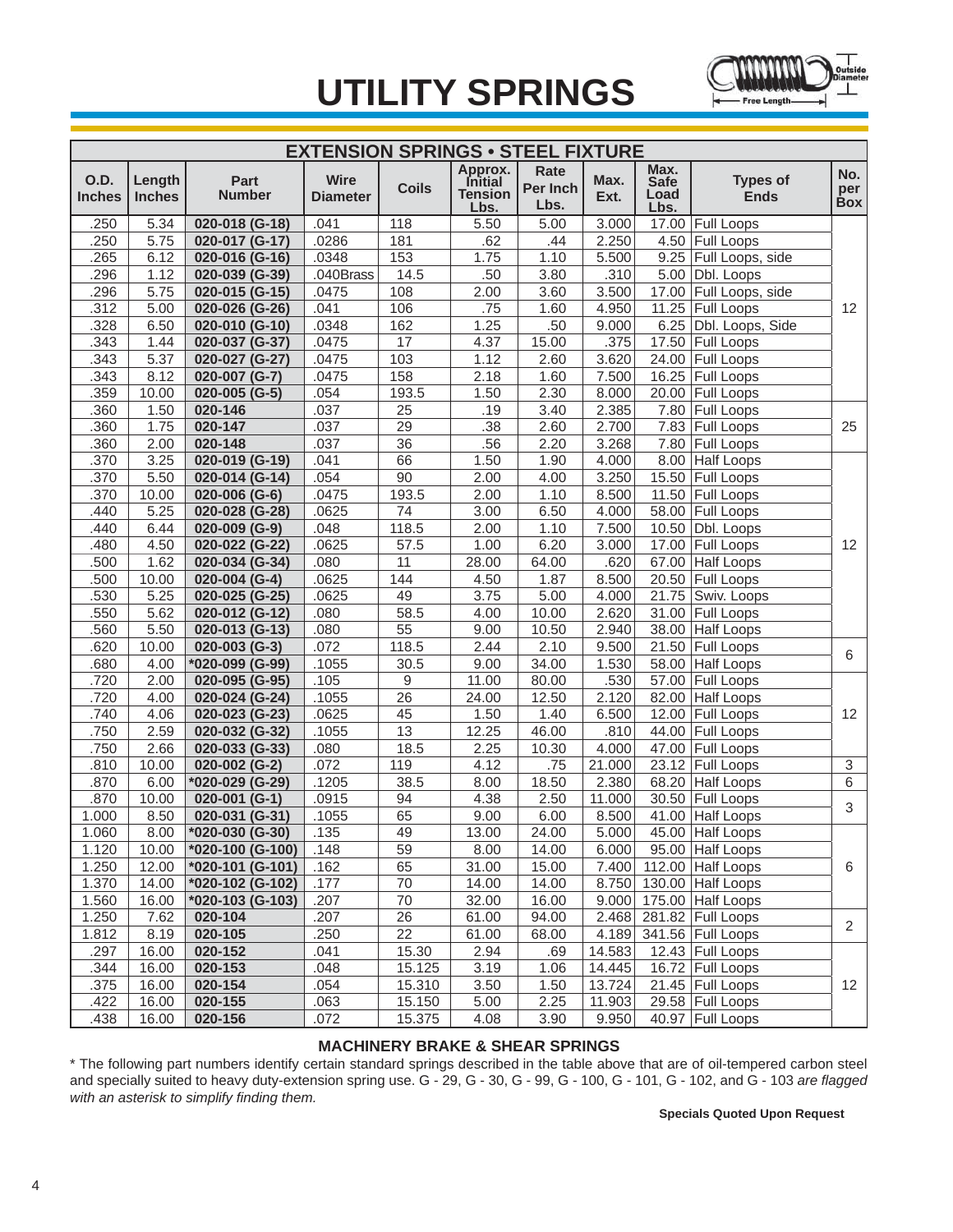

|                              | <b>EXTENSION SPRINGS . STEEL FIXTURE</b> |                         |                                |              |                                                     |                          |              |                                     |                                |                          |  |
|------------------------------|------------------------------------------|-------------------------|--------------------------------|--------------|-----------------------------------------------------|--------------------------|--------------|-------------------------------------|--------------------------------|--------------------------|--|
| <b>O.D.</b><br><b>Inches</b> | Length<br><b>Inches</b>                  | Part<br><b>Number</b>   | <b>Wire</b><br><b>Diameter</b> | <b>Coils</b> | Approx.<br><b>Initial</b><br><b>Tension</b><br>Lbs. | Rate<br>Per Inch<br>Lbs. | Max.<br>Ext. | Max.<br><b>Safe</b><br>Load<br>Lbs. | <b>Types of</b><br><b>Ends</b> | No.<br>per<br><b>Box</b> |  |
| .250                         | 5.34                                     | 020-018 (G-18)          | .041                           | 118          | 5.50                                                | 5.00                     | 3.000        |                                     | 17.00 Full Loops               |                          |  |
| .250                         | 5.75                                     | 020-017 (G-17)          | .0286                          | 181          | .62                                                 | .44                      | 2.250        |                                     | 4.50 Full Loops                |                          |  |
| .265                         | 6.12                                     | 020-016 (G-16)          | .0348                          | 153          | 1.75                                                | 1.10                     | 5.500        |                                     | 9.25 Full Loops, side          |                          |  |
| .296                         | 1.12                                     | 020-039 (G-39)          | .040Brass                      | 14.5         | .50                                                 | 3.80                     | .310         |                                     | $5.00$ Dbl. Loops              |                          |  |
| .296                         | 5.75                                     | 020-015 (G-15)          | .0475                          | 108          | 2.00                                                | 3.60                     | 3.500        |                                     | 17.00 Full Loops, side         |                          |  |
| .312                         | 5.00                                     | 020-026 (G-26)          | .041                           | 106          | .75                                                 | 1.60                     | 4.950        |                                     | 11.25 Full Loops               | 12                       |  |
| .328                         | 6.50                                     | 020-010 (G-10)          | .0348                          | 162          | 1.25                                                | .50                      | 9.000        |                                     | 6.25 Dbl. Loops, Side          |                          |  |
| .343                         | 1.44                                     | 020-037 (G-37)          | .0475                          | 17           | 4.37                                                | 15.00                    | .375         |                                     | 17.50 Full Loops               |                          |  |
| .343                         | 5.37                                     | 020-027 (G-27)          | .0475                          | 103          | 1.12                                                | 2.60                     | 3.620        |                                     | 24.00 Full Loops               |                          |  |
| .343                         | 8.12                                     | 020-007 (G-7)           | .0475                          | 158          | 2.18                                                | 1.60                     | 7.500        |                                     | 16.25 Full Loops               |                          |  |
| .359                         | 10.00                                    | 020-005 (G-5)           | .054                           | 193.5        | 1.50                                                | 2.30                     | 8.000        |                                     | 20.00 Full Loops               |                          |  |
| .360                         | 1.50                                     | 020-146                 | .037                           | 25           | .19                                                 | 3.40                     | 2.385        |                                     | 7.80 Full Loops                |                          |  |
| .360                         | 1.75                                     | 020-147                 | .037                           | 29           | .38                                                 | 2.60                     | 2.700        |                                     | 7.83 Full Loops                | 25                       |  |
| .360                         | 2.00                                     | 020-148                 | .037                           | 36           | .56                                                 | 2.20                     | 3.268        |                                     | 7.80 Full Loops                |                          |  |
| .370                         | 3.25                                     | 020-019 (G-19)          | .041                           | 66           | 1.50                                                | 1.90                     | 4.000        |                                     | 8.00 Half Loops                |                          |  |
| .370                         | 5.50                                     | 020-014 (G-14)          | .054                           | 90           | 2.00                                                | 4.00                     | 3.250        |                                     | 15.50 Full Loops               |                          |  |
| .370                         | 10.00                                    | 020-006 (G-6)           | .0475                          | 193.5        | 2.00                                                | 1.10                     | 8.500        |                                     | 11.50 Full Loops               |                          |  |
| .440                         | 5.25                                     | 020-028 (G-28)          | .0625                          | 74           | 3.00                                                | 6.50                     | 4.000        |                                     | 58.00 Full Loops               |                          |  |
| .440                         | 6.44                                     | 020-009 (G-9)           | .048                           | 118.5        | 2.00                                                | 1.10                     | 7.500        |                                     | 10.50   Dbl. Loops             |                          |  |
| .480                         | 4.50                                     | 020-022 (G-22)          | .0625                          | 57.5         | 1.00                                                | 6.20                     | 3.000        |                                     | 17.00 Full Loops               | 12                       |  |
| .500                         | 1.62                                     | 020-034 (G-34)          | .080                           | 11           | 28.00                                               | 64.00                    | .620         |                                     | 67.00 Half Loops               |                          |  |
| .500                         | 10.00                                    | $020-004$ (G-4)         | .0625                          | 144          | 4.50                                                | 1.87                     | 8.500        |                                     | 20.50 Full Loops               |                          |  |
| .530                         | 5.25                                     | 020-025 (G-25)          | .0625                          | 49           | 3.75                                                | 5.00                     | 4.000        |                                     | 21.75 Swiv. Loops              |                          |  |
| .550                         | 5.62                                     | 020-012 (G-12)          | .080                           | 58.5         | 4.00                                                | 10.00                    | 2.620        |                                     | 31.00 Full Loops               |                          |  |
| .560                         | 5.50                                     | 020-013 (G-13)          | .080                           | 55           | 9.00                                                | 10.50                    | 2.940        |                                     | 38.00 Half Loops               |                          |  |
| .620                         | 10.00                                    | 020-003 (G-3)           | .072                           | 118.5        | 2.44                                                | 2.10                     | 9.500        |                                     | 21.50 Full Loops               | 6                        |  |
| .680                         | 4.00                                     | *020-099 (G-99)         | .1055                          | 30.5         | 9.00                                                | 34.00                    | 1.530        |                                     | 58.00 Half Loops               |                          |  |
| .720                         | 2.00                                     | 020-095 (G-95)          | .105                           | 9            | 11.00                                               | 80.00                    | .530         |                                     | 57.00 Full Loops               |                          |  |
| .720                         | 4.00                                     | 020-024 (G-24)          | .1055                          | 26           | 24.00                                               | 12.50                    | 2.120        |                                     | 82.00 Half Loops               |                          |  |
| .740                         | 4.06                                     | 020-023 (G-23)          | .0625                          | 45           | 1.50                                                | 1.40                     | 6.500        |                                     | 12.00 Full Loops               | 12                       |  |
| .750                         | 2.59                                     | 020-032 (G-32)          | .1055                          | 13           | 12.25                                               | 46.00                    | .810         |                                     | 44.00 Full Loops               |                          |  |
| .750                         | 2.66                                     | 020-033 (G-33)          | .080                           | 18.5         | 2.25                                                | 10.30                    | 4.000        |                                     | 47.00 Full Loops               |                          |  |
| .810                         | 10.00                                    | 020-002 (G-2)           | .072                           | 119          | 4.12                                                | .75                      | 21.000       |                                     | 23.12 Full Loops               | $\sqrt{3}$               |  |
| .870                         | 6.00                                     | *020-029 (G-29)         | .1205                          | 38.5         | 8.00                                                | 18.50                    | 2.380        |                                     | 68.20 Half Loops               | 6                        |  |
| .870                         | 10.00                                    | 020-001 (G-1)           | .0915                          | 94           | 4.38                                                | 2.50                     | 11.000       |                                     | 30.50 Full Loops               | 3                        |  |
| 1.000                        | 8.50                                     | 020-031 (G-31)          | .1055                          | 65           | 9.00                                                | 6.00                     | 8.500        |                                     | 41.00 Half Loops               |                          |  |
| 1.060                        | 8.00                                     | $\sqrt{620-030}$ (G-30) | $\vert$ .135                   | 49           | 13.00                                               | 24.00                    | 5.000        |                                     | 45.00 Half Loops               |                          |  |
| 1.120                        | 10.00                                    | *020-100 (G-100)        | .148                           | 59           | 8.00                                                | 14.00                    | 6.000        |                                     | 95.00 Half Loops               |                          |  |
| 1.250                        | 12.00                                    | *020-101 (G-101)        | .162                           | 65           | 31.00                                               | 15.00                    | 7.400        |                                     | 112.00 Half Loops              | 6                        |  |
| 1.370                        | 14.00                                    | *020-102 (G-102)        | .177                           | 70           | 14.00                                               | 14.00                    | 8.750        |                                     | 130.00 Half Loops              |                          |  |
| 1.560                        | 16.00                                    | *020-103 (G-103)        | .207                           | 70           | 32.00                                               | 16.00                    | 9.000        |                                     | 175.00 Half Loops              |                          |  |
| 1.250                        | 7.62                                     | 020-104                 | .207                           | 26           | 61.00                                               | 94.00                    | 2.468        |                                     | 281.82 Full Loops              | $\overline{2}$           |  |
| 1.812                        | 8.19                                     | 020-105                 | .250                           | 22           | 61.00                                               | 68.00                    | 4.189        |                                     | 341.56 Full Loops              |                          |  |
| .297                         | 16.00                                    | 020-152                 | .041                           | 15.30        | 2.94                                                | .69                      | 14.583       |                                     | 12.43 Full Loops               |                          |  |
| .344                         | 16.00                                    | 020-153                 | .048                           | 15.125       | 3.19                                                | 1.06                     | 14.445       |                                     | 16.72 Full Loops               |                          |  |
| .375                         | 16.00                                    | 020-154                 | .054                           | 15.310       | 3.50                                                | 1.50                     | 13.724       |                                     | 21.45   Full Loops             | 12                       |  |
| .422                         | 16.00                                    | 020-155                 | .063                           | 15.150       | 5.00                                                | 2.25                     | 11.903       |                                     | 29.58 Full Loops               |                          |  |
| .438                         | 16.00                                    | 020-156                 | .072                           | 15.375       | 4.08                                                | 3.90                     | 9.950        |                                     | 40.97 Full Loops               |                          |  |

## **MACHINERY BRAKE & SHEAR SPRINGS**

\* The following part numbers identify certain standard springs described in the table above that are of oil-tempered carbon steel and specially suited to heavy duty-extension spring use. G - 29, G - 30, G - 99, G - 100, G - 101, G - 102, and G - 103 *are fl agged with an asterisk to simplify finding them.*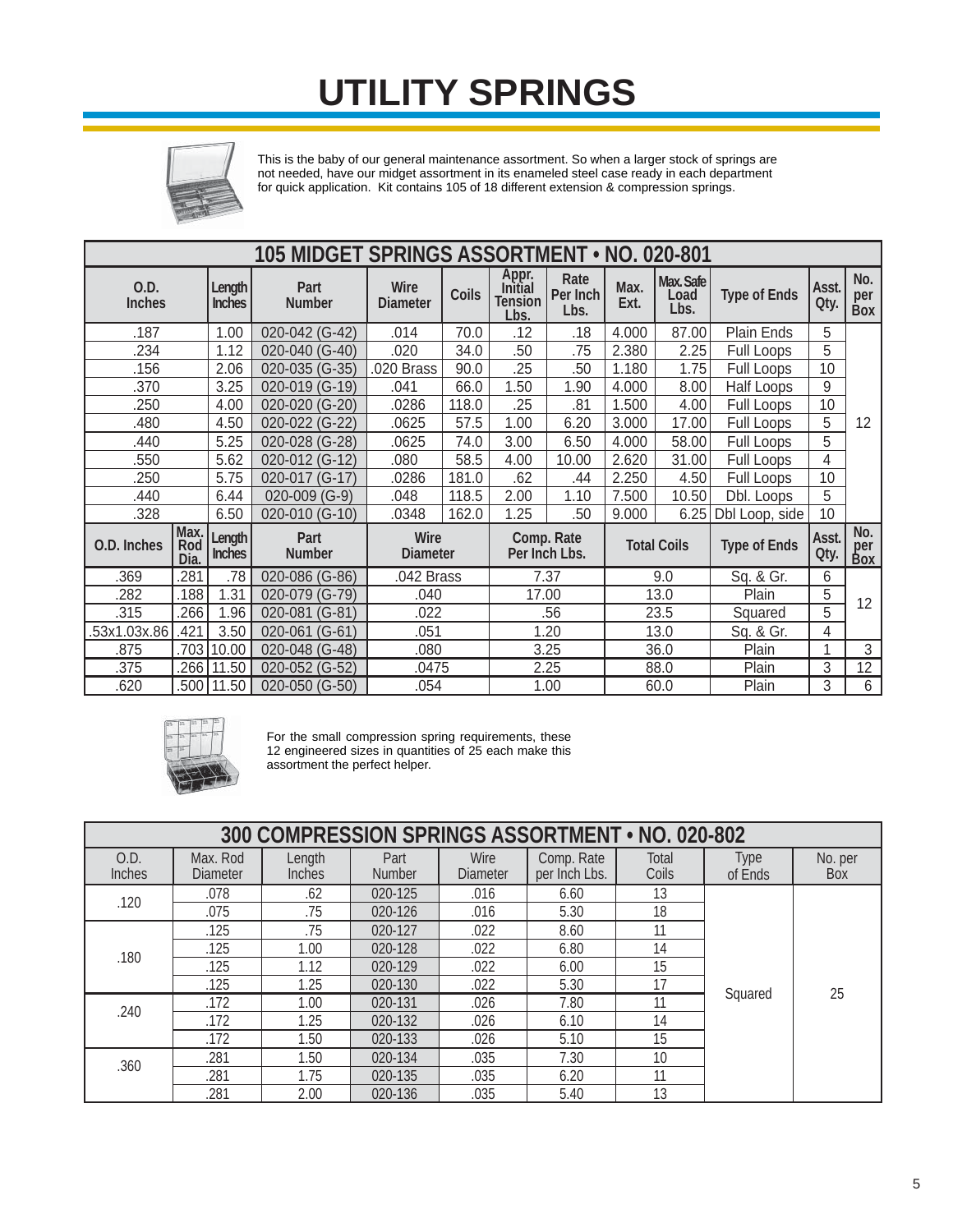

This is the baby of our general maintenance assortment. So when a larger stock of springs are not needed, have our midget assortment in its enameled steel case ready in each department for quick application. Kit contains 105 of 18 different extension & compression springs.

|                       | 105 MIDGET SPRINGS ASSORTMENT . NO. 020-801 |                                |                       |                                |              |                                            |                             |              |                           |                     |               |                          |
|-----------------------|---------------------------------------------|--------------------------------|-----------------------|--------------------------------|--------------|--------------------------------------------|-----------------------------|--------------|---------------------------|---------------------|---------------|--------------------------|
| 0.D.<br><b>Inches</b> |                                             | <b>Length</b><br><b>Inches</b> | Part<br><b>Number</b> | <b>Wire</b><br><b>Diameter</b> | <b>Coils</b> | Appr.<br>Initial<br><b>Tension</b><br>Lbs. | Rate<br>Per Inch<br>Lbs.    | Max.<br>Ext. | Max. Safe<br>Load<br>Lbs. | <b>Type of Ends</b> | Asst.<br>Qty. | No.<br>per<br><b>Box</b> |
| .187                  |                                             | 1.00                           | 020-042 (G-42)        | .014                           | 70.0         | .12                                        | .18                         | 4.000        | 87.00                     | Plain Ends          | 5             |                          |
| .234                  |                                             | 1.12                           | 020-040 (G-40)        | .020                           | 34.0         | .50                                        | .75                         | 2.380        | 2.25                      | Full Loops          | 5             |                          |
| .156                  |                                             | 2.06                           | 020-035 (G-35)        | .020 Brass                     | 90.0         | .25                                        | .50                         | 1.180        | 1.75                      | Full Loops          | 10            |                          |
| .370                  |                                             | 3.25                           | 020-019 (G-19)        | .041                           | 66.0         | 1.50                                       | 1.90                        | 4.000        | 8.00                      | <b>Half Loops</b>   | 9             |                          |
| .250                  |                                             | 4.00                           | 020-020 (G-20)        | .0286                          | 118.0        | .25                                        | .81                         | 1.500        | 4.00                      | Full Loops          | 10            |                          |
| .480                  |                                             | 4.50                           | 020-022 (G-22)        | .0625                          | 57.5         | 1.00                                       | 6.20                        | 3.000        | 17.00                     | Full Loops          | 5             | 12                       |
| .440                  |                                             | 5.25                           | 020-028 (G-28)        | .0625                          | 74.0         | 3.00                                       | 6.50                        | 4.000        | 58.00                     | Full Loops          | 5             |                          |
| .550                  |                                             | 5.62                           | 020-012 (G-12)        | .080                           | 58.5         | 4.00                                       | 10.00                       | 2.620        | 31.00                     | Full Loops          | 4             |                          |
| .250                  |                                             | 5.75                           | 020-017 (G-17)        | .0286                          | 181.0        | .62                                        | .44                         | 2.250        | 4.50                      | Full Loops          | 10            |                          |
| .440                  |                                             | 6.44                           | 020-009 (G-9)         | .048                           | 118.5        | 2.00                                       | 1.10                        | 7.500        | 10.50                     | Dbl. Loops          | 5             |                          |
| .328                  |                                             | 6.50                           | 020-010 (G-10)        | .0348                          | 162.0        | 1.25                                       | .50                         | 9.000        | 6.25                      | Dbl Loop, side      | 10            |                          |
| O.D. Inches           | Max.<br>Rod<br>Dia.                         | Length<br><b>Inches</b>        | Part<br><b>Number</b> | Wire<br><b>Diameter</b>        |              |                                            | Comp. Rate<br>Per Inch Lbs. |              | <b>Total Coils</b>        | <b>Type of Ends</b> | Asst.<br>Qty. | No.<br>per<br>Box        |
| .369                  | .281                                        | .78                            | 020-086 (G-86)        | .042 Brass                     |              |                                            | 7.37                        |              | 9.0                       | Sq. & Gr.           | 6             |                          |
| .282                  | .188                                        | 1.31                           | 020-079 (G-79)        | .040                           |              | 17.00                                      |                             |              | 13.0                      | Plain               | 5             | 12                       |
| .315                  | .266                                        | 1.96                           | 020-081 (G-81)        | .022                           |              |                                            | .56                         |              | 23.5                      | Squared             | 5             |                          |
| .53x1.03x.86          | .421                                        | 3.50                           | 020-061 (G-61)        | .051                           |              |                                            | 1.20                        |              | 13.0                      | Sq. & Gr.           | 4             |                          |
| .875                  | .703                                        | 10.00                          | $020 - 048$ (G-48)    | .080                           |              |                                            | 3.25                        |              | 36.0                      | Plain               | 1             | 3                        |
| .375                  | .266                                        | 11.50                          | 020-052 (G-52)        | .0475                          |              |                                            | 2.25                        |              | 88.0                      | Plain               | 3             | 12                       |
| .620                  | .500                                        | 11.50                          | 020-050 (G-50)        | .054                           |              |                                            | 1.00                        |              | 60.0                      | Plain               | 3             | 6                        |



For the small compression spring requirements, these 12 engineered sizes in quantities of 25 each make this assortment the perfect helper.

|                | 300 COMPRESSION SPRINGS ASSORTMENT . NO. 020-802 |                         |                       |                         |                             |                |                        |                |  |  |
|----------------|--------------------------------------------------|-------------------------|-----------------------|-------------------------|-----------------------------|----------------|------------------------|----------------|--|--|
| O.D.<br>Inches | Max. Rod<br><b>Diameter</b>                      | Length<br><b>Inches</b> | Part<br><b>Number</b> | Wire<br><b>Diameter</b> | Comp. Rate<br>per Inch Lbs. | Total<br>Coils | <b>Type</b><br>of Ends | No. per<br>Box |  |  |
| .120           | .078                                             | .62                     | 020-125               | .016                    | 6.60                        | 13             |                        |                |  |  |
|                | .075                                             | .75                     | 020-126               | .016                    | 5.30                        | 18             |                        |                |  |  |
|                | .125                                             | .75                     | 020-127               | .022                    | 8.60                        | 11             |                        |                |  |  |
|                | .125                                             | 1.00                    | 020-128               | .022                    | 6.80                        | 14             |                        |                |  |  |
| .180           | .125                                             | 1.12                    | 020-129               | .022                    | 6.00                        | 15             |                        |                |  |  |
|                | .125                                             | 1.25                    | 020-130               | .022                    | 5.30                        | 17             | Squared                | 25             |  |  |
| .240           | .172                                             | 1.00                    | 020-131               | .026                    | 7.80                        | 11             |                        |                |  |  |
|                | .172                                             | 1.25                    | 020-132               | .026                    | 6.10                        | 14             |                        |                |  |  |
|                | .172                                             | 1.50                    | 020-133               | .026                    | 5.10                        | 15             |                        |                |  |  |
| .360           | .281                                             | 1.50                    | 020-134               | .035                    | 7.30                        | 10             |                        |                |  |  |
|                | .281                                             | 1.75                    | 020-135               | .035                    | 6.20                        | 11             |                        |                |  |  |
|                | .281                                             | 2.00                    | 020-136               | .035                    | 5.40                        | 13             |                        |                |  |  |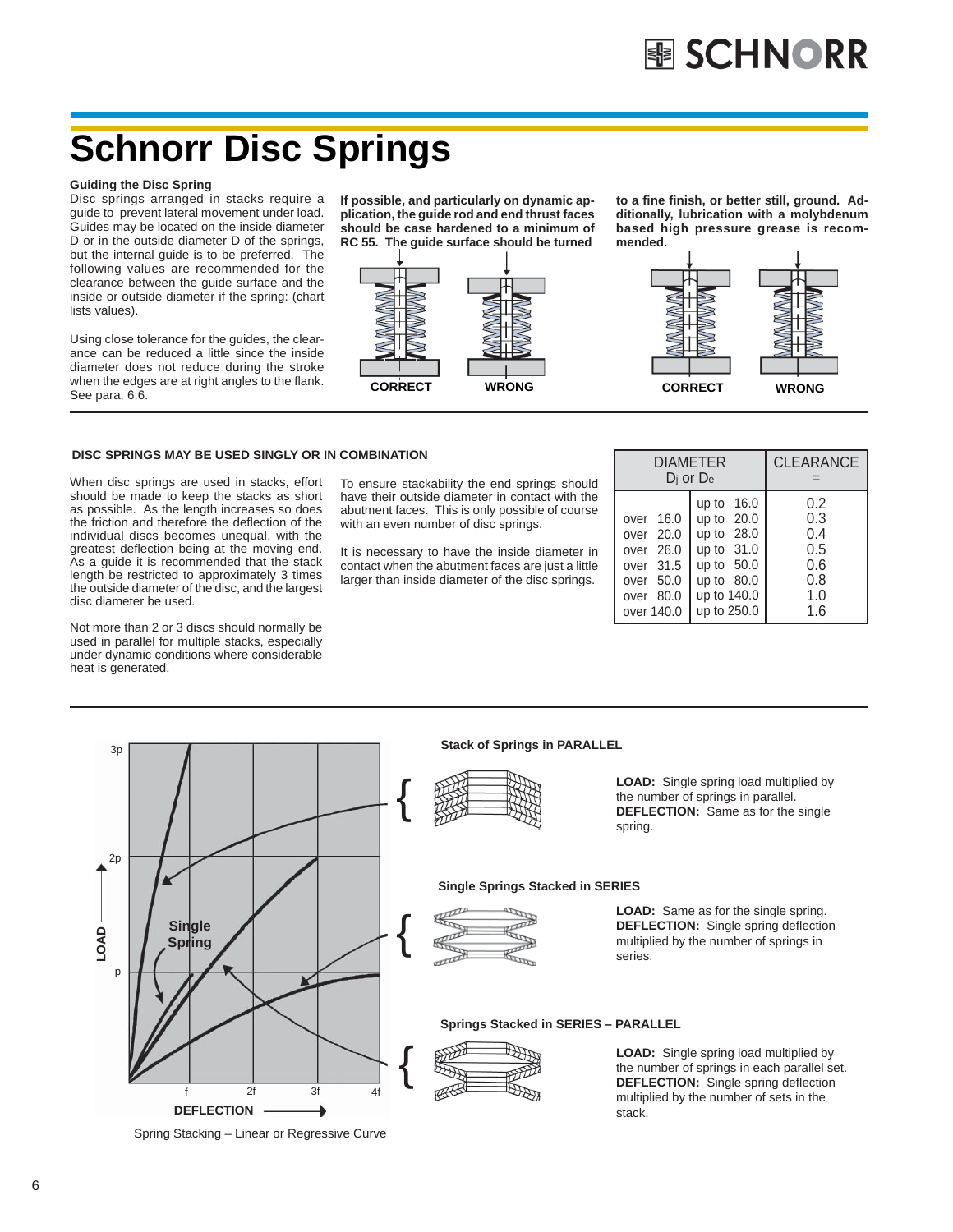# **Schnorr Disc Springs**

### **Guiding the Disc Spring**

Disc springs arranged in stacks require a guide to prevent lateral movement under load. Guides may be located on the inside diameter D or in the outside diameter D of the springs, but the internal guide is to be preferred. The following values are recommended for the clearance between the guide surface and the inside or outside diameter if the spring: (chart lists values).

Using close tolerance for the guides, the clearance can be reduced a little since the inside diameter does not reduce during the stroke when the edges are at right angles to the flank. See para. 6.6.

**If possible, and particularly on dynamic application, the guide rod and end thrust faces should be case hardened to a minimum of RC 55. The guide surface should be turned**



**to a fi ne fi nish, or better still, ground. Additionally, lubrication with a molybdenum based high pressure grease is recommended.**



## **DISC SPRINGS MAY BE USED SINGLY OR IN COMBINATION**

When disc springs are used in stacks, effort should be made to keep the stacks as short as possible. As the length increases so does the friction and therefore the deflection of the individual discs becomes unequal, with the greatest deflection being at the moving end. As a guide it is recommended that the stack length be restricted to approximately 3 times the outside diameter of the disc, and the largest disc diameter be used.

Not more than 2 or 3 discs should normally be used in parallel for multiple stacks, especially under dynamic conditions where considerable heat is generated.

To ensure stackability the end springs should have their outside diameter in contact with the abutment faces. This is only possible of course with an even number of disc springs.

It is necessary to have the inside diameter in contact when the abutment faces are just a little larger than inside diameter of the disc springs.

|                                                                                          | <b>DIAMETER</b><br>$D_i$ or $D_e$                                                                                  | <b>CLEARANCE</b>                                     |
|------------------------------------------------------------------------------------------|--------------------------------------------------------------------------------------------------------------------|------------------------------------------------------|
| over 16.0<br>over 20.0<br>over 26.0<br>over 31.5<br>over 50.0<br>over 80.0<br>over 140.0 | up to 16.0<br>up to 20.0<br>up to 28.0<br>up to 31.0<br>up to $50.0$<br>up to $80.0$<br>up to 140.0<br>up to 250.0 | 0.2<br>0.3<br>0.4<br>0.5<br>0.6<br>0.8<br>1.0<br>1.6 |



Spring Stacking – Linear or Regressive Curve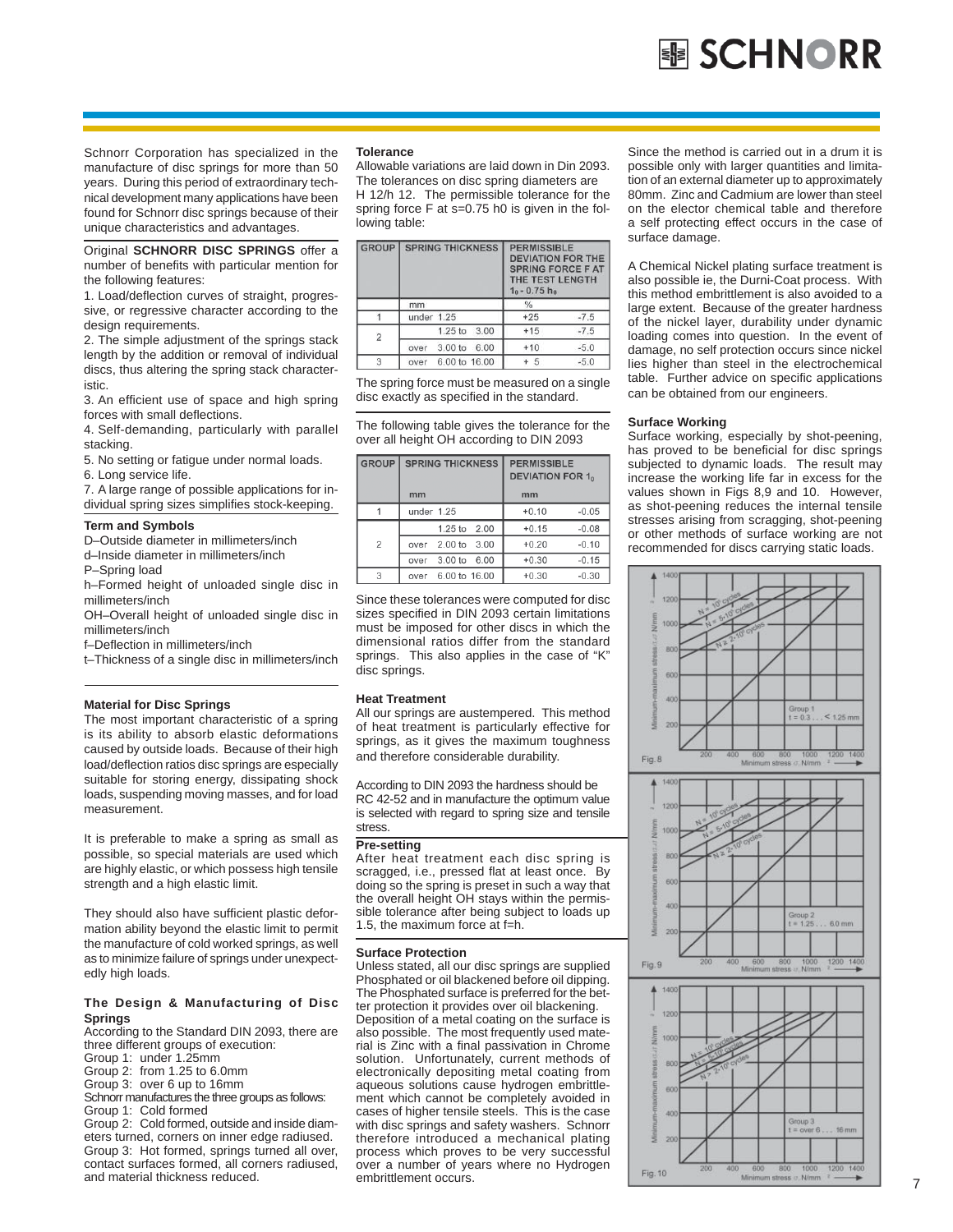Schnorr Corporation has specialized in the manufacture of disc springs for more than 50 years. During this period of extraordinary technical development many applications have been found for Schnorr disc springs because of their unique characteristics and advantages.

Original **SCHNORR DISC SPRINGS** offer a number of benefits with particular mention for the following features:

1. Load/deflection curves of straight, progressive, or regressive character according to the design requirements.

2. The simple adjustment of the springs stack length by the addition or removal of individual discs, thus altering the spring stack characteristic.

3. An efficient use of space and high spring forces with small deflections.

4. Self-demanding, particularly with parallel stacking.

5. No setting or fatigue under normal loads.

6. Long service life.

7. A large range of possible applications for individual spring sizes simplifies stock-keeping.

### **Term and Symbols**

D–Outside diameter in millimeters/inch

d–Inside diameter in millimeters/inch

P–Spring load

h–Formed height of unloaded single disc in millimeters/inch

OH–Overall height of unloaded single disc in millimeters/inch

f-Deflection in millimeters/inch

t–Thickness of a single disc in millimeters/inch

## **Material for Disc Springs**

The most important characteristic of a spring is its ability to absorb elastic deformations caused by outside loads. Because of their high load/deflection ratios disc springs are especially suitable for storing energy, dissipating shock loads, suspending moving masses, and for load measurement.

It is preferable to make a spring as small as possible, so special materials are used which are highly elastic, or which possess high tensile strength and a high elastic limit.

They should also have sufficient plastic deformation ability beyond the elastic limit to permit the manufacture of cold worked springs, as well as to minimize failure of springs under unexpectedly high loads.

### **The Design & Manufacturing of Disc Springs**

According to the Standard DIN 2093, there are three different groups of execution:

Group 1: under 1.25mm

Group 2: from 1.25 to 6.0mm

Group 3: over 6 up to 16mm

Schnorr manufactures the three groups as follows: Group 1: Cold formed

Group 2: Cold formed, outside and inside diameters turned, corners on inner edge radiused. Group 3: Hot formed, springs turned all over, contact surfaces formed, all corners radiused, and material thickness reduced.

### **Tolerance**

Allowable variations are laid down in Din 2093. The tolerances on disc spring diameters are H 12/h 12. The permissible tolerance for the spring force F at s=0.75 h0 is given in the following table:

| <b>GROUP</b>   | <b>SPRING THICKNESS</b>            | <b>PERMISSIBLE</b><br><b>DEVIATION FOR THE</b><br><b>SPRING FORCE F AT</b><br>THE TEST LENGTH<br>$10 - 0.75 h_0$ |
|----------------|------------------------------------|------------------------------------------------------------------------------------------------------------------|
|                | mm                                 | $\frac{0}{0}$                                                                                                    |
|                | under 1.25                         | $+25$<br>$-7.5$                                                                                                  |
| $\overline{2}$ | 1.25 to 3.00                       | $+15$<br>$-7.5$                                                                                                  |
|                | 3.00 <sub>to</sub><br>6.00<br>over | $-5.0$<br>$+10$                                                                                                  |
| 3              | 6.00 to 16.00<br>over              | $-5.0$<br>$+5$                                                                                                   |

The spring force must be measured on a single disc exactly as specified in the standard.

The following table gives the tolerance for the over all height OH according to DIN 2093

| <b>GROUP</b> | <b>SPRING THICKNESS</b> | <b>PERMISSIBLE</b><br><b>DEVIATION FOR 1.</b> |
|--------------|-------------------------|-----------------------------------------------|
|              | mm                      | mm                                            |
|              | under 1.25              | $-0.05$<br>$+0.10$                            |
|              | 1.25 to 2.00            | $+0.15$<br>$-0.08$                            |
| 2            | 2.00 to 3.00<br>over    | $-0.10$<br>$+0.20$                            |
|              | 3.00 to 6.00<br>over    | $+0.30$<br>$-0.15$                            |
| 3            | 6.00 to 16.00<br>over   | $-0.30$<br>$+0.30$                            |

Since these tolerances were computed for disc sizes specified in DIN 2093 certain limitations must be imposed for other discs in which the dimensional ratios differ from the standard springs. This also applies in the case of "K" disc springs.

## **Heat Treatment**

All our springs are austempered. This method of heat treatment is particularly effective for springs, as it gives the maximum toughness and therefore considerable durability.

According to DIN 2093 the hardness should be RC 42-52 and in manufacture the optimum value is selected with regard to spring size and tensile stress.

### **Pre-setting**

After heat treatment each disc spring is scragged, i.e., pressed flat at least once. By doing so the spring is preset in such a way that the overall height OH stays within the permissible tolerance after being subject to loads up 1.5, the maximum force at f=h.

### **Surface Protection**

Unless stated, all our disc springs are supplied Phosphated or oil blackened before oil dipping. The Phosphated surface is preferred for the better protection it provides over oil blackening. Deposition of a metal coating on the surface is also possible. The most frequently used material is Zinc with a final passivation in Chrome solution. Unfortunately, current methods of electronically depositing metal coating from aqueous solutions cause hydrogen embrittlement which cannot be completely avoided in cases of higher tensile steels. This is the case with disc springs and safety washers. Schnorr therefore introduced a mechanical plating process which proves to be very successful over a number of years where no Hydrogen embrittlement occurs.

Since the method is carried out in a drum it is possible only with larger quantities and limitation of an external diameter up to approximately 80mm. Zinc and Cadmium are lower than steel on the elector chemical table and therefore a self protecting effect occurs in the case of surface damage.

A Chemical Nickel plating surface treatment is also possible ie, the Durni-Coat process. With this method embrittlement is also avoided to a large extent. Because of the greater hardness of the nickel layer, durability under dynamic loading comes into question. In the event of damage, no self protection occurs since nickel lies higher than steel in the electrochemical table. Further advice on specific applications can be obtained from our engineers.

## **Surface Working**

Surface working, especially by shot-peening, has proved to be beneficial for disc springs subjected to dynamic loads. The result may increase the working life far in excess for the values shown in Figs 8,9 and 10. However, as shot-peening reduces the internal tensile stresses arising from scragging, shot-peening or other methods of surface working are not recommended for discs carrying static loads.

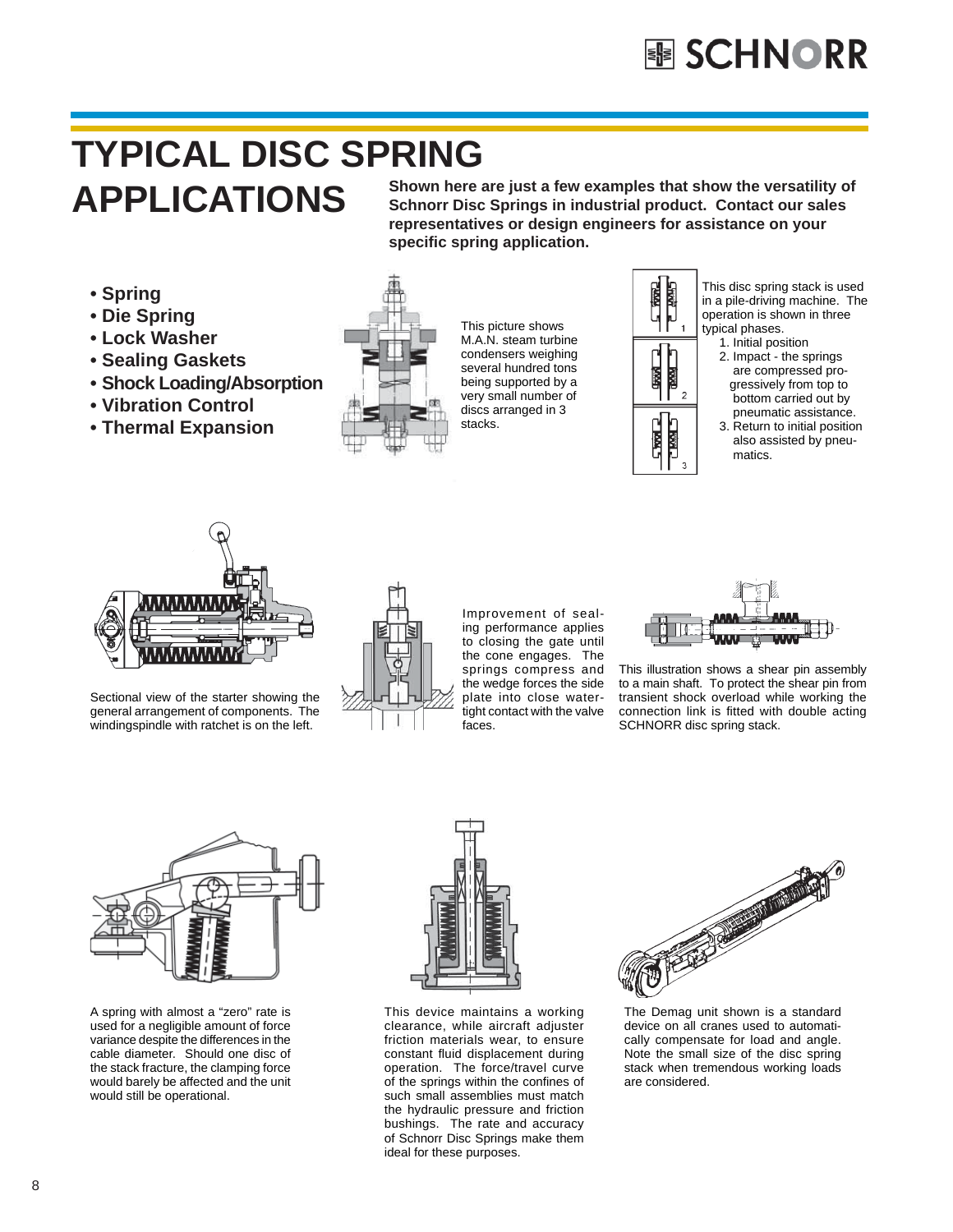# **TYPICAL DISC SPRING APPLICATIONS**

**Shown here are just a few examples that show the versatility of Schnorr Disc Springs in industrial product. Contact our sales representatives or design engineers for assistance on your specifi c spring application.**

- **Spring**
- **Die Spring**
- **Lock Washer**
- **Sealing Gaskets**
- **Shock Loading/Absorption**
- **Vibration Control**
- **Thermal Expansion**



This picture shows M.A.N. steam turbine condensers weighing several hundred tons being supported by a very small number of discs arranged in 3 stacks.



This disc spring stack is used in a pile-driving machine. The operation is shown in three typical phases.

- 1. Initial position
- 2. Impact the springs are compressed pro gressively from top to bottom carried out by pneumatic assistance.
- 3. Return to initial position also assisted by pneu matics.



Sectional view of the starter showing the general arrangement of components. The windingspindle with ratchet is on the left.



Improvement of sealing performance applies to closing the gate until the cone engages. The springs compress and the wedge forces the side plate into close watertight contact with the valve faces.



This illustration shows a shear pin assembly to a main shaft. To protect the shear pin from transient shock overload while working the connection link is fitted with double acting SCHNORR disc spring stack.



A spring with almost a "zero" rate is used for a negligible amount of force variance despite the differences in the cable diameter. Should one disc of the stack fracture, the clamping force would barely be affected and the unit would still be operational.



This device maintains a working clearance, while aircraft adjuster friction materials wear, to ensure constant fluid displacement during operation. The force/travel curve of the springs within the confines of such small assemblies must match the hydraulic pressure and friction bushings. The rate and accuracy of Schnorr Disc Springs make them ideal for these purposes.



The Demag unit shown is a standard device on all cranes used to automatically compensate for load and angle. Note the small size of the disc spring stack when tremendous working loads are considered.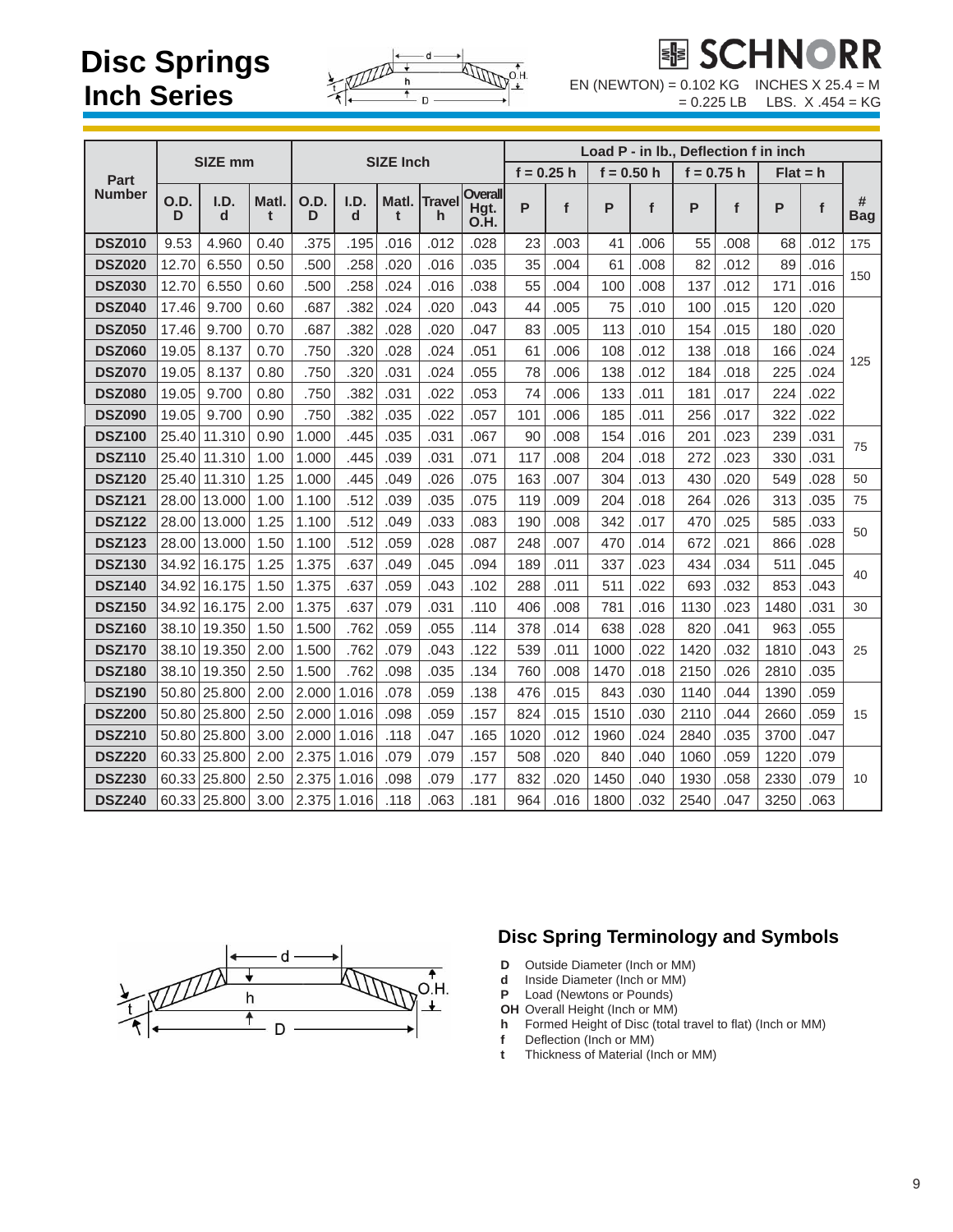# **Disc Springs Inch Series**



EN (NEWTON) =  $0.102$  KG INCHES X 25.4 = M

 $= 0.225$  LB LBS.  $X .454 = KG$ 

| <b>SIZE mm</b> |           |              |            |           | <b>SIZE Inch</b> |            |                     | Load P - in Ib., Deflection f in inch |              |      |              |      |              |      |            |      |                 |
|----------------|-----------|--------------|------------|-----------|------------------|------------|---------------------|---------------------------------------|--------------|------|--------------|------|--------------|------|------------|------|-----------------|
| Part           |           |              |            |           |                  |            |                     |                                       | $f = 0.25 h$ |      | $f = 0.50 h$ |      | $f = 0.75 h$ |      | $Flat = h$ |      |                 |
| Number         | O.D.<br>D | I.D.<br>d    | Matl.<br>t | O.D.<br>D | I.D.<br>d        | Matl.<br>t | <b>Travel</b><br>h. | <b>Overall</b><br>Hgt.<br>O.H.        | P            | f    | P            | f    | P            | f    | P          | f    | #<br><b>Bag</b> |
| <b>DSZ010</b>  | 9.53      | 4.960        | 0.40       | .375      | .195             | .016       | .012                | .028                                  | 23           | .003 | 41           | .006 | 55           | .008 | 68         | .012 | 175             |
| <b>DSZ020</b>  | 12.70     | 6.550        | 0.50       | .500      | .258             | .020       | .016                | .035                                  | 35           | .004 | 61           | .008 | 82           | .012 | 89         | .016 | 150             |
| <b>DSZ030</b>  | 12.70     | 6.550        | 0.60       | .500      | .258             | .024       | .016                | .038                                  | 55           | .004 | 100          | .008 | 137          | .012 | 171        | .016 |                 |
| <b>DSZ040</b>  | 17.46     | 9.700        | 0.60       | .687      | .382             | .024       | .020                | .043                                  | 44           | .005 | 75           | .010 | 100          | .015 | 120        | .020 |                 |
| <b>DSZ050</b>  | 17.46     | 9.700        | 0.70       | .687      | .382             | .028       | .020                | .047                                  | 83           | .005 | 113          | .010 | 154          | .015 | 180        | .020 |                 |
| <b>DSZ060</b>  | 19.05     | 8.137        | 0.70       | .750      | .320             | .028       | .024                | .051                                  | 61           | .006 | 108          | .012 | 138          | .018 | 166        | .024 | 125             |
| <b>DSZ070</b>  | 19.05     | 8.137        | 0.80       | .750      | .320             | .031       | .024                | .055                                  | 78           | .006 | 138          | .012 | 184          | .018 | 225        | .024 |                 |
| <b>DSZ080</b>  | 19.05     | 9.700        | 0.80       | .750      | .382             | .031       | .022                | .053                                  | 74           | .006 | 133          | .011 | 181          | .017 | 224        | .022 |                 |
| <b>DSZ090</b>  | 19.05     | 9.700        | 0.90       | .750      | .382             | .035       | .022                | .057                                  | 101          | .006 | 185          | .011 | 256          | .017 | 322        | .022 |                 |
| <b>DSZ100</b>  | 25.40     | 11.310       | 0.90       | 1.000     | .445             | .035       | .031                | .067                                  | 90           | .008 | 154          | .016 | 201          | .023 | 239        | .031 | 75              |
| <b>DSZ110</b>  | 25.40     | 11.310       | 1.00       | 1.000     | .445             | .039       | .031                | .071                                  | 117          | .008 | 204          | .018 | 272          | .023 | 330        | .031 |                 |
| <b>DSZ120</b>  | 25.40     | 11.310       | 1.25       | 1.000     | .445             | .049       | .026                | .075                                  | 163          | .007 | 304          | .013 | 430          | .020 | 549        | .028 | 50              |
| <b>DSZ121</b>  |           | 28.00 13.000 | 1.00       | 1.100     | .512             | .039       | .035                | .075                                  | 119          | .009 | 204          | .018 | 264          | .026 | 313        | .035 | 75              |
| <b>DSZ122</b>  |           | 28.00 13.000 | 1.25       | 1.100     | .512             | .049       | .033                | .083                                  | 190          | .008 | 342          | .017 | 470          | .025 | 585        | .033 | 50              |
| <b>DSZ123</b>  |           | 28.00 13.000 | 1.50       | 1.100     | .512             | .059       | .028                | .087                                  | 248          | .007 | 470          | .014 | 672          | .021 | 866        | .028 |                 |
| <b>DSZ130</b>  | 34.92     | 16.175       | 1.25       | 1.375     | .637             | .049       | .045                | .094                                  | 189          | .011 | 337          | .023 | 434          | .034 | 511        | .045 | 40              |
| <b>DSZ140</b>  |           | 34.92 16.175 | 1.50       | 1.375     | .637             | .059       | .043                | .102                                  | 288          | .011 | 511          | .022 | 693          | .032 | 853        | .043 |                 |
| <b>DSZ150</b>  |           | 34.92 16.175 | 2.00       | 1.375     | .637             | .079       | .031                | .110                                  | 406          | .008 | 781          | .016 | 1130         | .023 | 1480       | .031 | 30              |
| <b>DSZ160</b>  |           | 38.10 19.350 | 1.50       | 1.500     | .762             | .059       | .055                | .114                                  | 378          | .014 | 638          | .028 | 820          | .041 | 963        | .055 |                 |
| <b>DSZ170</b>  |           | 38.10 19.350 | 2.00       | 1.500     | .762             | .079       | .043                | .122                                  | 539          | .011 | 1000         | .022 | 1420         | .032 | 1810       | .043 | 25              |
| <b>DSZ180</b>  |           | 38.10 19.350 | 2.50       | 1.500     | .762             | .098       | .035                | .134                                  | 760          | .008 | 1470         | .018 | 2150         | .026 | 2810       | .035 |                 |
| <b>DSZ190</b>  |           | 50.80 25.800 | 2.00       | 2.000     | 1.016            | .078       | .059                | .138                                  | 476          | .015 | 843          | .030 | 1140         | .044 | 1390       | .059 |                 |
| <b>DSZ200</b>  |           | 50.80 25.800 | 2.50       | 2.000     | 1.016            | .098       | .059                | .157                                  | 824          | .015 | 1510         | .030 | 2110         | .044 | 2660       | .059 | 15              |
| <b>DSZ210</b>  |           | 50.80 25.800 | 3.00       | 2.000     | 1.016            | .118       | .047                | .165                                  | 1020         | .012 | 1960         | .024 | 2840         | .035 | 3700       | .047 |                 |
| <b>DSZ220</b>  |           | 60.33 25.800 | 2.00       | 2.375     | 1.016            | .079       | .079                | .157                                  | 508          | .020 | 840          | .040 | 1060         | .059 | 1220       | .079 |                 |
| <b>DSZ230</b>  |           | 60.33 25.800 | 2.50       | 2.375     | 1.016            | .098       | .079                | .177                                  | 832          | .020 | 1450         | .040 | 1930         | .058 | 2330       | .079 | 10 <sup>1</sup> |
| <b>DSZ240</b>  |           | 60.33 25.800 | 3.00       | 2.375     | 1.016            | .118       | .063                | .181                                  | 964          | .016 | 1800         | .032 | 2540         | .047 | 3250       | .063 |                 |



## **Disc Spring Terminology and Symbols**

- **D** Outside Diameter (Inch or MM)
- **d** Inside Diameter (Inch or MM)<br>**P** Load (Newtons or Pounds)
- Load (Newtons or Pounds)
- **OH** Overall Height (Inch or MM)<br>**h** Formed Height of Disc (total
- Formed Height of Disc (total travel to flat) (Inch or MM)
- **f** Deflection (Inch or MM)
- **t** Thickness of Material (Inch or MM)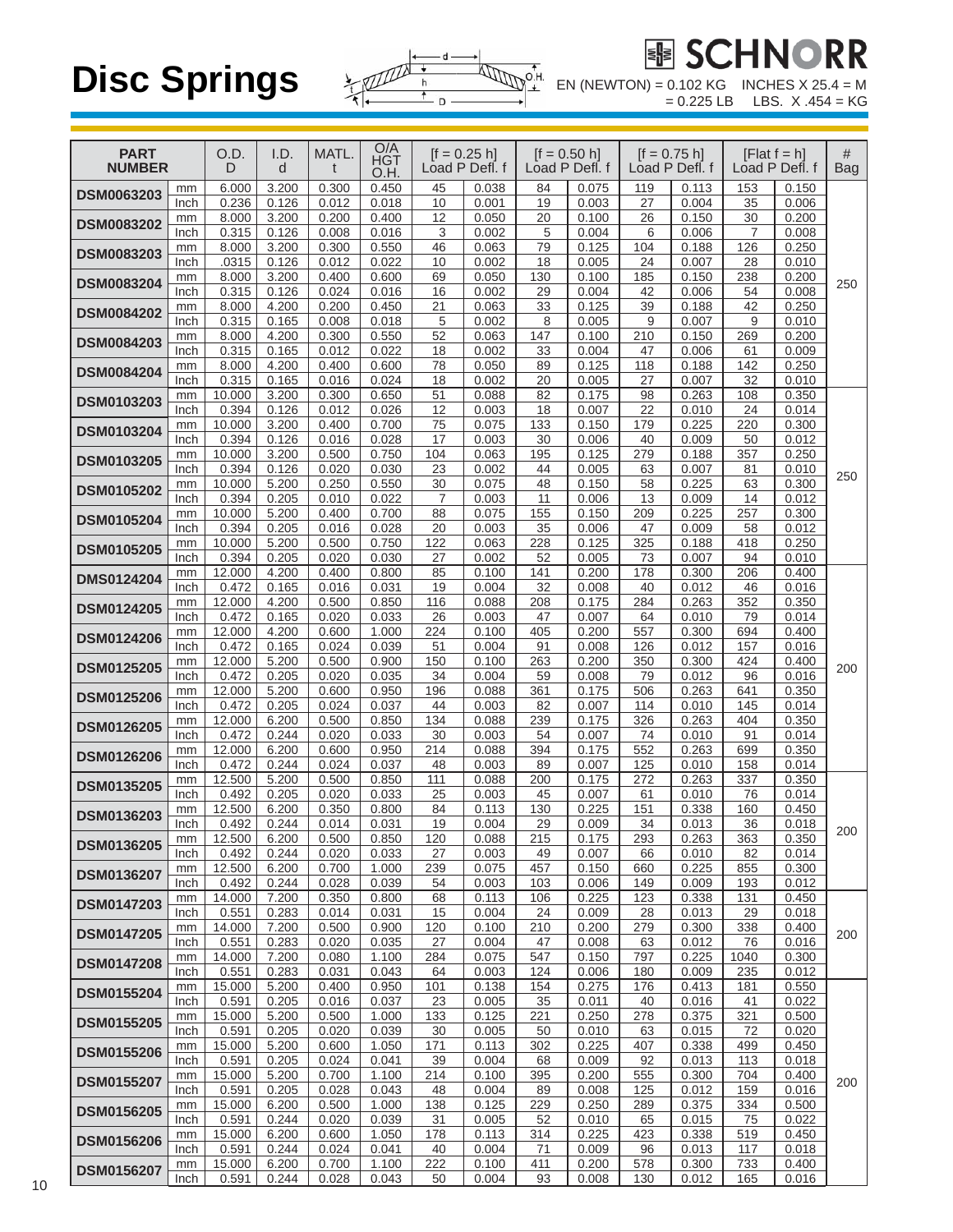

 $EN (NEWTON) = 0.102 KG = 0.225 LB$ 

| <b>PART</b><br><b>NUMBER</b> |            | O.D.<br>D       | I.D.<br>d      | MATL.          | $\frac{O/A}{HGT}$<br>O.H. |                | $[f = 0.25 h]$<br>Load P Defl. f |           | $[f = 0.50 h]$<br>Load P Defl. f |            | $[f = 0.75 h]$<br>Load P Defl. f |                | [Flat $f = h$ ]<br>Load P Defl. f | #<br><b>Bag</b> |
|------------------------------|------------|-----------------|----------------|----------------|---------------------------|----------------|----------------------------------|-----------|----------------------------------|------------|----------------------------------|----------------|-----------------------------------|-----------------|
| <b>DSM0063203</b>            | mm<br>Inch | 6.000<br>0.236  | 3.200<br>0.126 | 0.300<br>0.012 | 0.450<br>0.018            | 45<br>10       | 0.038<br>0.001                   | 84<br>19  | 0.075<br>0.003                   | 119<br>27  | 0.113<br>0.004                   | 153<br>35      | 0.150<br>0.006                    |                 |
| <b>DSM0083202</b>            | mm         | 8.000           | 3.200          | 0.200          | 0.400                     | 12             | 0.050                            | 20        | 0.100                            | 26         | 0.150                            | 30             | 0.200                             |                 |
|                              | Inch       | 0.315           | 0.126          | 0.008          | 0.016                     | 3              | 0.002                            | 5         | 0.004                            | 6          | 0.006                            | $\overline{7}$ | 0.008                             |                 |
| <b>DSM0083203</b>            | mm<br>Inch | 8.000<br>.0315  | 3.200<br>0.126 | 0.300<br>0.012 | 0.550<br>0.022            | 46<br>10       | 0.063<br>0.002                   | 79<br>18  | 0.125<br>0.005                   | 104<br>24  | 0.188<br>0.007                   | 126<br>28      | 0.250<br>0.010                    |                 |
| <b>DSM0083204</b>            | mm         | 8.000           | 3.200          | 0.400          | 0.600                     | 69             | 0.050                            | 130       | 0.100                            | 185        | 0.150                            | 238            | 0.200                             | 250             |
|                              | Inch<br>mm | 0.315<br>8.000  | 0.126<br>4.200 | 0.024<br>0.200 | 0.016<br>0.450            | 16<br>21       | 0.002<br>0.063                   | 29<br>33  | 0.004<br>0.125                   | 42<br>39   | 0.006<br>0.188                   | 54<br>42       | 0.008<br>0.250                    |                 |
| <b>DSM0084202</b>            | Inch       | 0.315           | 0.165          | 0.008          | 0.018                     | 5              | 0.002                            | 8         | 0.005                            | 9          | 0.007                            | 9              | 0.010                             |                 |
| <b>DSM0084203</b>            | mm         | 8.000           | 4.200          | 0.300          | 0.550                     | 52             | 0.063                            | 147       | 0.100                            | 210        | 0.150                            | 269            | 0.200                             |                 |
|                              | Inch<br>mm | 0.315<br>8.000  | 0.165<br>4.200 | 0.012<br>0.400 | 0.022<br>0.600            | 18<br>78       | 0.002<br>0.050                   | 33<br>89  | 0.004<br>0.125                   | 47<br>118  | 0.006<br>0.188                   | 61<br>142      | 0.009<br>0.250                    |                 |
| <b>DSM0084204</b>            | Inch       | 0.315           | 0.165          | 0.016          | 0.024                     | 18             | 0.002                            | 20        | 0.005                            | 27         | 0.007                            | 32             | 0.010                             |                 |
| <b>DSM0103203</b>            | mm         | 10.000          | 3.200          | 0.300          | 0.650                     | 51             | 0.088                            | 82        | 0.175                            | 98         | 0.263                            | 108            | 0.350                             |                 |
|                              | Inch<br>mm | 0.394<br>10.000 | 0.126<br>3.200 | 0.012<br>0.400 | 0.026<br>0.700            | 12<br>75       | 0.003<br>0.075                   | 18<br>133 | 0.007<br>0.150                   | 22<br>179  | 0.010<br>0.225                   | 24<br>220      | 0.014<br>0.300                    |                 |
| <b>DSM0103204</b>            | Inch       | 0.394           | 0.126          | 0.016          | 0.028                     | 17             | 0.003                            | 30        | 0.006                            | 40         | 0.009                            | 50             | 0.012                             |                 |
| <b>DSM0103205</b>            | mm<br>Inch | 10.000<br>0.394 | 3.200<br>0.126 | 0.500<br>0.020 | 0.750<br>0.030            | 104<br>23      | 0.063<br>0.002                   | 195<br>44 | 0.125<br>0.005                   | 279<br>63  | 0.188<br>0.007                   | 357<br>81      | 0.250<br>0.010                    |                 |
|                              | mm         | 10.000          | 5.200          | 0.250          | 0.550                     | 30             | 0.075                            | 48        | 0.150                            | 58         | 0.225                            | 63             | 0.300                             | 250             |
| <b>DSM0105202</b>            | Inch       | 0.394           | 0.205          | 0.010          | 0.022                     | $\overline{7}$ | 0.003                            | 11        | 0.006                            | 13         | 0.009                            | 14             | 0.012                             |                 |
| <b>DSM0105204</b>            | mm<br>Inch | 10.000<br>0.394 | 5.200<br>0.205 | 0.400<br>0.016 | 0.700<br>0.028            | 88<br>20       | 0.075<br>0.003                   | 155<br>35 | 0.150<br>0.006                   | 209<br>47  | 0.225<br>0.009                   | 257<br>58      | 0.300<br>0.012                    |                 |
| <b>DSM0105205</b>            | mm         | 10.000          | 5.200          | 0.500          | 0.750                     | 122            | 0.063                            | 228       | 0.125                            | 325        | 0.188                            | 418            | 0.250                             |                 |
|                              | Inch       | 0.394           | 0.205          | 0.020          | 0.030                     | 27             | 0.002                            | 52        | 0.005                            | 73         | 0.007                            | 94             | 0.010                             |                 |
| <b>DMS0124204</b>            | mm<br>Inch | 12.000<br>0.472 | 4.200<br>0.165 | 0.400<br>0.016 | 0.800<br>0.031            | 85<br>19       | 0.100<br>0.004                   | 141<br>32 | 0.200<br>0.008                   | 178<br>40  | 0.300<br>0.012                   | 206<br>46      | 0.400<br>0.016                    |                 |
| <b>DSM0124205</b>            | mm         | 12.000          | 4.200          | 0.500          | 0.850                     | 116            | 0.088                            | 208       | 0.175                            | 284        | 0.263                            | 352            | 0.350                             |                 |
|                              | Inch       | 0.472<br>12.000 | 0.165<br>4.200 | 0.020<br>0.600 | 0.033<br>1.000            | 26<br>224      | 0.003<br>0.100                   | 47<br>405 | 0.007<br>0.200                   | 64<br>557  | 0.010<br>0.300                   | 79<br>694      | 0.014                             |                 |
| <b>DSM0124206</b>            | mm<br>Inch | 0.472           | 0.165          | 0.024          | 0.039                     | 51             | 0.004                            | 91        | 0.008                            | 126        | 0.012                            | 157            | 0.400<br>0.016                    |                 |
| <b>DSM0125205</b>            | mm         | 12.000          | 5.200          | 0.500          | 0.900                     | 150            | 0.100                            | 263       | 0.200                            | 350        | 0.300                            | 424            | 0.400                             | 200             |
|                              | Inch       | 0.472<br>12.000 | 0.205<br>5.200 | 0.020<br>0.600 | 0.035<br>0.950            | 34<br>196      | 0.004<br>0.088                   | 59<br>361 | 0.008<br>0.175                   | 79<br>506  | 0.012<br>0.263                   | 96<br>641      | 0.016<br>0.350                    |                 |
| <b>DSM0125206</b>            | mm<br>Inch | 0.472           | 0.205          | 0.024          | 0.037                     | 44             | 0.003                            | 82        | 0.007                            | 114        | 0.010                            | 145            | 0.014                             |                 |
| <b>DSM0126205</b>            | mm         | 12.000          | 6.200          | 0.500          | 0.850                     | 134            | 0.088                            | 239       | 0.175                            | 326        | 0.263                            | 404            | 0.350                             |                 |
|                              | Inch<br>mm | 0.472<br>12.000 | 0.244<br>6.200 | 0.020<br>0.600 | 0.033<br>0.950            | 30<br>214      | 0.003<br>0.088                   | 54<br>394 | 0.007<br>0.175                   | 74<br>552  | 0.010<br>0.263                   | 91<br>699      | 0.014<br>0.350                    |                 |
| <b>DSM0126206</b>            | Inch       | 0.472           | 0.244          | 0.024          | 0.037                     | 48             | 0.003                            | 89        | 0.007                            | 125        | 0.010                            | 158            | 0.014                             |                 |
| <b>DSM0135205</b>            | mm         | 12.500          | 5.200          | 0.500          | 0.850                     | 111            | 0.088                            | 200       | 0.175                            | 272        | 0.263                            | 337            | 0.350                             |                 |
|                              | Inch<br>mm | 0.492<br>12.500 | 0.205<br>6.200 | 0.020<br>0.350 | 0.033<br>0.800            | 25<br>84       | 0.003<br>0.113                   | 45<br>130 | 0.007<br>0.225                   | 61<br>151  | 0.010<br>0.338                   | 76<br>160      | 0.014<br>0.450                    |                 |
| <b>DSM0136203</b>            | Inch       | 0.492           | 0.244          | 0.014          | 0.031                     | 19             | 0.004                            | 29        | 0.009                            | 34         | 0.013                            | 36             | 0.018                             | 200             |
| DSM0136205                   | mm<br>Inch | 12.500<br>0.492 | 6.200<br>0.244 | 0.500<br>0.020 | 0.850<br>0.033            | 120<br>27      | 0.088<br>0.003                   | 215<br>49 | 0.175<br>0.007                   | 293<br>66  | 0.263<br>0.010                   | 363<br>82      | 0.350<br>0.014                    |                 |
|                              | mm         | 12.500          | 6.200          | 0.700          | 1.000                     | 239            | 0.075                            | 457       | 0.150                            | 660        | 0.225                            | 855            | 0.300                             |                 |
| DSM0136207                   | Inch       | 0.492           | 0.244          | 0.028          | 0.039                     | 54             | 0.003                            | 103       | 0.006                            | 149        | 0.009                            | 193            | 0.012                             |                 |
| <b>DSM0147203</b>            | mm<br>Inch | 14.000<br>0.551 | 7.200<br>0.283 | 0.350<br>0.014 | 0.800<br>0.031            | 68<br>15       | 0.113<br>0.004                   | 106<br>24 | 0.225<br>0.009                   | 123<br>28  | 0.338<br>0.013                   | 131<br>29      | 0.450<br>0.018                    |                 |
| <b>DSM0147205</b>            | mm         | 14.000          | 7.200          | 0.500          | 0.900                     | 120            | 0.100                            | 210       | 0.200                            | 279        | 0.300                            | 338            | 0.400                             | 200             |
|                              | Inch       | 0.551<br>14.000 | 0.283<br>7.200 | 0.020<br>0.080 | 0.035<br>1.100            | 27<br>284      | 0.004<br>0.075                   | 47<br>547 | 0.008<br>0.150                   | 63<br>797  | 0.012<br>0.225                   | 76<br>1040     | 0.016<br>0.300                    |                 |
| <b>DSM0147208</b>            | mm<br>Inch | 0.551           | 0.283          | 0.031          | 0.043                     | 64             | 0.003                            | 124       | 0.006                            | 180        | 0.009                            | 235            | 0.012                             |                 |
| <b>DSM0155204</b>            | mm         | 15.000          | 5.200          | 0.400          | 0.950                     | 101            | 0.138                            | 154       | 0.275                            | 176        | 0.413                            | 181            | 0.550                             |                 |
|                              | Inch<br>mm | 0.591<br>15.000 | 0.205<br>5.200 | 0.016<br>0.500 | 0.037<br>1.000            | 23<br>133      | 0.005<br>0.125                   | 35<br>221 | 0.011<br>0.250                   | 40<br>278  | 0.016<br>0.375                   | 41<br>321      | 0.022<br>0.500                    |                 |
| <b>DSM0155205</b>            | Inch       | 0.591           | 0.205          | 0.020          | 0.039                     | 30             | 0.005                            | 50        | 0.010                            | 63         | 0.015                            | 72             | 0.020                             |                 |
| <b>DSM0155206</b>            | mm         | 15.000          | 5.200          | 0.600          | 1.050                     | 171            | 0.113                            | 302       | 0.225                            | 407        | 0.338                            | 499            | 0.450                             |                 |
|                              | Inch<br>mm | 0.591<br>15.000 | 0.205<br>5.200 | 0.024<br>0.700 | 0.041<br>1.100            | 39<br>214      | 0.004<br>0.100                   | 68<br>395 | 0.009<br>0.200                   | 92<br>555  | 0.013<br>0.300                   | 113<br>704     | 0.018<br>0.400                    |                 |
| <b>DSM0155207</b>            | Inch       | 0.591           | 0.205          | 0.028          | 0.043                     | 48             | 0.004                            | 89        | 0.008                            | 125        | 0.012                            | 159            | 0.016                             | 200             |
| <b>DSM0156205</b>            | mm         | 15.000          | 6.200          | 0.500          | 1.000                     | 138            | 0.125                            | 229       | 0.250                            | 289        | 0.375                            | 334            | 0.500                             |                 |
|                              | Inch<br>mm | 0.591<br>15.000 | 0.244<br>6.200 | 0.020<br>0.600 | 0.039<br>1.050            | 31<br>178      | 0.005<br>0.113                   | 52<br>314 | 0.010<br>0.225                   | 65<br>423  | 0.015<br>0.338                   | 75<br>519      | 0.022<br>0.450                    |                 |
| <b>DSM0156206</b>            | Inch       | 0.591           | 0.244          | 0.024          | 0.041                     | 40             | 0.004                            | 71        | 0.009                            | 96         | 0.013                            | 117            | 0.018                             |                 |
| <b>DSM0156207</b>            | mm<br>Inch | 15.000<br>0.591 | 6.200<br>0.244 | 0.700<br>0.028 | 1.100<br>0.043            | 222<br>50      | 0.100<br>0.004                   | 411<br>93 | 0.200<br>0.008                   | 578<br>130 | 0.300<br>0.012                   | 733<br>165     | 0.400<br>0.016                    |                 |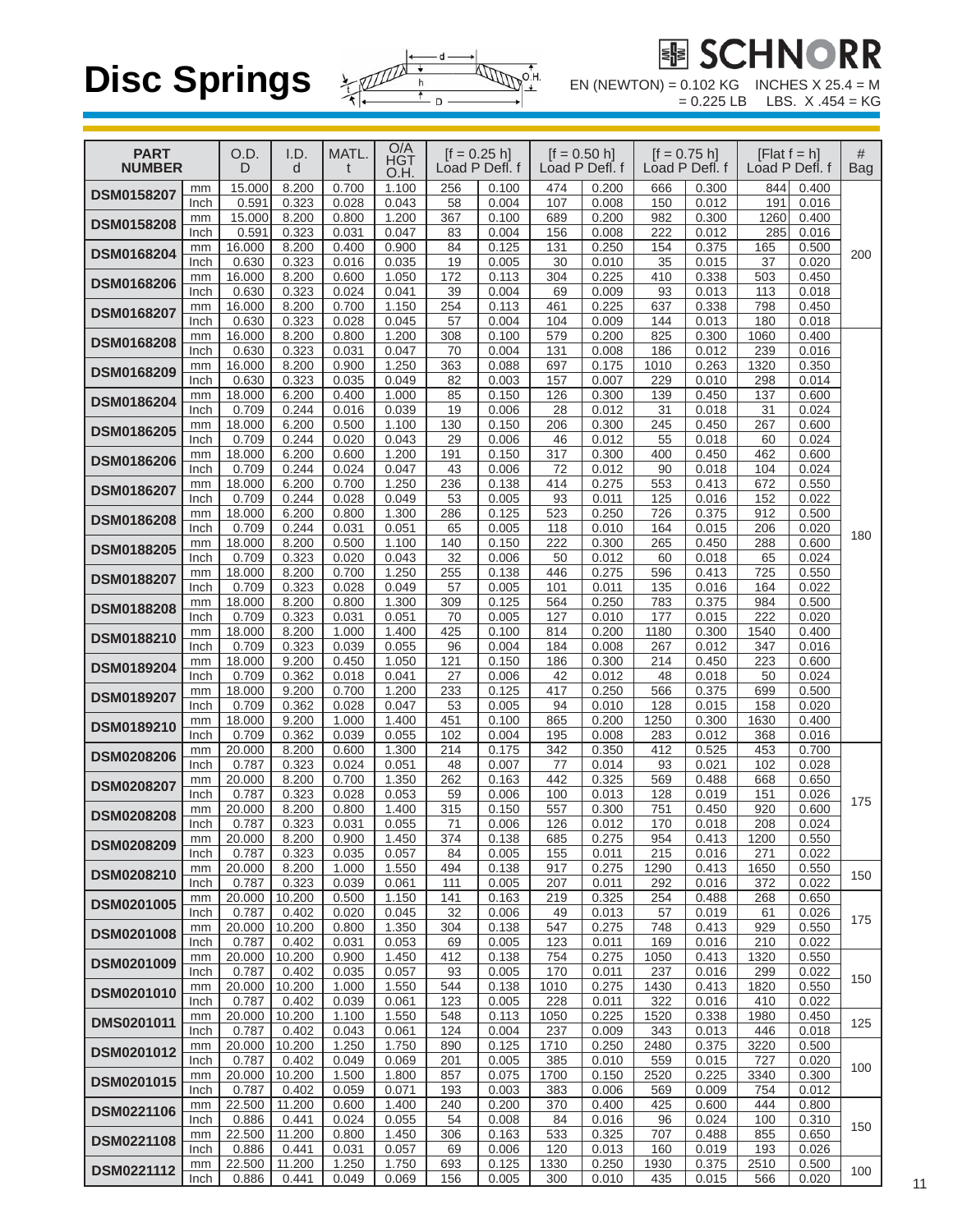

 $= 0.225$  LB LBS. X .454 = KG

| <b>PART</b><br><b>NUMBER</b> |            | O.D.<br>D       | I.D.<br>d       | MATL.<br>t     | O/A<br>HGT<br>O.H. |            | $[f = 0.25 h]$<br>Load P Defl. f |             | $[$ f = 0.50 h]<br>Load P Defl. f |             | $[f = 0.75 h]$<br>Load P Defl. f |             | [Flat $f = h$ ]<br>Load P Defl. f | #<br>Bag |
|------------------------------|------------|-----------------|-----------------|----------------|--------------------|------------|----------------------------------|-------------|-----------------------------------|-------------|----------------------------------|-------------|-----------------------------------|----------|
| <b>DSM0158207</b>            | mm         | 15.000          | 8.200           | 0.700          | 1.100              | 256        | 0.100                            | 474         | 0.200                             | 666         | 0.300                            | 844         | 0.400                             |          |
|                              | Inch<br>mm | 0.591<br>15.000 | 0.323<br>8.200  | 0.028<br>0.800 | 0.043<br>1.200     | 58<br>367  | 0.004<br>0.100                   | 107<br>689  | 0.008<br>0.200                    | 150<br>982  | 0.012<br>0.300                   | 191<br>1260 | 0.016<br>0.400                    |          |
| <b>DSM0158208</b>            | Inch       | 0.591           | 0.323           | 0.031          | 0.047              | 83         | 0.004                            | 156         | 0.008                             | 222         | 0.012                            | 285         | 0.016                             |          |
|                              | mm         | 16.000          | 8.200           | 0.400          | 0.900              | 84         | 0.125                            | 131         | 0.250                             | 154         | 0.375                            | 165         | 0.500                             |          |
| <b>DSM0168204</b>            | Inch       | 0.630           | 0.323           | 0.016          | 0.035              | 19         | 0.005                            | 30          | 0.010                             | 35          | 0.015                            | 37          | 0.020                             | 200      |
| <b>DSM0168206</b>            | mm         | 16.000          | 8.200           | 0.600          | 1.050              | 172        | 0.113                            | 304         | 0.225                             | 410         | 0.338                            | 503         | 0.450                             |          |
|                              | Inch<br>mm | 0.630<br>16.000 | 0.323<br>8.200  | 0.024<br>0.700 | 0.041<br>1.150     | 39<br>254  | 0.004<br>0.113                   | 69<br>461   | 0.009<br>0.225                    | 93<br>637   | 0.013<br>0.338                   | 113<br>798  | 0.018<br>0.450                    |          |
| <b>DSM0168207</b>            | Inch       | 0.630           | 0.323           | 0.028          | 0.045              | 57         | 0.004                            | 104         | 0.009                             | 144         | 0.013                            | 180         | 0.018                             |          |
|                              | mm         | 16.000          | 8.200           | 0.800          | 1.200              | 308        | 0.100                            | 579         | 0.200                             | 825         | 0.300                            | 1060        | 0.400                             |          |
| <b>DSM0168208</b>            | Inch       | 0.630           | 0.323           | 0.031          | 0.047              | 70         | 0.004                            | 131         | 0.008                             | 186         | 0.012                            | 239         | 0.016                             |          |
| <b>DSM0168209</b>            | mm         | 16.000          | 8.200           | 0.900          | 1.250              | 363        | 0.088                            | 697         | 0.175                             | 1010        | 0.263                            | 1320        | 0.350                             |          |
|                              | Inch       | 0.630<br>18.000 | 0.323<br>6.200  | 0.035<br>0.400 | 0.049<br>1.000     | 82<br>85   | 0.003<br>0.150                   | 157<br>126  | 0.007<br>0.300                    | 229<br>139  | 0.010<br>0.450                   | 298<br>137  | 0.014<br>0.600                    |          |
| DSM0186204                   | mm<br>Inch | 0.709           | 0.244           | 0.016          | 0.039              | 19         | 0.006                            | 28          | 0.012                             | 31          | 0.018                            | 31          | 0.024                             |          |
|                              | mm         | 18.000          | 6.200           | 0.500          | 1.100              | 130        | 0.150                            | 206         | 0.300                             | 245         | 0.450                            | 267         | 0.600                             |          |
| <b>DSM0186205</b>            | Inch       | 0.709           | 0.244           | 0.020          | 0.043              | 29         | 0.006                            | 46          | 0.012                             | 55          | 0.018                            | 60          | 0.024                             |          |
| <b>DSM0186206</b>            | mm         | 18.000          | 6.200           | 0.600          | 1.200              | 191        | 0.150                            | 317         | 0.300                             | 400         | 0.450                            | 462         | 0.600                             |          |
|                              | Inch       | 0.709           | 0.244           | 0.024          | 0.047              | 43         | 0.006                            | 72          | 0.012                             | 90          | 0.018                            | 104         | 0.024                             |          |
| <b>DSM0186207</b>            | mm<br>Inch | 18.000<br>0.709 | 6.200<br>0.244  | 0.700<br>0.028 | 1.250<br>0.049     | 236<br>53  | 0.138<br>0.005                   | 414<br>93   | 0.275<br>0.011                    | 553<br>125  | 0.413<br>0.016                   | 672<br>152  | 0.550<br>0.022                    |          |
|                              | mm         | 18.000          | 6.200           | 0.800          | 1.300              | 286        | 0.125                            | 523         | 0.250                             | 726         | 0.375                            | 912         | 0.500                             |          |
| <b>DSM0186208</b>            | Inch       | 0.709           | 0.244           | 0.031          | 0.051              | 65         | 0.005                            | 118         | 0.010                             | 164         | 0.015                            | 206         | 0.020                             | 180      |
| <b>DSM0188205</b>            | mm         | 18.000          | 8.200           | 0.500          | 1.100              | 140        | 0.150                            | 222         | 0.300                             | 265         | 0.450                            | 288         | 0.600                             |          |
|                              | Inch       | 0.709           | 0.323           | 0.020          | 0.043              | 32         | 0.006                            | 50          | 0.012                             | 60          | 0.018                            | 65          | 0.024                             |          |
| DSM0188207                   | mm<br>Inch | 18.000<br>0.709 | 8.200<br>0.323  | 0.700<br>0.028 | 1.250<br>0.049     | 255<br>57  | 0.138<br>0.005                   | 446<br>101  | 0.275<br>0.011                    | 596<br>135  | 0.413<br>0.016                   | 725<br>164  | 0.550<br>0.022                    |          |
|                              | mm         | 18.000          | 8.200           | 0.800          | 1.300              | 309        | 0.125                            | 564         | 0.250                             | 783         | 0.375                            | 984         | 0.500                             |          |
| <b>DSM0188208</b>            | Inch       | 0.709           | 0.323           | 0.031          | 0.051              | 70         | 0.005                            | 127         | 0.010                             | 177         | 0.015                            | 222         | 0.020                             |          |
| <b>DSM0188210</b>            | mm         | 18.000          | 8.200           | 1.000          | 1.400              | 425        | 0.100                            | 814         | 0.200                             | 1180        | 0.300                            | 1540        | 0.400                             |          |
|                              | Inch       | 0.709           | 0.323           | 0.039          | 0.055              | 96         | 0.004                            | 184         | 0.008                             | 267         | 0.012                            | 347         | 0.016                             |          |
| <b>DSM0189204</b>            | mm         | 18.000          | 9.200           | 0.450          | 1.050              | 121        | 0.150                            | 186         | 0.300                             | 214         | 0.450                            | 223         | 0.600                             |          |
|                              | Inch<br>mm | 0.709<br>18.000 | 0.362<br>9.200  | 0.018<br>0.700 | 0.041<br>1.200     | 27<br>233  | 0.006<br>0.125                   | 42<br>417   | 0.012<br>0.250                    | 48<br>566   | 0.018<br>0.375                   | 50<br>699   | 0.024<br>0.500                    |          |
| <b>DSM0189207</b>            | Inch       | 0.709           | 0.362           | 0.028          | 0.047              | 53         | 0.005                            | 94          | 0.010                             | 128         | 0.015                            | 158         | 0.020                             |          |
| <b>DSM0189210</b>            | mm         | 18.000          | 9.200           | 1.000          | 1.400              | 451        | 0.100                            | 865         | 0.200                             | 1250        | 0.300                            | 1630        | 0.400                             |          |
|                              | Inch       | 0.709           | 0.362           | 0.039          | 0.055              | 102        | 0.004                            | 195         | 0.008                             | 283         | 0.012                            | 368         | 0.016                             |          |
| <b>DSM0208206</b>            | mm         | 20.000          | 8.200           | 0.600          | 1.300              | 214        | 0.175                            | 342         | 0.350                             | 412         | 0.525                            | 453         | 0.700                             |          |
|                              | Inch<br>mm | 0.787<br>20.000 | 0.323<br>8.200  | 0.024<br>0.700 | 0.051<br>1.350     | 48<br>262  | 0.007<br>0.163                   | 77<br>442   | 0.014<br>0.325                    | 93<br>569   | 0.021<br>0.488                   | 102<br>668  | 0.028<br>0.650                    |          |
| <b>DSM0208207</b>            | Inch       | 0.787           | 0.323           | 0.028          | 0.053              | 59         | 0.006                            | 100         | 0.013                             | 128         | 0.019                            | 151         | 0.026                             |          |
| <b>DSM0208208</b>            | mm         | 20.000          | 8.200           | 0.800          | 1.400              | 315        | 0.150                            | 557         | 0.300                             | 751         | 0.450                            | 920         | 0.600                             | 175      |
|                              | Inch       | 0.787           | 0.323           | 0.031          | 0.055              | 71         | 0.006                            | 126         | 0.012                             | 170         | 0.018                            | 208         | 0.024                             |          |
| <b>DSM0208209</b>            | mm         | 20.000          | 8.200           | 0.900          | 1.450              | 374        | 0.138                            | 685         | 0.275                             | 954         | 0.413                            | 1200        | 0.550                             |          |
|                              | Inch<br>mm | 0.787<br>20.000 | 0.323<br>8.200  | 0.035<br>1.000 | 0.057<br>1.550     | 84<br>494  | 0.005<br>0.138                   | 155<br>917  | 0.011<br>0.275                    | 215<br>1290 | 0.016<br>0.413                   | 271<br>1650 | 0.022<br>0.550                    |          |
| DSM0208210                   | Inch       | 0.787           | 0.323           | 0.039          | 0.061              | 111        | 0.005                            | 207         | 0.011                             | 292         | 0.016                            | 372         | 0.022                             | 150      |
| DSM0201005                   | mm         | 20.000          | 10.200          | 0.500          | 1.150              | 141        | 0.163                            | 219         | 0.325                             | 254         | 0.488                            | 268         | 0.650                             |          |
|                              | Inch       | 0.787           | 0.402           | 0.020          | 0.045              | 32         | 0.006                            | 49          | 0.013                             | 57          | 0.019                            | 61          | 0.026                             | 175      |
| <b>DSM0201008</b>            | mm         | 20.000          | 10.200          | 0.800          | 1.350              | 304        | 0.138                            | 547         | 0.275                             | 748         | 0.413                            | 929         | 0.550                             |          |
|                              | Inch<br>mm | 0.787<br>20.000 | 0.402<br>10.200 | 0.031<br>0.900 | 0.053<br>1.450     | 69<br>412  | 0.005<br>0.138                   | 123<br>754  | 0.011<br>0.275                    | 169<br>1050 | 0.016<br>0.413                   | 210<br>1320 | 0.022<br>0.550                    |          |
| DSM0201009                   | Inch       | 0.787           | 0.402           | 0.035          | 0.057              | 93         | 0.005                            | 170         | 0.011                             | 237         | 0.016                            | 299         | 0.022                             |          |
| <b>DSM0201010</b>            | mm         | 20.000          | 10.200          | 1.000          | 1.550              | 544        | 0.138                            | 1010        | 0.275                             | 1430        | 0.413                            | 1820        | 0.550                             | 150      |
|                              | Inch       | 0.787           | 0.402           | 0.039          | 0.061              | 123        | 0.005                            | 228         | 0.011                             | 322         | 0.016                            | 410         | 0.022                             |          |
| DMS0201011                   | mm         | 20.000          | 10.200          | 1.100          | 1.550              | 548        | 0.113                            | 1050        | 0.225                             | 1520        | 0.338                            | 1980        | 0.450                             | 125      |
|                              | Inch<br>mm | 0.787<br>20.000 | 0.402<br>10.200 | 0.043<br>1.250 | 0.061<br>1.750     | 124<br>890 | 0.004<br>0.125                   | 237<br>1710 | 0.009<br>0.250                    | 343<br>2480 | 0.013<br>0.375                   | 446<br>3220 | 0.018<br>0.500                    |          |
| DSM0201012                   | Inch       | 0.787           | 0.402           | 0.049          | 0.069              | 201        | 0.005                            | 385         | 0.010                             | 559         | 0.015                            | 727         | 0.020                             |          |
| DSM0201015                   | mm         | 20.000          | 10.200          | 1.500          | 1.800              | 857        | 0.075                            | 1700        | 0.150                             | 2520        | 0.225                            | 3340        | 0.300                             | 100      |
|                              | Inch       | 0.787           | 0.402           | 0.059          | 0.071              | 193        | 0.003                            | 383         | 0.006                             | 569         | 0.009                            | 754         | 0.012                             |          |
| <b>DSM0221106</b>            | mm         | 22.500          | 11.200          | 0.600          | 1.400              | 240        | 0.200                            | 370         | 0.400                             | 425         | 0.600                            | 444         | 0.800                             |          |
|                              | Inch<br>mm | 0.886<br>22.500 | 0.441<br>11.200 | 0.024<br>0.800 | 0.055<br>1.450     | 54<br>306  | 0.008<br>0.163                   | 84<br>533   | 0.016<br>0.325                    | 96<br>707   | 0.024<br>0.488                   | 100<br>855  | 0.310<br>0.650                    | 150      |
| <b>DSM0221108</b>            | Inch       | 0.886           | 0.441           | 0.031          | 0.057              | 69         | 0.006                            | 120         | 0.013                             | 160         | 0.019                            | 193         | 0.026                             |          |
| <b>DSM0221112</b>            | mm         | 22.500          | 11.200          | 1.250          | 1.750              | 693        | 0.125                            | 1330        | 0.250                             | 1930        | 0.375                            | 2510        | 0.500                             | 100      |
|                              | Inch       | 0.886           | 0.441           | 0.049          | 0.069              | 156        | 0.005                            | 300         | 0.010                             | 435         | 0.015                            | 566         | 0.020                             |          |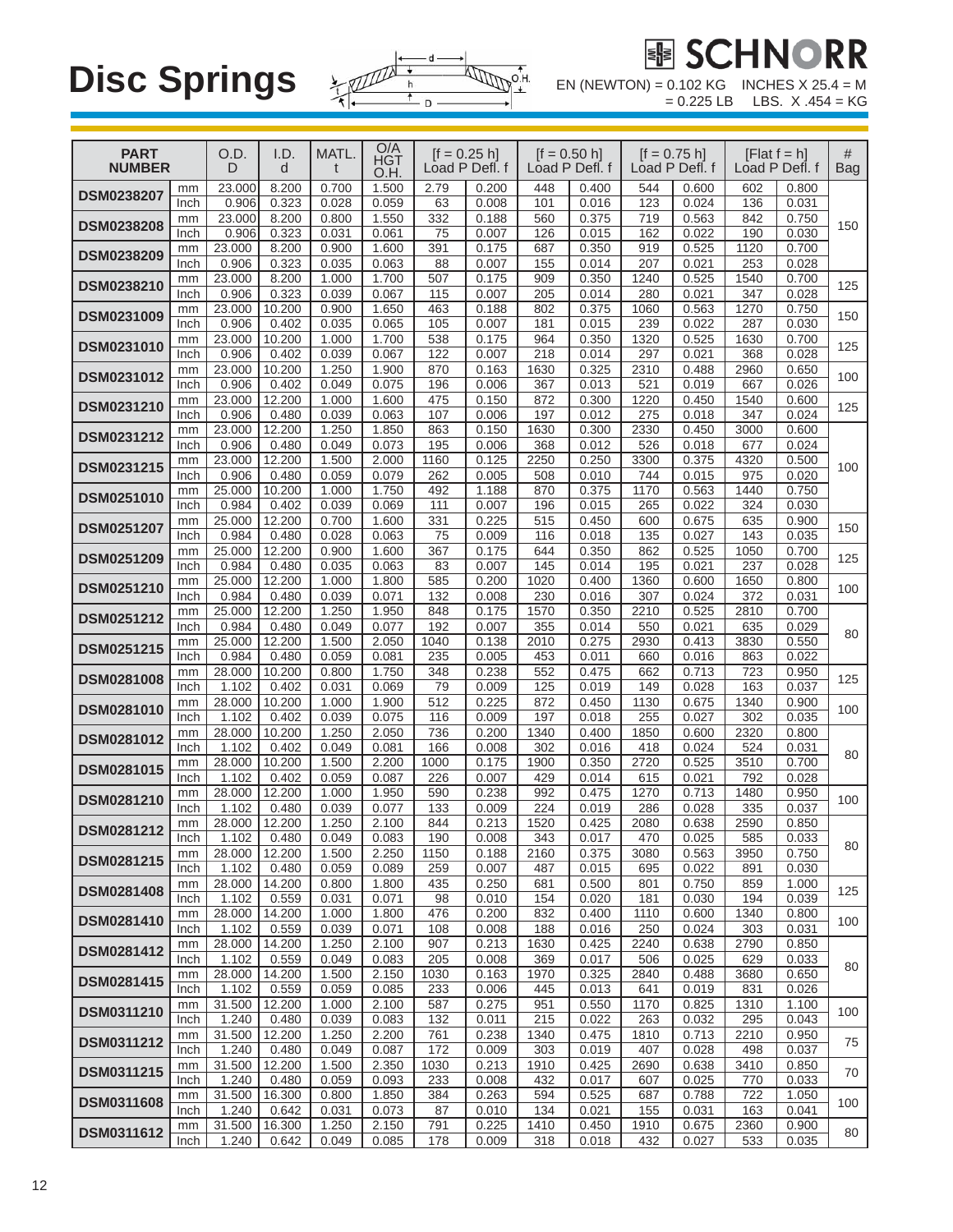

| <b>PART</b><br><b>NUMBER</b> |            | O.D.<br>D       | I.D.<br>d       | MATL.<br>t     | O/A<br><b>HGT</b><br>O.H. |             | $[f = 0.25 h]$<br>Load P Defl. f |             | $[f = 0.50 h]$<br>Load P Defl. f |             | $[f = 0.75 h]$<br>Load P Defl. f |             | $[Flat f = h]$<br>Load P Defl. f | #<br><b>Bag</b> |
|------------------------------|------------|-----------------|-----------------|----------------|---------------------------|-------------|----------------------------------|-------------|----------------------------------|-------------|----------------------------------|-------------|----------------------------------|-----------------|
|                              | mm         | 23.000          | 8.200           | 0.700          | 1.500                     | 2.79        | 0.200                            | 448         | 0.400                            | 544         | 0.600                            | 602         | 0.800                            |                 |
| <b>DSM0238207</b>            | Inch       | 0.906           | 0.323           | 0.028          | 0.059                     | 63          | 0.008                            | 101         | 0.016                            | 123         | 0.024                            | 136         | 0.031                            |                 |
| <b>DSM0238208</b>            | mm         | 23.000          | 8.200           | 0.800          | 1.550                     | 332         | 0.188                            | 560         | 0.375                            | 719         | 0.563                            | 842         | 0.750                            | 150             |
|                              | Inch<br>mm | 0.906<br>23.000 | 0.323<br>8.200  | 0.031<br>0.900 | 0.061<br>1.600            | 75<br>391   | 0.007<br>0.175                   | 126<br>687  | 0.015<br>0.350                   | 162<br>919  | 0.022<br>0.525                   | 190<br>1120 | 0.030<br>0.700                   |                 |
| <b>DSM0238209</b>            | Inch       | 0.906           | 0.323           | 0.035          | 0.063                     | 88          | 0.007                            | 155         | 0.014                            | 207         | 0.021                            | 253         | 0.028                            |                 |
| DSM0238210                   | mm         | 23.000          | 8.200           | 1.000          | 1.700                     | 507         | 0.175                            | 909         | 0.350                            | 1240        | 0.525                            | 1540        | 0.700                            | 125             |
|                              | Inch       | 0.906           | 0.323           | 0.039          | 0.067                     | 115         | 0.007                            | 205         | 0.014                            | 280         | 0.021                            | 347         | 0.028                            |                 |
| <b>DSM0231009</b>            | mm<br>Inch | 23.000<br>0.906 | 10.200<br>0.402 | 0.900<br>0.035 | 1.650<br>0.065            | 463<br>105  | 0.188<br>0.007                   | 802<br>181  | 0.375<br>0.015                   | 1060<br>239 | 0.563<br>0.022                   | 1270<br>287 | 0.750<br>0.030                   | 150             |
|                              | mm         | 23.000          | 10.200          | 1.000          | 1.700                     | 538         | 0.175                            | 964         | 0.350                            | 1320        | 0.525                            | 1630        | 0.700                            |                 |
| <b>DSM0231010</b>            | Inch       | 0.906           | 0.402           | 0.039          | 0.067                     | 122         | 0.007                            | 218         | 0.014                            | 297         | 0.021                            | 368         | 0.028                            | 125             |
| <b>DSM0231012</b>            | mm         | 23.000          | 10.200          | 1.250          | 1.900                     | 870         | 0.163                            | 1630        | 0.325                            | 2310        | 0.488                            | 2960        | 0.650                            | 100             |
|                              | Inch       | 0.906           | 0.402           | 0.049          | 0.075                     | 196         | 0.006                            | 367         | 0.013                            | 521         | 0.019                            | 667         | 0.026                            |                 |
| <b>DSM0231210</b>            | mm<br>Inch | 23.000<br>0.906 | 12.200<br>0.480 | 1.000<br>0.039 | 1.600<br>0.063            | 475<br>107  | 0.150<br>0.006                   | 872<br>197  | 0.300<br>0.012                   | 1220<br>275 | 0.450<br>0.018                   | 1540<br>347 | 0.600<br>0.024                   | 125             |
|                              | mm         | 23.000          | 12.200          | 1.250          | 1.850                     | 863         | 0.150                            | 1630        | 0.300                            | 2330        | 0.450                            | 3000        | 0.600                            |                 |
| <b>DSM0231212</b>            | Inch       | 0.906           | 0.480           | 0.049          | 0.073                     | 195         | 0.006                            | 368         | 0.012                            | 526         | 0.018                            | 677         | 0.024                            |                 |
| DSM0231215                   | mm         | 23.000          | 12.200          | 1.500          | 2.000                     | 1160        | 0.125                            | 2250        | 0.250                            | 3300        | 0.375                            | 4320        | 0.500                            | 100             |
|                              | Inch       | 0.906<br>25.000 | 0.480<br>10.200 | 0.059<br>1.000 | 0.079<br>1.750            | 262<br>492  | 0.005<br>1.188                   | 508<br>870  | 0.010<br>0.375                   | 744<br>1170 | 0.015<br>0.563                   | 975<br>1440 | 0.020<br>0.750                   |                 |
| <b>DSM0251010</b>            | mm<br>Inch | 0.984           | 0.402           | 0.039          | 0.069                     | 111         | 0.007                            | 196         | 0.015                            | 265         | 0.022                            | 324         | 0.030                            |                 |
|                              | mm         | 25.000          | 12.200          | 0.700          | 1.600                     | 331         | 0.225                            | 515         | 0.450                            | 600         | 0.675                            | 635         | 0.900                            |                 |
| <b>DSM0251207</b>            | Inch       | 0.984           | 0.480           | 0.028          | 0.063                     | 75          | 0.009                            | 116         | 0.018                            | 135         | 0.027                            | 143         | 0.035                            | 150             |
| <b>DSM0251209</b>            | mm         | 25.000          | 12.200          | 0.900          | 1.600                     | 367         | 0.175                            | 644         | 0.350                            | 862         | 0.525                            | 1050        | 0.700                            | 125             |
|                              | Inch<br>mm | 0.984<br>25.000 | 0.480<br>12.200 | 0.035<br>1.000 | 0.063<br>1.800            | 83<br>585   | 0.007<br>0.200                   | 145<br>1020 | 0.014<br>0.400                   | 195<br>1360 | 0.021<br>0.600                   | 237<br>1650 | 0.028<br>0.800                   |                 |
| <b>DSM0251210</b>            | Inch       | 0.984           | 0.480           | 0.039          | 0.071                     | 132         | 0.008                            | 230         | 0.016                            | 307         | 0.024                            | 372         | 0.031                            | 100             |
| <b>DSM0251212</b>            | mm         | 25.000          | 12.200          | 1.250          | 1.950                     | 848         | 0.175                            | 1570        | 0.350                            | 2210        | 0.525                            | 2810        | 0.700                            |                 |
|                              | Inch       | 0.984           | 0.480           | 0.049          | 0.077                     | 192         | 0.007                            | 355         | 0.014                            | 550         | 0.021                            | 635         | 0.029                            | 80              |
| DSM0251215                   | mm         | 25.000<br>0.984 | 12.200          | 1.500<br>0.059 | 2.050                     | 1040        | 0.138<br>0.005                   | 2010        | 0.275<br>0.011                   | 2930        | 0.413                            | 3830        | 0.550                            |                 |
|                              | Inch<br>mm | 28.000          | 0.480<br>10.200 | 0.800          | 0.081<br>1.750            | 235<br>348  | 0.238                            | 453<br>552  | 0.475                            | 660<br>662  | 0.016<br>0.713                   | 863<br>723  | 0.022<br>0.950                   |                 |
| <b>DSM0281008</b>            | Inch       | 1.102           | 0.402           | 0.031          | 0.069                     | 79          | 0.009                            | 125         | 0.019                            | 149         | 0.028                            | 163         | 0.037                            | 125             |
| <b>DSM0281010</b>            | mm         | 28.000          | 10.200          | 1.000          | 1.900                     | 512         | 0.225                            | 872         | 0.450                            | 1130        | 0.675                            | 1340        | 0.900                            | 100             |
|                              | Inch       | 1.102<br>28.000 | 0.402           | 0.039          | 0.075                     | 116         | 0.009                            | 197         | 0.018                            | 255         | 0.027                            | 302         | 0.035                            |                 |
| <b>DSM0281012</b>            | mm<br>Inch | 1.102           | 10.200<br>0.402 | 1.250<br>0.049 | 2.050<br>0.081            | 736<br>166  | 0.200<br>0.008                   | 1340<br>302 | 0.400<br>0.016                   | 1850<br>418 | 0.600<br>0.024                   | 2320<br>524 | 0.800<br>0.031                   |                 |
|                              | mm         | 28.000          | 10.200          | 1.500          | 2.200                     | 1000        | 0.175                            | 1900        | 0.350                            | 2720        | 0.525                            | 3510        | 0.700                            | 80              |
| DSM0281015                   | Inch       | 1.102           | 0.402           | 0.059          | 0.087                     | 226         | 0.007                            | 429         | 0.014                            | 615         | 0.021                            | 792         | 0.028                            |                 |
| DSM0281210                   | mm         | 28.000          | 12.200          | 1.000          | 1.950                     | 590         | 0.238                            | 992         | 0.475                            | 1270        | 0.713                            | 1480        | 0.950                            | 100             |
|                              | Inch<br>mm | 1.102<br>28.000 | 0.480<br>12.200 | 0.039<br>1.250 | 0.077<br>2.100            | 133<br>844  | 0.009<br>0.213                   | 224<br>1520 | 0.019<br>0.425                   | 286<br>2080 | 0.028<br>0.638                   | 335<br>2590 | 0.037<br>0.850                   |                 |
| DSM0281212                   | Inch       | 1.102           | 0.480           | 0.049          | 0.083                     | 190         | 0.008                            | 343         | 0.017                            | 470         | 0.025                            | 585         | 0.033                            |                 |
| <b>DSM0281215</b>            | mm         | 28.000          | 12.200          | 1.500          | 2.250                     | 1150        | 0.188                            | 2160        | 0.375                            | 3080        | 0.563                            | 3950        | 0.750                            | 80              |
|                              | Inch       | 1.102           | 0.480           | 0.059          | 0.089                     | 259         | 0.007                            | 487         | 0.015                            | 695         | 0.022                            | 891         | 0.030                            |                 |
| DSM0281408                   | mm<br>Inch | 28.000<br>1.102 | 14.200<br>0.559 | 0.800<br>0.031 | 1.800<br>0.071            | 435<br>98   | 0.250<br>0.010                   | 681<br>154  | 0.500<br>0.020                   | 801<br>181  | 0.750<br>0.030                   | 859<br>194  | 1.000<br>0.039                   | 125             |
|                              | mm         | 28.000          | 14.200          | 1.000          | 1.800                     | 476         | 0.200                            | 832         | 0.400                            | 1110        | 0.600                            | 1340        | 0.800                            |                 |
| DSM0281410                   | Inch       | 1.102           | 0.559           | 0.039          | 0.071                     | 108         | 0.008                            | 188         | 0.016                            | 250         | 0.024                            | 303         | 0.031                            | 100             |
| <b>DSM0281412</b>            | mm         | 28.000          | 14.200          | 1.250          | 2.100                     | 907         | 0.213                            | 1630        | 0.425                            | 2240        | 0.638                            | 2790        | 0.850                            |                 |
|                              | Inch       | 1.102<br>28.000 | 0.559<br>14.200 | 0.049<br>1.500 | 0.083<br>2.150            | 205<br>1030 | 0.008<br>0.163                   | 369<br>1970 | 0.017<br>0.325                   | 506<br>2840 | 0.025<br>0.488                   | 629<br>3680 | 0.033<br>0.650                   | 80              |
| DSM0281415                   | mm<br>Inch | 1.102           | 0.559           | 0.059          | 0.085                     | 233         | 0.006                            | 445         | 0.013                            | 641         | 0.019                            | 831         | 0.026                            |                 |
|                              | mm         | 31.500          | 12.200          | 1.000          | 2.100                     | 587         | 0.275                            | 951         | 0.550                            | 1170        | 0.825                            | 1310        | 1.100                            |                 |
| <b>DSM0311210</b>            | Inch       | 1.240           | 0.480           | 0.039          | 0.083                     | 132         | 0.011                            | 215         | 0.022                            | 263         | 0.032                            | 295         | 0.043                            | 100             |
| DSM0311212                   | mm         | 31.500<br>1.240 | 12.200          | 1.250          | 2.200                     | 761         | 0.238                            | 1340        | 0.475                            | 1810        | 0.713                            | 2210        | 0.950                            | 75              |
|                              | Inch<br>mm | 31.500          | 0.480<br>12.200 | 0.049<br>1.500 | 0.087<br>2.350            | 172<br>1030 | 0.009<br>0.213                   | 303<br>1910 | 0.019<br>0.425                   | 407<br>2690 | 0.028<br>0.638                   | 498<br>3410 | 0.037<br>0.850                   |                 |
| <b>DSM0311215</b>            | Inch       | 1.240           | 0.480           | 0.059          | 0.093                     | 233         | 0.008                            | 432         | 0.017                            | 607         | 0.025                            | 770         | 0.033                            | 70              |
| <b>DSM0311608</b>            | mm         | 31.500          | 16.300          | 0.800          | 1.850                     | 384         | 0.263                            | 594         | 0.525                            | 687         | 0.788                            | 722         | 1.050                            | 100             |
|                              | Inch       | 1.240           | 0.642           | 0.031          | 0.073                     | 87          | 0.010                            | 134         | 0.021                            | 155         | 0.031                            | 163         | 0.041                            |                 |
| DSM0311612                   | mm<br>Inch | 31.500<br>1.240 | 16.300<br>0.642 | 1.250<br>0.049 | 2.150<br>0.085            | 791<br>178  | 0.225<br>0.009                   | 1410<br>318 | 0.450<br>0.018                   | 1910<br>432 | 0.675<br>0.027                   | 2360<br>533 | 0.900<br>0.035                   | 80              |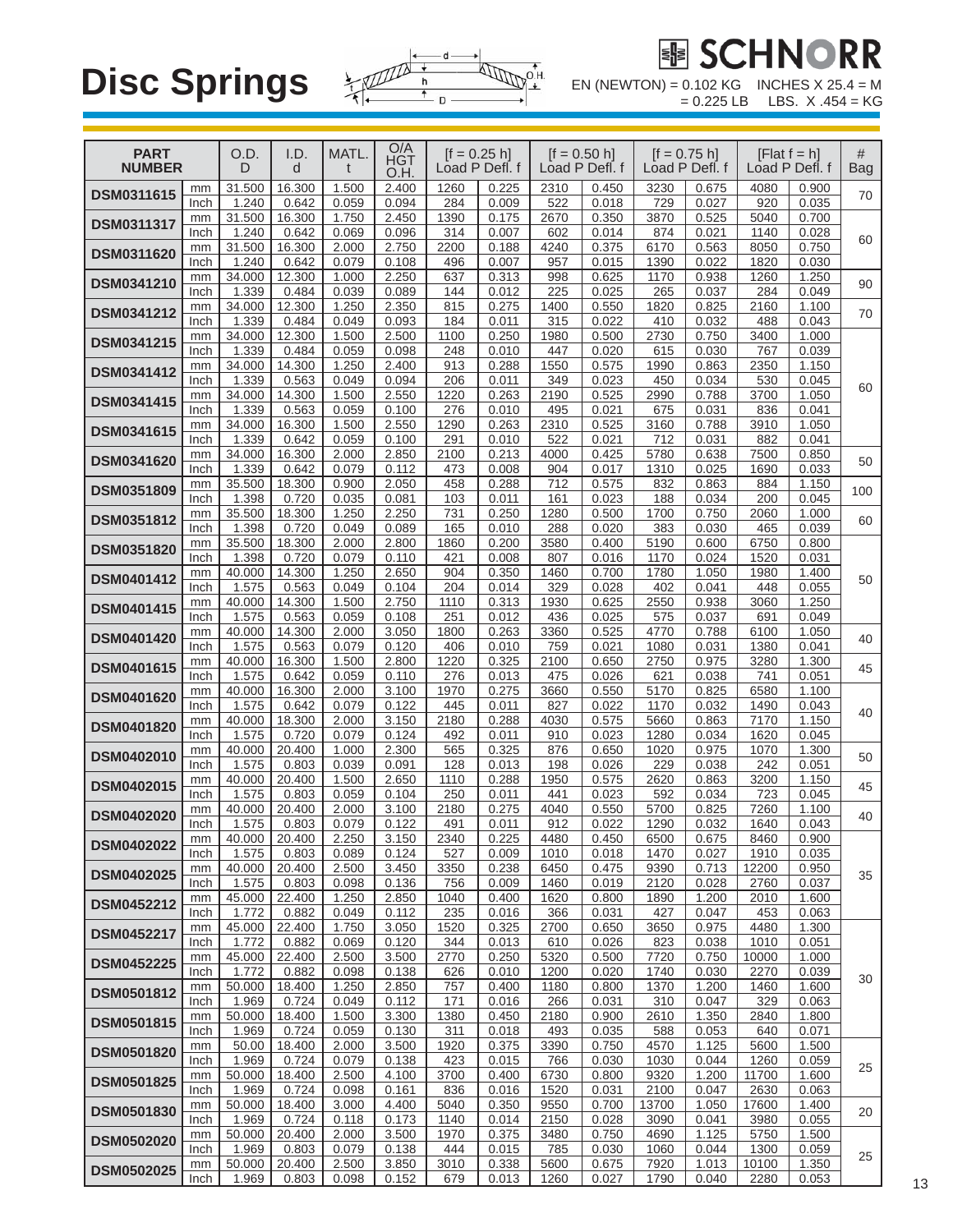

# **EUE**

 $= 0.225$  LB LBS. X .454 = KG

| <b>PART</b><br><b>NUMBER</b> |            | O.D.<br>D       | I.D.<br>d       | MATL.          | O/A<br><b>HGT</b><br>O.H. |              | $[f = 0.25 h]$<br>Load P Defl. f |              | $[$ f = 0.50 h]<br>Load P Defl. f | $[f = 0.75 h]$ | Load P Defl. f |               | $[Flat f = h]$<br>Load P Defl. f | #<br><b>Bag</b> |
|------------------------------|------------|-----------------|-----------------|----------------|---------------------------|--------------|----------------------------------|--------------|-----------------------------------|----------------|----------------|---------------|----------------------------------|-----------------|
| <b>DSM0311615</b>            | mm<br>Inch | 31.500<br>1.240 | 16.300<br>0.642 | 1.500<br>0.059 | 2.400<br>0.094            | 1260<br>284  | 0.225<br>0.009                   | 2310<br>522  | 0.450<br>0.018                    | 3230<br>729    | 0.675<br>0.027 | 4080<br>920   | 0.900<br>0.035                   | 70              |
| <b>DSM0311317</b>            | mm<br>Inch | 31.500<br>1.240 | 16.300<br>0.642 | 1.750<br>0.069 | 2.450<br>0.096            | 1390<br>314  | 0.175<br>0.007                   | 2670<br>602  | 0.350<br>0.014                    | 3870<br>874    | 0.525<br>0.021 | 5040<br>1140  | 0.700<br>0.028                   |                 |
| <b>DSM0311620</b>            | mm<br>Inch | 31.500<br>1.240 | 16.300<br>0.642 | 2.000<br>0.079 | 2.750<br>0.108            | 2200<br>496  | 0.188<br>0.007                   | 4240<br>957  | 0.375<br>0.015                    | 6170<br>1390   | 0.563<br>0.022 | 8050<br>1820  | 0.750<br>0.030                   | 60              |
| <b>DSM0341210</b>            | mm         | 34.000          | 12.300          | 1.000          | 2.250                     | 637          | 0.313                            | 998          | 0.625                             | 1170           | 0.938          | 1260          | 1.250                            | 90              |
|                              | Inch<br>mm | 1.339<br>34.000 | 0.484<br>12.300 | 0.039<br>1.250 | 0.089<br>2.350            | 144<br>815   | 0.012<br>0.275                   | 225<br>1400  | 0.025<br>0.550                    | 265<br>1820    | 0.037<br>0.825 | 284<br>2160   | 0.049<br>1.100                   |                 |
| <b>DSM0341212</b>            | Inch<br>mm | 1.339<br>34.000 | 0.484<br>12.300 | 0.049<br>1.500 | 0.093<br>2.500            | 184<br>1100  | 0.011<br>0.250                   | 315<br>1980  | 0.022<br>0.500                    | 410<br>2730    | 0.032<br>0.750 | 488<br>3400   | 0.043<br>1.000                   | 70              |
| DSM0341215                   | Inch       | 1.339           | 0.484           | 0.059          | 0.098                     | 248          | 0.010                            | 447          | 0.020                             | 615            | 0.030          | 767           | 0.039                            |                 |
| <b>DSM0341412</b>            | mm<br>Inch | 34.000<br>1.339 | 14.300<br>0.563 | 1.250<br>0.049 | 2.400<br>0.094            | 913<br>206   | 0.288<br>0.011                   | 1550<br>349  | 0.575<br>0.023                    | 1990<br>450    | 0.863<br>0.034 | 2350<br>530   | 1.150<br>0.045                   | 60              |
| DSM0341415                   | mm<br>Inch | 34.000<br>1.339 | 14.300<br>0.563 | 1.500<br>0.059 | 2.550<br>0.100            | 1220<br>276  | 0.263<br>0.010                   | 2190<br>495  | 0.525<br>0.021                    | 2990<br>675    | 0.788<br>0.031 | 3700<br>836   | 1.050<br>0.041                   |                 |
| <b>DSM0341615</b>            | mm         | 34.000          | 16.300          | 1.500          | 2.550                     | 1290         | 0.263                            | 2310         | 0.525                             | 3160           | 0.788          | 3910          | 1.050                            |                 |
| <b>DSM0341620</b>            | Inch<br>mm | 1.339<br>34.000 | 0.642<br>16.300 | 0.059<br>2.000 | 0.100<br>2.850            | 291<br>2100  | 0.010<br>0.213                   | 522<br>4000  | 0.021<br>0.425                    | 712<br>5780    | 0.031<br>0.638 | 882<br>7500   | 0.041<br>0.850                   | 50              |
|                              | Inch<br>mm | 1.339<br>35.500 | 0.642<br>18.300 | 0.079<br>0.900 | 0.112<br>2.050            | 473<br>458   | 0.008<br>0.288                   | 904<br>712   | 0.017<br>0.575                    | 1310<br>832    | 0.025<br>0.863 | 1690<br>884   | 0.033<br>1.150                   |                 |
| <b>DSM0351809</b>            | Inch       | 1.398           | 0.720           | 0.035          | 0.081                     | 103          | 0.011                            | 161          | 0.023                             | 188            | 0.034          | 200           | 0.045                            | 100             |
| DSM0351812                   | mm<br>Inch | 35.500<br>1.398 | 18.300<br>0.720 | 1.250<br>0.049 | 2.250<br>0.089            | 731<br>165   | 0.250<br>0.010                   | 1280<br>288  | 0.500<br>0.020                    | 1700<br>383    | 0.750<br>0.030 | 2060<br>465   | 1.000<br>0.039                   | 60              |
| <b>DSM0351820</b>            | mm<br>Inch | 35.500<br>1.398 | 18.300<br>0.720 | 2.000<br>0.079 | 2.800<br>0.110            | 1860<br>421  | 0.200<br>0.008                   | 3580<br>807  | 0.400<br>0.016                    | 5190<br>1170   | 0.600<br>0.024 | 6750<br>1520  | 0.800<br>0.031                   |                 |
| DSM0401412                   | mm         | 40.000          | 14.300          | 1.250          | 2.650                     | 904          | 0.350                            | 1460         | 0.700                             | 1780           | 1.050          | 1980          | 1.400                            | 50              |
| DSM0401415                   | Inch<br>mm | 1.575<br>40.000 | 0.563<br>14.300 | 0.049<br>1.500 | 0.104<br>2.750            | 204<br>1110  | 0.014<br>0.313                   | 329<br>1930  | 0.028<br>0.625                    | 402<br>2550    | 0.041<br>0.938 | 448<br>3060   | 0.055<br>1.250                   |                 |
|                              | Inch<br>mm | 1.575<br>40.000 | 0.563<br>14.300 | 0.059<br>2.000 | 0.108<br>3.050            | 251<br>1800  | 0.012<br>0.263                   | 436<br>3360  | 0.025<br>0.525                    | 575<br>4770    | 0.037<br>0.788 | 691<br>6100   | 0.049<br>1.050                   |                 |
| <b>DSM0401420</b>            | Inch       | 1.575           | 0.563           | 0.079          | 0.120                     | 406          | 0.010                            | 759          | 0.021                             | 1080           | 0.031          | 1380          | 0.041                            | 40              |
| <b>DSM0401615</b>            | mm<br>Inch | 40.000<br>1.575 | 16.300<br>0.642 | 1.500<br>0.059 | 2.800<br>0.110            | 1220<br>276  | 0.325<br>0.013                   | 2100<br>475  | 0.650<br>0.026                    | 2750<br>621    | 0.975<br>0.038 | 3280<br>741   | 1.300<br>0.051                   | 45              |
| DSM0401620                   | mm<br>Inch | 40.000<br>1.575 | 16.300<br>0.642 | 2.000<br>0.079 | 3.100<br>0.122            | 1970<br>445  | 0.275<br>0.011                   | 3660<br>827  | 0.550<br>0.022                    | 5170<br>1170   | 0.825<br>0.032 | 6580<br>1490  | 1.100<br>0.043                   |                 |
| <b>DSM0401820</b>            | mm         | 40.000          | 18.300          | 2.000          | 3.150                     | 2180         | 0.288                            | 4030         | 0.575                             | 5660           | 0.863          | 7170          | 1.150                            | 40              |
| <b>DSM0402010</b>            | Inch<br>mm | 1.575<br>40.000 | 0.720<br>20.400 | 0.079<br>1.000 | 0.124<br>2.300            | 492<br>565   | 0.011<br>0.325                   | 910<br>876   | 0.023<br>0.650                    | 1280<br>1020   | 0.034<br>0.975 | 1620<br>1070  | 0.045<br>1.300                   | 50              |
|                              | Inch<br>mm | 1.575<br>40.000 | 0.803<br>20.400 | 0.039<br>1.500 | 0.091<br>2.650            | 128<br>1110  | 0.013<br>0.288                   | 198<br>1950  | 0.026<br>0.575                    | 229<br>2620    | 0.038<br>0.863 | 242<br>3200   | 0.051<br>1.150                   |                 |
| <b>DSM0402015</b>            | Inch       | 1.575           | 0.803           | 0.059          | 0.104                     | 250          | 0.011                            | 441          | 0.023                             | 592            | 0.034          | 723           | 0.045                            | 45              |
| <b>DSM0402020</b>            | mm<br>Inch | 40.000<br>1.575 | 20.400<br>0.803 | 2.000<br>0.079 | 3.100<br>0.122            | 2180<br>491  | 0.275<br>0.011                   | 4040<br>912  | 0.550<br>0.022                    | 5700<br>1290   | 0.825<br>0.032 | 7260<br>1640  | 1.100<br>0.043                   | 40              |
| <b>DSM0402022</b>            | mm<br>Inch | 40.000<br>1.575 | 20.400<br>0.803 | 2.250<br>0.089 | 3.150<br>0.124            | 2340<br>527  | 0.225<br>0.009                   | 4480<br>1010 | 0.450<br>0.018                    | 6500<br>1470   | 0.675<br>0.027 | 8460<br>1910  | 0.900<br>0.035                   |                 |
| DSM0402025                   | mm         | 40.000          | 20.400          | 2.500          | 3.450                     | 3350         | 0.238                            | 6450         | 0.475                             | 9390           | 0.713          | 12200         | 0.950                            | 35              |
| <b>DSM0452212</b>            | Inch<br>mm | 1.575<br>45.000 | 0.803<br>22.400 | 0.098<br>1.250 | 0.136<br>2.850            | 756<br>1040  | 0.009<br>0.400                   | 1460<br>1620 | 0.019<br>0.800                    | 2120<br>1890   | 0.028<br>1.200 | 2760<br>2010  | 0.037<br>1.600                   |                 |
|                              | Inch<br>mm | 1.772<br>45.000 | 0.882<br>22.400 | 0.049<br>1.750 | 0.112<br>3.050            | 235<br>1520  | 0.016<br>0.325                   | 366<br>2700  | 0.031<br>0.650                    | 427<br>3650    | 0.047<br>0.975 | 453<br>4480   | 0.063<br>1.300                   |                 |
| <b>DSM0452217</b>            | Inch       | 1.772           | 0.882           | 0.069          | 0.120                     | 344          | 0.013                            | 610          | 0.026                             | 823            | 0.038          | 1010          | 0.051                            |                 |
| <b>DSM0452225</b>            | mm<br>Inch | 45.000<br>1.772 | 22.400<br>0.882 | 2.500<br>0.098 | 3.500<br>0.138            | 2770<br>626  | 0.250<br>0.010                   | 5320<br>1200 | 0.500<br>0.020                    | 7720<br>1740   | 0.750<br>0.030 | 10000<br>2270 | 1.000<br>0.039                   | 30              |
| <b>DSM0501812</b>            | mm<br>Inch | 50.000<br>1.969 | 18.400<br>0.724 | 1.250<br>0.049 | 2.850<br>0.112            | 757<br>171   | 0.400<br>0.016                   | 1180<br>266  | 0.800<br>0.031                    | 1370<br>310    | 1.200<br>0.047 | 1460<br>329   | 1.600<br>0.063                   |                 |
| DSM0501815                   | mm         | 50.000          | 18.400          | 1.500          | 3.300                     | 1380         | 0.450                            | 2180         | 0.900                             | 2610           | 1.350          | 2840          | 1.800                            |                 |
| <b>DSM0501820</b>            | Inch<br>mm | 1.969<br>50.00  | 0.724<br>18.400 | 0.059<br>2.000 | 0.130<br>3.500            | 311<br>1920  | 0.018<br>0.375                   | 493<br>3390  | 0.035<br>0.750                    | 588<br>4570    | 0.053<br>1.125 | 640<br>5600   | 0.071<br>1.500                   |                 |
|                              | Inch<br>mm | 1.969<br>50.000 | 0.724<br>18.400 | 0.079<br>2.500 | 0.138<br>4.100            | 423<br>3700  | 0.015<br>0.400                   | 766<br>6730  | 0.030<br>0.800                    | 1030<br>9320   | 0.044<br>1.200 | 1260<br>11700 | 0.059<br>1.600                   | 25              |
| <b>DSM0501825</b>            | Inch       | 1.969           | 0.724           | 0.098          | 0.161                     | 836          | 0.016                            | 1520         | 0.031                             | 2100           | 0.047          | 2630          | 0.063                            |                 |
| <b>DSM0501830</b>            | mm<br>Inch | 50.000<br>1.969 | 18.400<br>0.724 | 3.000<br>0.118 | 4.400<br>0.173            | 5040<br>1140 | 0.350<br>0.014                   | 9550<br>2150 | 0.700<br>0.028                    | 13700<br>3090  | 1.050<br>0.041 | 17600<br>3980 | 1.400<br>0.055                   | 20              |
| <b>DSM0502020</b>            | mm<br>Inch | 50.000<br>1.969 | 20.400<br>0.803 | 2.000<br>0.079 | 3.500<br>0.138            | 1970<br>444  | 0.375<br>0.015                   | 3480<br>785  | 0.750<br>0.030                    | 4690<br>1060   | 1.125<br>0.044 | 5750<br>1300  | 1.500<br>0.059                   |                 |
| <b>DSM0502025</b>            | mm         | 50.000          | 20.400          | 2.500          | 3.850                     | 3010         | 0.338                            | 5600         | 0.675                             | 7920           | 1.013          | 10100         | 1.350                            | 25              |
|                              | Inch       | 1.969           | 0.803           | 0.098          | 0.152                     | 679          | 0.013                            | 1260         | 0.027                             | 1790           | 0.040          | 2280          | 0.053                            |                 |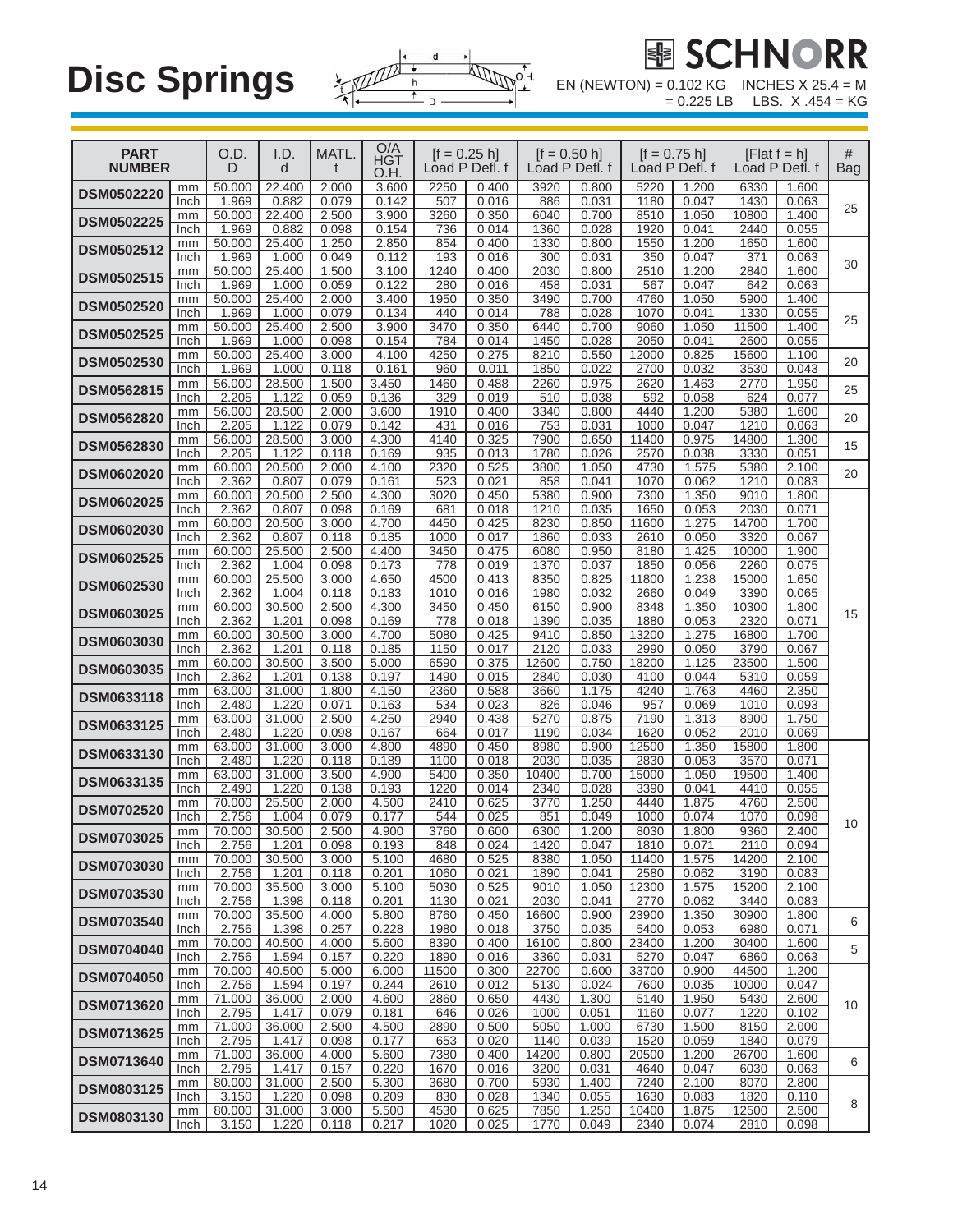

EN (NEWTON) =  $0.102$  KG INCHES X  $25.4 = M$ <br>=  $0.225$  LB LBS. X .454 = KG

| <b>PART</b><br><b>NUMBER</b> |            | O.D.<br>D       | I.D.<br>d       | MATL.<br>t     | $\frac{O/A}{HGT}$<br>O.H. | $[f = 0.25 h]$<br>Load P Defl. f |                |               | $[f = 0.50 h]$<br>Load P Defl. f | $[f = 0.75 h]$ | Load P Defl. f |               | [Flat $f = h$ ]<br>Load P Defl. f | #<br><b>Bag</b> |
|------------------------------|------------|-----------------|-----------------|----------------|---------------------------|----------------------------------|----------------|---------------|----------------------------------|----------------|----------------|---------------|-----------------------------------|-----------------|
| <b>DSM0502220</b>            | mm         | 50.000          | 22.400          | 2.000          | 3.600                     | 2250                             | 0.400          | 3920          | 0.800                            | 5220           | 1.200          | 6330          | 1.600                             |                 |
|                              | Inch<br>mm | 1.969<br>50.000 | 0.882<br>22.400 | 0.079<br>2.500 | 0.142<br>3.900            | 507<br>3260                      | 0.016<br>0.350 | 886<br>6040   | 0.031<br>0.700                   | 1180<br>8510   | 0.047<br>1.050 | 1430<br>10800 | 0.063<br>1.400                    | 25              |
| <b>DSM0502225</b>            | Inch       | 1.969           | 0.882           | 0.098          | 0.154                     | 736                              | 0.014          | 1360          | 0.028                            | 1920           | 0.041          | 2440          | 0.055                             |                 |
| DSM0502512                   | mm         | 50.000          | 25.400          | 1.250          | 2.850                     | 854                              | 0.400          | 1330          | 0.800                            | 1550           | 1.200          | 1650          | 1.600                             |                 |
|                              | Inch<br>mm | 1.969<br>50.000 | 1.000<br>25.400 | 0.049<br>1.500 | 0.112<br>3.100            | 193<br>1240                      | 0.016<br>0.400 | 300<br>2030   | 0.031<br>0.800                   | 350<br>2510    | 0.047<br>1.200 | 371<br>2840   | 0.063<br>1.600                    | 30              |
| <b>DSM0502515</b>            | Inch       | 1.969           | 1.000           | 0.059          | 0.122                     | 280                              | 0.016          | 458           | 0.031                            | 567            | 0.047          | 642           | 0.063                             |                 |
| <b>DSM0502520</b>            | mm         | 50.000          | 25.400          | 2.000          | 3.400                     | 1950                             | 0.350          | 3490          | 0.700                            | 4760           | 1.050          | 5900          | 1.400                             |                 |
|                              | Inch       | 1.969           | 1.000<br>25.400 | 0.079          | 0.134<br>3.900            | 440                              | 0.014<br>0.350 | 788<br>6440   | 0.028<br>0.700                   | 1070<br>9060   | 0.041<br>1.050 | 1330<br>11500 | 0.055                             | 25              |
| <b>DSM0502525</b>            | mm<br>Inch | 50.000<br>1.969 | 1.000           | 2.500<br>0.098 | 0.154                     | 3470<br>784                      | 0.014          | 1450          | 0.028                            | 2050           | 0.041          | 2600          | 1.400<br>0.055                    |                 |
| <b>DSM0502530</b>            | mm         | 50.000          | 25.400          | 3.000          | 4.100                     | 4250                             | 0.275          | 8210          | 0.550                            | 12000          | 0.825          | 15600         | 1.100                             | 20              |
|                              | Inch       | 1.969           | 1.000<br>28.500 | 0.118          | 0.161<br>3.450            | 960                              | 0.011<br>0.488 | 1850          | 0.022<br>0.975                   | 2700<br>2620   | 0.032<br>1.463 | 3530<br>2770  | 0.043                             |                 |
| <b>DSM0562815</b>            | mm<br>Inch | 56.000<br>2.205 | 1.122           | 1.500<br>0.059 | 0.136                     | 1460<br>329                      | 0.019          | 2260<br>510   | 0.038                            | 592            | 0.058          | 624           | 1.950<br>0.077                    | 25              |
| <b>DSM0562820</b>            | mm         | 56.000          | 28.500          | 2.000          | 3.600                     | 1910                             | 0.400          | 3340          | 0.800                            | 4440           | 1.200          | 5380          | 1.600                             | 20              |
|                              | Inch       | 2.205           | 1.122           | 0.079          | 0.142                     | 431                              | 0.016          | 753           | 0.031                            | 1000           | 0.047          | 1210          | 0.063                             |                 |
| <b>DSM0562830</b>            | mm<br>Inch | 56.000<br>2.205 | 28.500<br>1.122 | 3.000<br>0.118 | 4.300<br>0.169            | 4140<br>935                      | 0.325<br>0.013 | 7900<br>1780  | 0.650<br>0.026                   | 11400<br>2570  | 0.975<br>0.038 | 14800<br>3330 | 1.300<br>0.051                    | 15              |
| <b>DSM0602020</b>            | mm         | 60.000          | 20.500          | 2.000          | 4.100                     | 2320                             | 0.525          | 3800          | 1.050                            | 4730           | 1.575          | 5380          | 2.100                             | 20              |
|                              | Inch       | 2.362           | 0.807           | 0.079          | 0.161                     | 523                              | 0.021          | 858           | 0.041                            | 1070           | 0.062          | 1210          | 0.083                             |                 |
| <b>DSM0602025</b>            | mm<br>Inch | 60.000<br>2.362 | 20.500<br>0.807 | 2.500<br>0.098 | 4.300<br>0.169            | 3020<br>681                      | 0.450<br>0.018 | 5380<br>1210  | 0.900<br>0.035                   | 7300<br>1650   | 1.350<br>0.053 | 9010<br>2030  | 1.800<br>0.071                    |                 |
|                              | mm         | 60.000          | 20.500          | 3.000          | 4.700                     | 4450                             | 0.425          | 8230          | 0.850                            | 11600          | 1.275          | 14700         | 1.700                             |                 |
| <b>DSM0602030</b>            | Inch       | 2.362           | 0.807           | 0.118          | 0.185                     | 1000                             | 0.017          | 1860          | 0.033                            | 2610           | 0.050          | 3320          | 0.067                             |                 |
| <b>DSM0602525</b>            | mm         | 60.000          | 25.500          | 2.500          | 4.400<br>0.173            | 3450                             | 0.475          | 6080          | 0.950                            | 8180           | 1.425          | 10000<br>2260 | 1.900                             |                 |
|                              | Inch<br>mm | 2.362<br>60.000 | 1.004<br>25.500 | 0.098<br>3.000 | 4.650                     | 778<br>4500                      | 0.019<br>0.413 | 1370<br>8350  | 0.037<br>0.825                   | 1850<br>11800  | 0.056<br>1.238 | 15000         | 0.075<br>1.650                    |                 |
| <b>DSM0602530</b>            | Inch       | 2.362           | 1.004           | 0.118          | 0.183                     | 1010                             | 0.016          | 1980          | 0.032                            | 2660           | 0.049          | 3390          | 0.065                             |                 |
| <b>DSM0603025</b>            | mm         | 60.000          | 30.500          | 2.500          | 4.300                     | 3450                             | 0.450          | 6150          | 0.900                            | 8348           | 1.350          | 10300         | 1.800                             | 15              |
|                              | Inch<br>mm | 2.362<br>60.000 | 1.201<br>30.500 | 0.098<br>3.000 | 0.169<br>4.700            | 778<br>5080                      | 0.018<br>0.425 | 1390<br>9410  | 0.035<br>0.850                   | 1880<br>13200  | 0.053<br>1.275 | 2320<br>16800 | 0.071<br>1.700                    |                 |
| <b>DSM0603030</b>            | Inch       | 2.362           | 1.201           | 0.118          | 0.185                     | 1150                             | 0.017          | 2120          | 0.033                            | 2990           | 0.050          | 3790          | 0.067                             |                 |
| <b>DSM0603035</b>            | mm         | 60.000          | 30.500          | 3.500          | 5.000                     | 6590                             | 0.375          | 12600         | 0.750                            | 18200          | 1.125          | 23500         | 1.500                             |                 |
|                              | Inch<br>mm | 2.362<br>63.000 | 1.201<br>31.000 | 0.138<br>1.800 | 0.197<br>4.150            | 1490<br>2360                     | 0.015<br>0.588 | 2840<br>3660  | 0.030<br>1.175                   | 4100<br>4240   | 0.044<br>1.763 | 5310<br>4460  | 0.059<br>2.350                    |                 |
| DSM0633118                   | Inch       | 2.480           | 1.220           | 0.071          | 0.163                     | 534                              | 0.023          | 826           | 0.046                            | 957            | 0.069          | 1010          | 0.093                             |                 |
| DSM0633125                   | mm         | 63.000          | 31.000          | 2.500          | 4.250                     | 2940                             | 0.438          | 5270          | 0.875                            | 7190           | 1.313          | 8900          | 1.750                             |                 |
|                              | Inch<br>mm | 2.480<br>63.000 | 1.220<br>31.000 | 0.098<br>3.000 | 0.167<br>4.800            | 664<br>4890                      | 0.017<br>0.450 | 1190<br>8980  | 0.034<br>0.900                   | 1620<br>12500  | 0.052<br>1.350 | 2010<br>15800 | 0.069<br>1.800                    |                 |
| DSM0633130                   | Inch       | 2.480           | 1.220           | 0.118          | 0.189                     | 1100                             | 0.018          | 2030          | 0.035                            | 2830           | 0.053          | 3570          | 0.071                             |                 |
| DSM0633135                   | mm         | 63.000          | 31.000          | 3.500          | 4.900                     | 5400                             | 0.350          | 10400         | 0.700                            | 15000          | 1.050          | 19500         | 1.400                             |                 |
|                              | Inch<br>mm | 2.490<br>70.000 | 1.220<br>25.500 | 0.138<br>2.000 | 0.193<br>4.500            | 1220<br>2410                     | 0.014<br>0.625 | 2340<br>3770  | 0.028<br>1.250                   | 3390<br>4440   | 0.041<br>1.875 | 4410<br>4760  | 0.055<br>2.500                    |                 |
| <b>DSM0702520</b>            | Inch       | 2.756           | 1.004           | 0.079          | 0.177                     | 544                              | 0.025          | 851           | 0.049                            | 1000           | 0.074          | 1070          | 0.098                             |                 |
| <b>DSM0703025</b>            | $mm\,$     | 70.000          | 30.500          | 2.500          | 4.900                     | 3760                             | 0.600          | 6300          | 1.200                            | 8030           | 1.800          | 9360          | 2.400                             | 10              |
|                              | Inch<br>mm | 2.756<br>70.000 | 1.201<br>30.500 | 0.098<br>3.000 | 0.193<br>5.100            | 848<br>4680                      | 0.024<br>0.525 | 1420<br>8380  | 0.047<br>1.050                   | 1810<br>11400  | 0.071<br>1.575 | 2110<br>14200 | 0.094<br>2.100                    |                 |
| <b>DSM0703030</b>            | Inch       | 2.756           | 1.201           | 0.118          | 0.201                     | 1060                             | 0.021          | 1890          | 0.041                            | 2580           | 0.062          | 3190          | 0.083                             |                 |
| <b>DSM0703530</b>            | mm         | 70.000          | 35.500          | 3.000          | 5.100                     | 5030                             | 0.525          | 9010          | 1.050                            | 12300          | 1.575          | 15200         | 2.100                             |                 |
|                              | Inch<br>mm | 2.756<br>70.000 | 1.398<br>35.500 | 0.118<br>4.000 | 0.201<br>5.800            | 1130<br>8760                     | 0.021<br>0.450 | 2030<br>16600 | 0.041<br>0.900                   | 2770<br>23900  | 0.062<br>1.350 | 3440<br>30900 | 0.083<br>1.800                    |                 |
| <b>DSM0703540</b>            | Inch       | 2.756           | 1.398           | 0.257          | 0.228                     | 1980                             | 0.018          | 3750          | 0.035                            | 5400           | 0.053          | 6980          | 0.071                             | 6               |
| <b>DSM0704040</b>            | mm         | 70.000          | 40.500          | 4.000          | 5.600                     | 8390                             | 0.400          | 16100         | 0.800                            | 23400          | 1.200          | 30400         | 1.600                             | 5               |
|                              | Inch       | 2.756<br>70.000 | 1.594<br>40.500 | 0.157<br>5.000 | 0.220<br>6.000            | 1890<br>11500                    | 0.016<br>0.300 | 3360<br>22700 | 0.031<br>0.600                   | 5270<br>33700  | 0.047<br>0.900 | 6860<br>44500 | 0.063<br>1.200                    |                 |
| <b>DSM0704050</b>            | mm<br>Inch | 2.756           | 1.594           | 0.197          | 0.244                     | 2610                             | 0.012          | 5130          | 0.024                            | 7600           | 0.035          | 10000         | 0.047                             |                 |
| <b>DSM0713620</b>            | mm         | 71.000          | 36.000          | 2.000          | 4.600                     | 2860                             | 0.650          | 4430          | 1.300                            | 5140           | 1.950          | 5430          | 2.600                             | 10              |
|                              | Inch       | 2.795           | 1.417           | 0.079          | 0.181                     | 646                              | 0.026          | 1000          | 0.051                            | 1160           | 0.077          | 1220          | 0.102<br>2.000                    |                 |
| <b>DSM0713625</b>            | mm<br>Inch | 71.000<br>2.795 | 36.000<br>1.417 | 2.500<br>0.098 | 4.500<br>0.177            | 2890<br>653                      | 0.500<br>0.020 | 5050<br>1140  | 1.000<br>0.039                   | 6730<br>1520   | 1.500<br>0.059 | 8150<br>1840  | 0.079                             |                 |
| <b>DSM0713640</b>            | mm         | 71.000          | 36.000          | 4.000          | 5.600                     | 7380                             | 0.400          | 14200         | 0.800                            | 20500          | 1.200          | 26700         | 1.600                             | 6               |
|                              | Inch       | 2.795           | 1.417           | 0.157          | 0.220                     | 1670                             | 0.016          | 3200          | 0.031                            | 4640           | 0.047          | 6030          | 0.063                             |                 |
| <b>DSM0803125</b>            | mm<br>Inch | 80.000<br>3.150 | 31.000<br>1.220 | 2.500<br>0.098 | 5.300<br>0.209            | 3680<br>830                      | 0.700<br>0.028 | 5930<br>1340  | 1.400<br>0.055                   | 7240<br>1630   | 2.100<br>0.083 | 8070<br>1820  | 2.800<br>0.110                    |                 |
| DSM0803130                   | mm         | 80.000          | 31.000          | 3.000          | 5.500                     | 4530                             | 0.625          | 7850          | 1.250                            | 10400          | 1.875          | 12500         | 2.500                             | 8               |
|                              | Inch       | 3.150           | 1.220           | 0.118          | 0.217                     | 1020                             | 0.025          | 1770          | 0.049                            | 2340           | 0.074          | 2810          | 0.098                             |                 |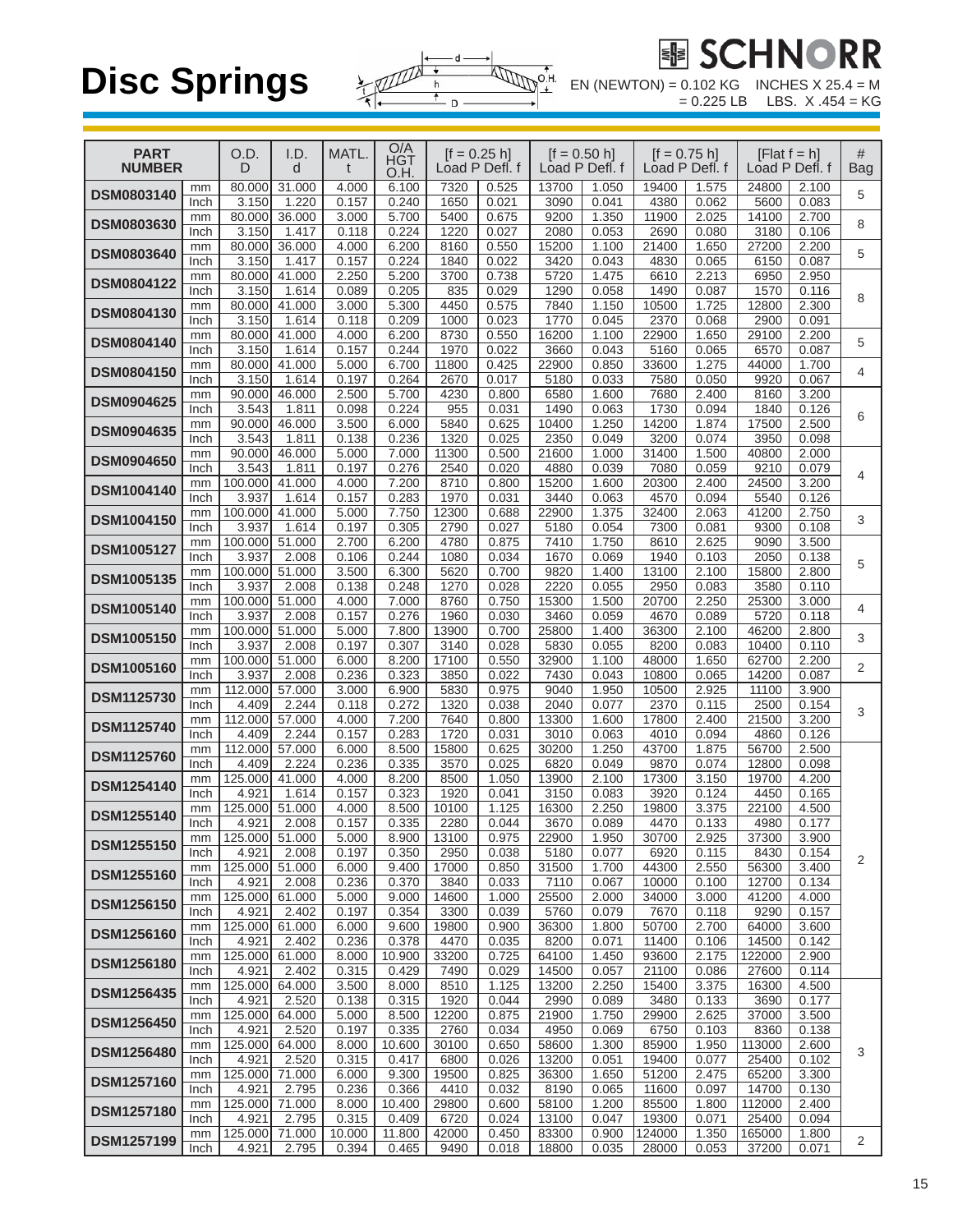

鐵 S

| <b>PART</b><br><b>NUMBER</b> |            | O.D.<br>D        | I.D.<br>d       | <b>MATL</b>     | O/A<br>HGT<br>O.H. | $[f = 0.25 h]$ | Load P Defl. f |                | $[ f = 0.50 h ]$<br>Load P Defl. f | $[1 = 0.75 h]$<br>Load P Defl. f |                | [Flat $f = h$ ]<br>Load P Defl. f |                | #<br><b>Bag</b> |
|------------------------------|------------|------------------|-----------------|-----------------|--------------------|----------------|----------------|----------------|------------------------------------|----------------------------------|----------------|-----------------------------------|----------------|-----------------|
| <b>DSM0803140</b>            | mm<br>Inch | 80.000<br>3.150  | 31.000<br>1.220 | 4.000<br>0.157  | 6.100<br>0.240     | 7320<br>1650   | 0.525<br>0.021 | 13700<br>3090  | 1.050<br>0.041                     | 19400<br>4380                    | 1.575<br>0.062 | 24800<br>5600                     | 2.100<br>0.083 | 5               |
| <b>DSM0803630</b>            | mm         | 80.000           | 36.000          | 3.000           | 5.700              | 5400           | 0.675          | 9200           | 1.350                              | 11900                            | 2.025          | 14100                             | 2.700          | 8               |
| <b>DSM0803640</b>            | Inch<br>mm | 3.150<br>80.000  | 1.417<br>36.000 | 0.118<br>4.000  | 0.224<br>6.200     | 1220<br>8160   | 0.027<br>0.550 | 2080<br>15200  | 0.053<br>1.100                     | 2690<br>21400                    | 0.080<br>1.650 | 3180<br>27200                     | 0.106<br>2.200 | 5               |
|                              | Inch<br>mm | 3.150<br>80.000  | 1.417<br>41.000 | 0.157<br>2.250  | 0.224<br>5.200     | 1840<br>3700   | 0.022<br>0.738 | 3420<br>5720   | 0.043<br>1.475                     | 4830<br>6610                     | 0.065<br>2.213 | 6150<br>6950                      | 0.087<br>2.950 |                 |
| <b>DSM0804122</b>            | Inch       | 3.150            | 1.614           | 0.089           | 0.205              | 835            | 0.029          | 1290           | 0.058                              | 1490                             | 0.087          | 1570                              | 0.116          | 8               |
| <b>DSM0804130</b>            | mm<br>Inch | 80.000<br>3.150  | 41.000<br>1.614 | 3.000<br>0.118  | 5.300<br>0.209     | 4450<br>1000   | 0.575<br>0.023 | 7840<br>1770   | 1.150<br>0.045                     | 10500<br>2370                    | 1.725<br>0.068 | 12800<br>2900                     | 2.300<br>0.091 |                 |
| <b>DSM0804140</b>            | mm<br>Inch | 80.000<br>3.150  | 41.000<br>1.614 | 4.000<br>0.157  | 6.200<br>0.244     | 8730<br>1970   | 0.550<br>0.022 | 16200<br>3660  | 1.100<br>0.043                     | 22900<br>5160                    | 1.650<br>0.065 | 29100<br>6570                     | 2.200<br>0.087 | 5               |
| <b>DSM0804150</b>            | mm         | 80.000           | 41.000          | 5.000           | 6.700              | 11800          | 0.425          | 22900          | 0.850                              | 33600                            | 1.275          | 44000                             | 1.700          | 4               |
| <b>DSM0904625</b>            | Inch<br>mm | 3.150<br>90.000  | 1.614<br>46.000 | 0.197<br>2.500  | 0.264<br>5.700     | 2670<br>4230   | 0.017<br>0.800 | 5180<br>6580   | 0.033<br>1.600                     | 7580<br>7680                     | 0.050<br>2.400 | 9920<br>8160                      | 0.067<br>3.200 |                 |
|                              | Inch<br>mm | 3.543<br>90.000  | 1.811<br>46.000 | 0.098<br>3.500  | 0.224<br>6.000     | 955<br>5840    | 0.031<br>0.625 | 1490<br>10400  | 0.063<br>1.250                     | 1730<br>14200                    | 0.094<br>1.874 | 1840<br>17500                     | 0.126<br>2.500 | 6               |
| <b>DSM0904635</b>            | Inch       | 3.543            | 1.811           | 0.138           | 0.236              | 1320           | 0.025          | 2350           | 0.049                              | 3200                             | 0.074          | 3950                              | 0.098          |                 |
| <b>DSM0904650</b>            | mm<br>Inch | 90.000<br>3.543  | 46.000<br>1.811 | 5,000<br>0.197  | 7.000<br>0.276     | 11300<br>2540  | 0.500<br>0.020 | 21600<br>4880  | 1.000<br>0.039                     | 31400<br>7080                    | 1.500<br>0.059 | 40800<br>9210                     | 2.000<br>0.079 | 4               |
| <b>DSM1004140</b>            | mm<br>Inch | 100.000<br>3.937 | 41.000<br>1.614 | 4.000<br>0.157  | 7.200<br>0.283     | 8710<br>1970   | 0.800<br>0.031 | 15200<br>3440  | 1.600<br>0.063                     | 20300<br>4570                    | 2.400<br>0.094 | 24500<br>5540                     | 3.200<br>0.126 |                 |
| <b>DSM1004150</b>            | mm         | 100.000          | 41.000          | 5.000           | 7.750              | 12300          | 0.688          | 22900          | 1.375                              | 32400                            | 2.063          | 41200                             | 2.750          | 3               |
|                              | Inch<br>mm | 3.937<br>100.000 | 1.614<br>51.000 | 0.197<br>2.700  | 0.305<br>6.200     | 2790<br>4780   | 0.027<br>0.875 | 5180<br>7410   | 0.054<br>1.750                     | 7300<br>8610                     | 0.081<br>2.625 | 9300<br>9090                      | 0.108<br>3.500 |                 |
| <b>DSM1005127</b>            | Inch<br>mm | 3.937<br>100.000 | 2.008<br>51.000 | 0.106<br>3.500  | 0.244<br>6.300     | 1080<br>5620   | 0.034<br>0.700 | 1670<br>9820   | 0.069<br>1.400                     | 1940<br>13100                    | 0.103<br>2.100 | 2050<br>15800                     | 0.138<br>2.800 | 5               |
| <b>DSM1005135</b>            | Inch       | 3.937            | 2.008           | 0.138           | 0.248              | 1270           | 0.028          | 2220           | 0.055                              | 2950                             | 0.083          | 3580                              | 0.110          |                 |
| <b>DSM1005140</b>            | mm<br>Inch | 100.000<br>3.937 | 51.000<br>2.008 | 4.000<br>0.157  | 7.000<br>0.276     | 8760<br>1960   | 0.750<br>0.030 | 15300<br>3460  | 1.500<br>0.059                     | 20700<br>4670                    | 2.250<br>0.089 | 25300<br>5720                     | 3.000<br>0.118 | 4               |
| <b>DSM1005150</b>            | mm         | 100.000<br>3.937 | 51.000          | 5.000           | 7.800              | 13900          | 0.700          | 25800          | 1.400                              | 36300                            | 2.100          | 46200                             | 2.800          | 3               |
| <b>DSM1005160</b>            | Inch<br>mm | 100.000          | 2.008<br>51.000 | 0.197<br>6.000  | 0.307<br>8.200     | 3140<br>17100  | 0.028<br>0.550 | 5830<br>32900  | 0.055<br>1.100                     | 8200<br>48000                    | 0.083<br>1.650 | 10400<br>62700                    | 0.110<br>2.200 | $\overline{2}$  |
|                              | Inch<br>mm | 3.937<br>112.000 | 2.008<br>57.000 | 0.236<br>3.000  | 0.323<br>6.900     | 3850<br>5830   | 0.022<br>0.975 | 7430<br>9040   | 0.043<br>1.950                     | 10800<br>10500                   | 0.065<br>2.925 | 14200<br>11100                    | 0.087<br>3.900 |                 |
| <b>DSM1125730</b>            | Inch       | 4.409            | 2.244           | 0.118           | 0.272              | 1320           | 0.038          | 2040           | 0.077                              | 2370                             | 0.115          | 2500                              | 0.154          | 3               |
| <b>DSM1125740</b>            | mm<br>Inch | 112.000<br>4.409 | 57.000<br>2.244 | 4.000<br>0.157  | 7.200<br>0.283     | 7640<br>1720   | 0.800<br>0.031 | 13300<br>3010  | 1.600<br>0.063                     | 17800<br>4010                    | 2.400<br>0.094 | 21500<br>4860                     | 3.200<br>0.126 |                 |
| <b>DSM1125760</b>            | mm<br>Inch | 112.000<br>4.409 | 57.000<br>2.224 | 6.000<br>0.236  | 8.500<br>0.335     | 15800<br>3570  | 0.625<br>0.025 | 30200<br>6820  | 1.250<br>0.049                     | 43700<br>9870                    | 1.875<br>0.074 | 56700<br>12800                    | 2.500<br>0.098 |                 |
| <b>DSM1254140</b>            | mm         | 125.000          | 41.000          | 4.000           | 8.200              | 8500           | 1.050          | 13900          | 2.100                              | 17300                            | 3.150          | 19700                             | 4.200          |                 |
| <b>DSM1255140</b>            | Inch<br>mm | 4.921<br>125.000 | 1.614<br>51.000 | 0.157<br>4.000  | 0.323<br>8.500     | 1920<br>10100  | 0.041<br>1.125 | 3150<br>16300  | 0.083<br>2.250                     | 3920<br>19800                    | 0.124<br>3.375 | 4450<br>22100                     | 0.165<br>4.500 |                 |
|                              | Inch<br>mm | 4.921<br>125.000 | 2.008<br>51.000 | 0.157<br>5.000  | 0.335<br>8.900     | 2280<br>13100  | 0.044<br>0.975 | 3670<br>22900  | 0.089<br>1.950                     | 4470<br>30700                    | 0.133<br>2.925 | 4980<br>37300                     | 0.177<br>3.900 |                 |
| DSM1255150                   | Inch       | 4.921            | 2.008           | 0.197           | 0.350              | 2950           | 0.038          | 5180           | 0.077                              | 6920                             | 0.115          | 8430                              | 0.154          | 2               |
| DSM1255160                   | mm<br>Inch | 125.000<br>4.921 | 51.000<br>2.008 | 6.000<br>0.236  | 9.400<br>0.370     | 17000<br>3840  | 0.850<br>0.033 | 31500<br>7110  | 1.700<br>0.067                     | 44300<br>10000                   | 2.550<br>0.100 | 56300<br>12700                    | 3.400<br>0.134 |                 |
| <b>DSM1256150</b>            | mm<br>Inch | 125.000<br>4.921 | 61.000<br>2.402 | 5.000<br>0.197  | 9.000<br>0.354     | 14600<br>3300  | 1.000<br>0.039 | 25500<br>5760  | 2.000<br>0.079                     | 34000<br>7670                    | 3.000<br>0.118 | 41200<br>9290                     | 4.000<br>0.157 |                 |
| <b>DSM1256160</b>            | mm         | 125.000          | 61.000          | 6.000           | 9.600              | 19800          | 0.900          | 36300          | 1.800                              | 50700                            | 2.700          | 64000                             | 3.600          |                 |
| <b>DSM1256180</b>            | Inch<br>mm | 4.921<br>125.000 | 2.402<br>61.000 | 0.236<br>8.000  | 0.378<br>10.900    | 4470<br>33200  | 0.035<br>0.725 | 8200<br>64100  | 0.071<br>1.450                     | 11400<br>93600                   | 0.106<br>2.175 | 14500<br>122000                   | 0.142<br>2.900 |                 |
|                              | Inch<br>mm | 4.921<br>125.000 | 2.402<br>64.000 | 0.315<br>3.500  | 0.429<br>8.000     | 7490<br>8510   | 0.029<br>1.125 | 14500<br>13200 | 0.057<br>2.250                     | 21100<br>15400                   | 0.086<br>3.375 | 27600<br>16300                    | 0.114<br>4.500 |                 |
| <b>DSM1256435</b>            | Inch       | 4.921            | 2.520           | 0.138           | 0.315              | 1920           | 0.044          | 2990           | 0.089                              | 3480                             | 0.133          | 3690                              | 0.177          |                 |
| <b>DSM1256450</b>            | mm<br>Inch | 125.000<br>4.921 | 64.000<br>2.520 | 5.000<br>0.197  | 8.500<br>0.335     | 12200<br>2760  | 0.875<br>0.034 | 21900<br>4950  | 1.750<br>0.069                     | 29900<br>6750                    | 2.625<br>0.103 | 37000<br>8360                     | 3.500<br>0.138 |                 |
| <b>DSM1256480</b>            | mm<br>Inch | 125.000<br>4.921 | 64.000<br>2.520 | 8.000<br>0.315  | 10.600<br>0.417    | 30100<br>6800  | 0.650<br>0.026 | 58600<br>13200 | 1.300<br>0.051                     | 85900<br>19400                   | 1.950<br>0.077 | 113000<br>25400                   | 2.600<br>0.102 | 3               |
| <b>DSM1257160</b>            | mm         | 125.000          | 71.000          | 6.000           | 9.300              | 19500          | 0.825          | 36300          | 1.650                              | 51200                            | 2.475          | 65200                             | 3.300          |                 |
|                              | Inch<br>mm | 4.921<br>125.000 | 2.795<br>71.000 | 0.236<br>8.000  | 0.366<br>10.400    | 4410<br>29800  | 0.032<br>0.600 | 8190<br>58100  | 0.065<br>1.200                     | 11600<br>85500                   | 0.097<br>1.800 | 14700<br>112000                   | 0.130<br>2.400 |                 |
| <b>DSM1257180</b>            | Inch       | 4.921            | 2.795           | 0.315           | 0.409              | 6720           | 0.024          | 13100          | 0.047                              | 19300                            | 0.071          | 25400                             | 0.094          |                 |
| <b>DSM1257199</b>            | mm<br>Inch | 125.000<br>4.921 | 71.000<br>2.795 | 10.000<br>0.394 | 11.800<br>0.465    | 42000<br>9490  | 0.450<br>0.018 | 83300<br>18800 | 0.900<br>0.035                     | 124000<br>28000                  | 1.350<br>0.053 | 165000<br>37200                   | 1.800<br>0.071 | 2               |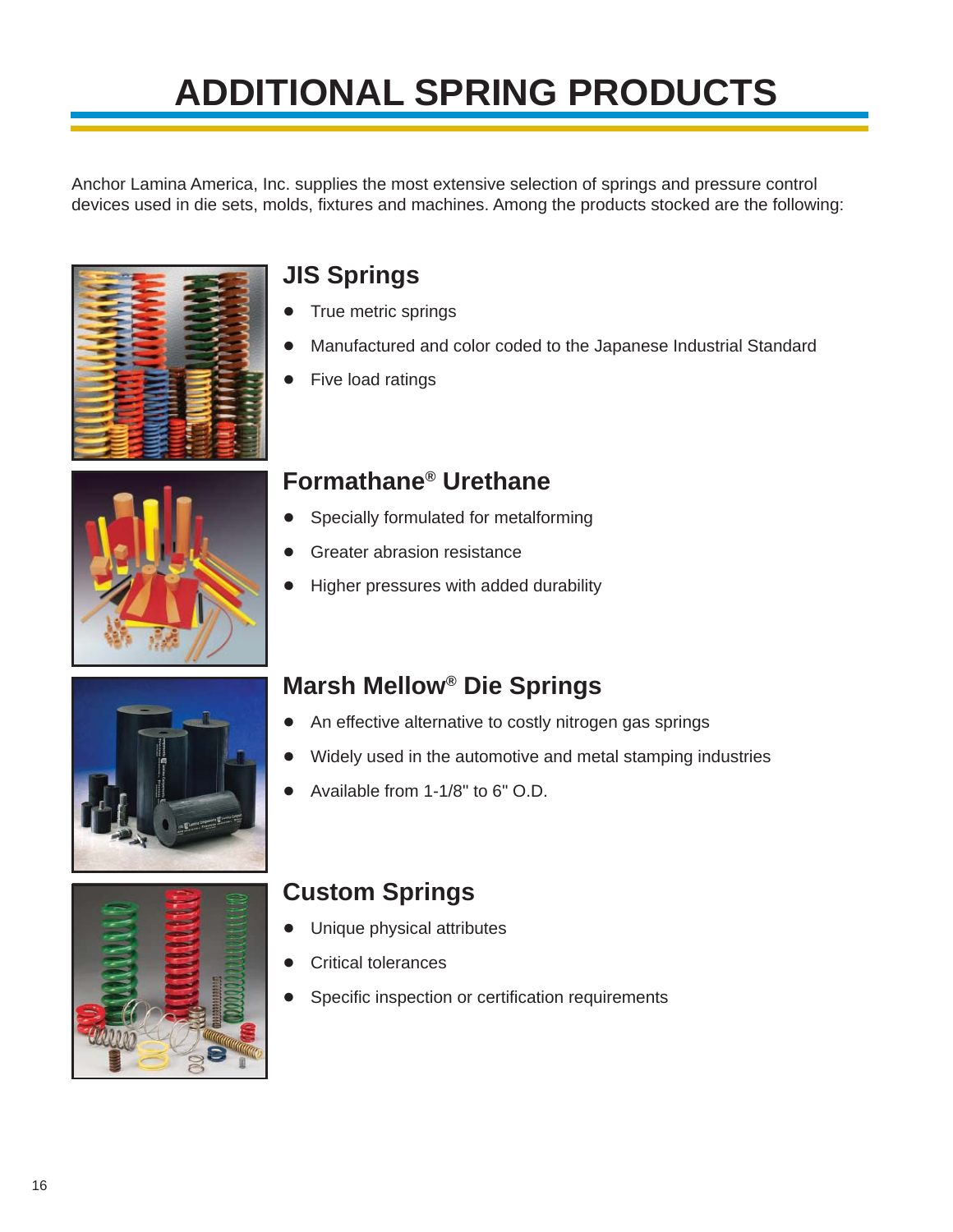# **ADDITIONAL SPRING PRODUCTS**

Anchor Lamina America, Inc. supplies the most extensive selection of springs and pressure control devices used in die sets, molds, fixtures and machines. Among the products stocked are the following:





## **JIS Springs**

- True metric springs
- Manufactured and color coded to the Japanese Industrial Standard
- Five load ratings

## **Formathane® Urethane**

- Specially formulated for metalforming
- Greater abrasion resistance
- Higher pressures with added durability





# **Marsh Mellow® Die Springs**

- An effective alternative to costly nitrogen gas springs
- Widely used in the automotive and metal stamping industries
- Available from 1-1/8" to 6" O.D.

# **Custom Springs**

- Unique physical attributes
- Critical tolerances
- Specific inspection or certification requirements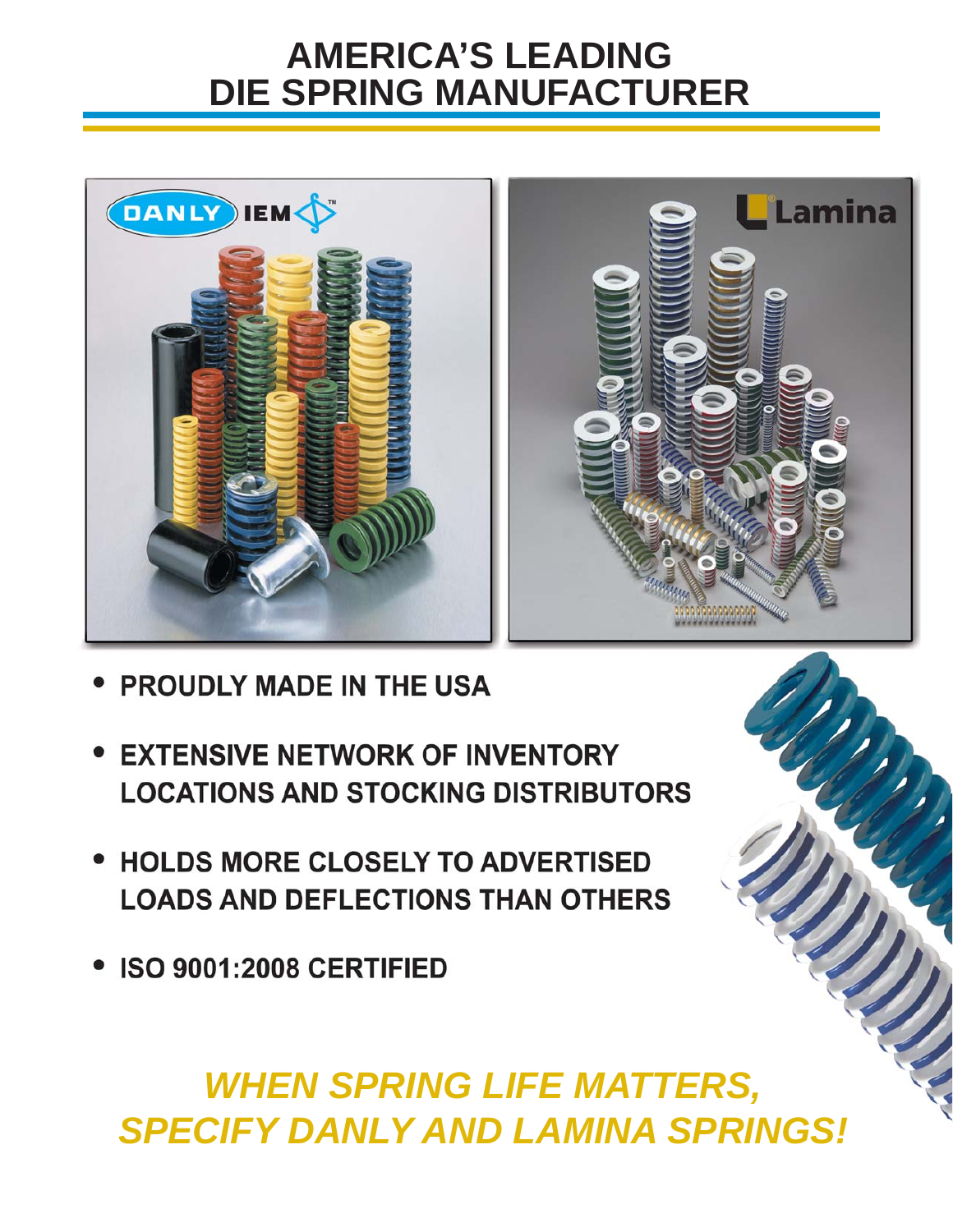# **AMERICA'S LEADING DIE SPRING MANUFACTURER**



- **PROUDLY MADE IN THE USA**
- **EXTENSIVE NETWORK OF INVENTORY LOCATIONS AND STOCKING DISTRIBUTORS**
- **HOLDS MORE CLOSELY TO ADVERTISED LOADS AND DEFLECTIONS THAN OTHERS**
- ISO 9001:2008 CERTIFIED

# *WHEN SPRING LIFE MATTERS, SPECIFY DANLY AND LAMINA SPRINGS!*